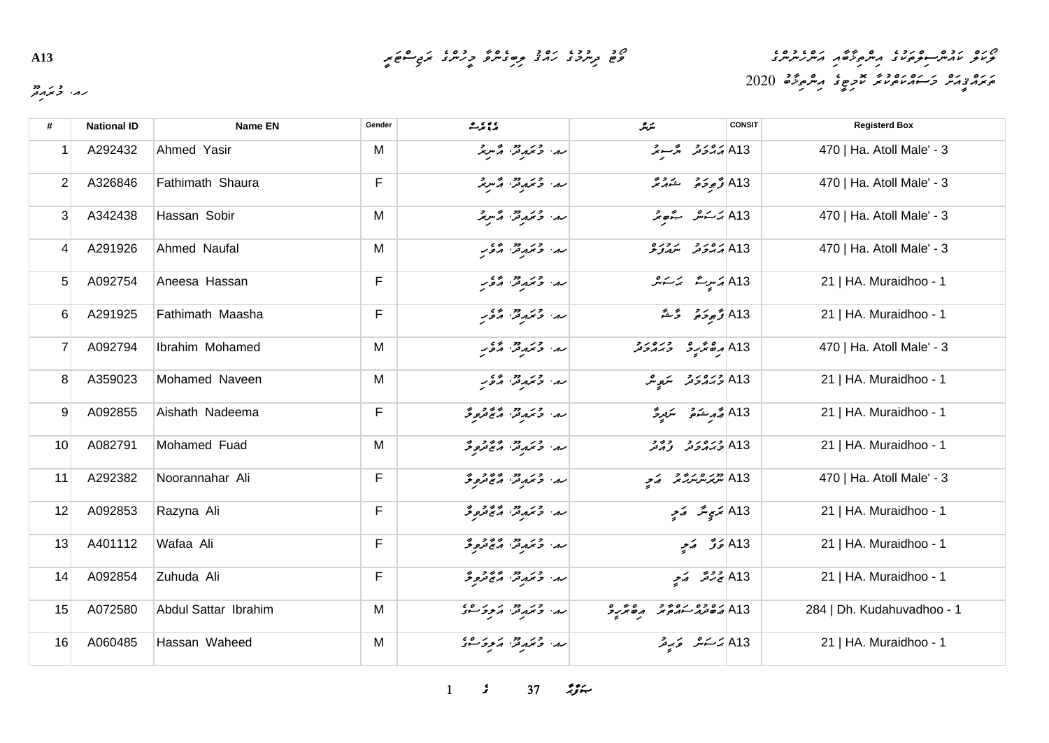*sCw7q7s5w7m< o<n9nOoAw7o< sCq;mAwBoEw7q<m; wBm;vB* م من المسجد المسجد المسجد المسجد المسجد العام 2020<br>مسجد المسجد المسجد المسجد المسجد المسجد المسجد المسجد المسجد ال

| #              | <b>National ID</b> | Name EN              | Gender      | بروبره                       | ىتربىر                                   | <b>CONSIT</b> | <b>Registerd Box</b>       |
|----------------|--------------------|----------------------|-------------|------------------------------|------------------------------------------|---------------|----------------------------|
| -1             | A292432            | Ahmed Yasir          | M           | مەر ئەتمەتى كەسىر            | A13 <i>ړېږي پې</i> په                    |               | 470   Ha. Atoll Male' - 3  |
| 2              | A326846            | Fathimath Shaura     | F           | مەر ئەتمەتى كەسىر            | A13 <i>وَّجوحَمَّ</i> شَ <i>مَرْتُمُ</i> |               | 470   Ha. Atoll Male' - 3  |
| 3              | A342438            | Hassan Sobir         | M           | رە، دىمەتر، ئەرىر            | A13 كەسەمىش بەئىھەتتى                    |               | 470   Ha. Atoll Male' - 3  |
| 4              | A291926            | Ahmed Naufal         | M           | رە - ئەتەر ئەڭ ئەتەب         | A13 يَرْدَوْ مَدْرُوْ                    |               | 470   Ha. Atoll Male' - 3  |
| 5              | A092754            | Aneesa Hassan        | F           | رە ئەتەر ئەرە                | A13 كەسرىسى كەسكەنلە                     |               | 21   HA. Muraidhoo - 1     |
| 6              | A291925            | Fathimath Maasha     | F           | رە - ئەتەرقىق ئەتەب          | A13 تَهِ رَمَ تَرَ شَّ                   |               | 21   HA. Muraidhoo - 1     |
| $\overline{7}$ | A092794            | Ibrahim Mohamed      | M           | رە - ئەتمەتى ، ئەتمەر        | A13 رەئزىرو ئەزەر ئى                     |               | 470   Ha. Atoll Male' - 3  |
| 8              | A359023            | Mohamed Naveen       | M           | رو . و تروفر ا و و ر         | A13 <i>وُبَرُوُدَوْ سَعِي</i> ْر         |               | 21   HA. Muraidhoo - 1     |
| 9              | A092855            | Aishath Nadeema      | F           | ره و ترمرفر می ترونخ         | A13 مَدْرِ حَدَة مِ سَرْمِرِدَّ          |               | 21   HA. Muraidhoo - 1     |
| 10             | A082791            | Mohamed Fuad         | M           | رە . ئەتەر قرار ئەس ئەترە ئ  | A13 دېمبروتر وړتر                        |               | 21   HA. Muraidhoo - 1     |
| 11             | A292382            | Noorannahar Ali      | F           | رە - ئەتەر قرار ئەتمەترە ئ   | A13 <i>نترىترىترىگە ھەب</i>              |               | 470   Ha. Atoll Male' - 3  |
| 12             | A092853            | Razyna Ali           | $\mathsf F$ | رە . ئە ئەرەتر، ئەنج ترەپ ئى | A13 بَرَىٍ مَّرَ مَتَّحٍ                 |               | 21   HA. Muraidhoo - 1     |
| 13             | A401112            | Wafaa Ali            | F           | رە - ئەتەرلىق، ئەنج ترەپ ئ   | A13 حَ تَ صَمِ                           |               | 21   HA. Muraidhoo - 1     |
| 14             | A092854            | Zuhuda Ali           | F           | رە - ئەتەر قرار ئەتمەترە ئ   | A13 تح <sup>2</sup> قدم تھے ج            |               | 21   HA. Muraidhoo - 1     |
| 15             | A072580            | Abdul Sattar Ibrahim | M           | روم دوم دوم در ده د          | A13 كەھەرم مەمۇمە بەھ ئىربى              |               | 284   Dh. Kudahuvadhoo - 1 |
| 16             | A060485            | Hassan Waheed        | M           | رە. ئەترەپر، مەرئەسى         | A13  بزسترس ق <i>رب</i> وتر              |               | 21   HA. Muraidhoo - 1     |

*r@o<m8q> .<5*

*1 s* 37 *i*<sub>s</sub>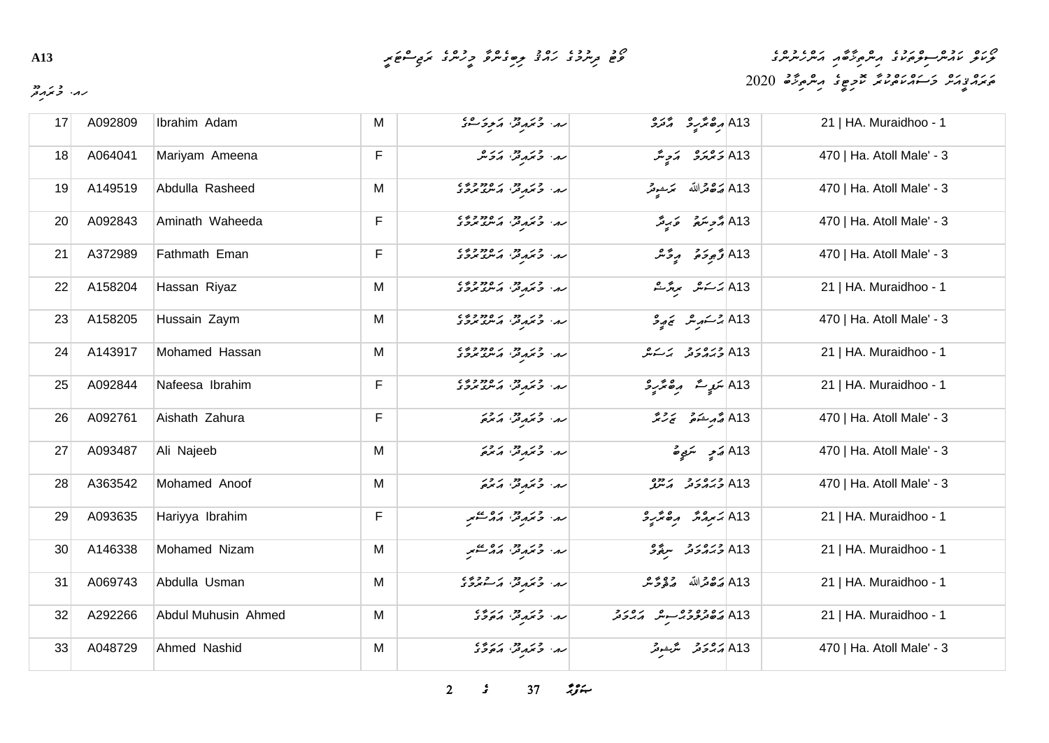*sCw7q7s5w7m< o<n9nOoAw7o< sCq;mAwBoEw7q<m; wBm;vB* م من المرة المرة المرة المرجع المرجع في المركبة 2020<br>مجم*د المريض المربوط المربع المرجع في المراجع المركبة* 

| 17 | A092809 | Ibrahim Adam        | M | رە . ئەتەر قان مەر ئەر ئ | A13 م <i>وڭ ئۇرۇ مەتر</i> ۇ          | 21   HA. Muraidhoo - 1    |
|----|---------|---------------------|---|--------------------------|--------------------------------------|---------------------------|
| 18 | A064041 | Mariyam Ameena      | F | הגי כימגני ג'בית         | A13 كەبىر <i>بىر مەجەنگ</i> ە        | 470   Ha. Atoll Male' - 3 |
| 19 | A149519 | Abdulla Rasheed     | M | תגי כמקשי מייטבמכים      | A13 كَرْحْدْرُاللَّهُ كَرَسْوِيْرْ   | 470   Ha. Atoll Male' - 3 |
| 20 | A092843 | Aminath Waheeda     | F | מי כמות מימים            | A13 مَّ <i>جِسَعَةَ • حَ بِ</i> قَّہ | 470   Ha. Atoll Male' - 3 |
| 21 | A372989 | Fathmath Eman       | F | תגי כמקשי מייטבמכים      | A13 <i>وُّجِودَة دِوَ</i> ّتْر       | 470   Ha. Atoll Male' - 3 |
| 22 | A158204 | Hassan Riyaz        | M | מגי כמה בר מספר בי       | A13 بَرَسَة مَّر مَّرْسَة ِ          | 21   HA. Muraidhoo - 1    |
| 23 | A158205 | Hussain Zaym        | M | מגי כמקבלי היינגינפי     | A13   جُستمبر بھ سچ <sub>می</sub> و  | 470   Ha. Atoll Male' - 3 |
| 24 | A143917 | Mohamed Hassan      | M | מגי כמקש מסחברים         | A13 <i>2222 كەسكەنل</i>              | 21   HA. Muraidhoo - 1    |
| 25 | A092844 | Nafeesa Ibrahim     | F | מגי כמות כבי מסכבכים בי  | A13 سَمِرٍ — مَصَرَّرِ \$            | 21   HA. Muraidhoo - 1    |
| 26 | A092761 | Aishath Zahura      | F | מגי כמה בי גבי           | A13 مەم يىقى ئىم ئىم تەتىر           | 470   Ha. Atoll Male' - 3 |
| 27 | A093487 | Ali Najeeb          | M | מגי כמקברי גבו           | A13 <i>مَرْمٍ سَمِع</i> ْ            | 470   Ha. Atoll Male' - 3 |
| 28 | A363542 | Mohamed Anoof       | M | מגי כמקברי המם           | A13 دېرونو پر دوه                    | 470   Ha. Atoll Male' - 3 |
| 29 | A093635 | Hariyya Ibrahim     | F | ره و ترمرفز، ماه کشمی    | A13 بَرْبِرْدَدَّ مِرْهُ بَرْبِرْدَ  | 21   HA. Muraidhoo - 1    |
| 30 | A146338 | Mohamed Nizam       | M | ره و ترمرفز، ماه کشمی    | A13 كەبر بەر ئەرتقى ئىس بىر          | 21   HA. Muraidhoo - 1    |
| 31 | A069743 | Abdulla Usman       | M | מי כמות מי הבכב          | A13 مَەمْرَاللە مەۋرىمْر             | 21   HA. Muraidhoo - 1    |
| 32 | A292266 | Abdul Muhusin Ahmed | M | رد و نزدند از دود        | A13 رەپرىۋە بەر سەش مەرەپر           | 21   HA. Muraidhoo - 1    |
| 33 | A048729 | Ahmed Nashid        | M | מגי כימגיטי הפכב         | A13 كەبۇ كەنگە مەرجىدىگر             | 470   Ha. Atoll Male' - 3 |

*2 sC 37 nNw?mS*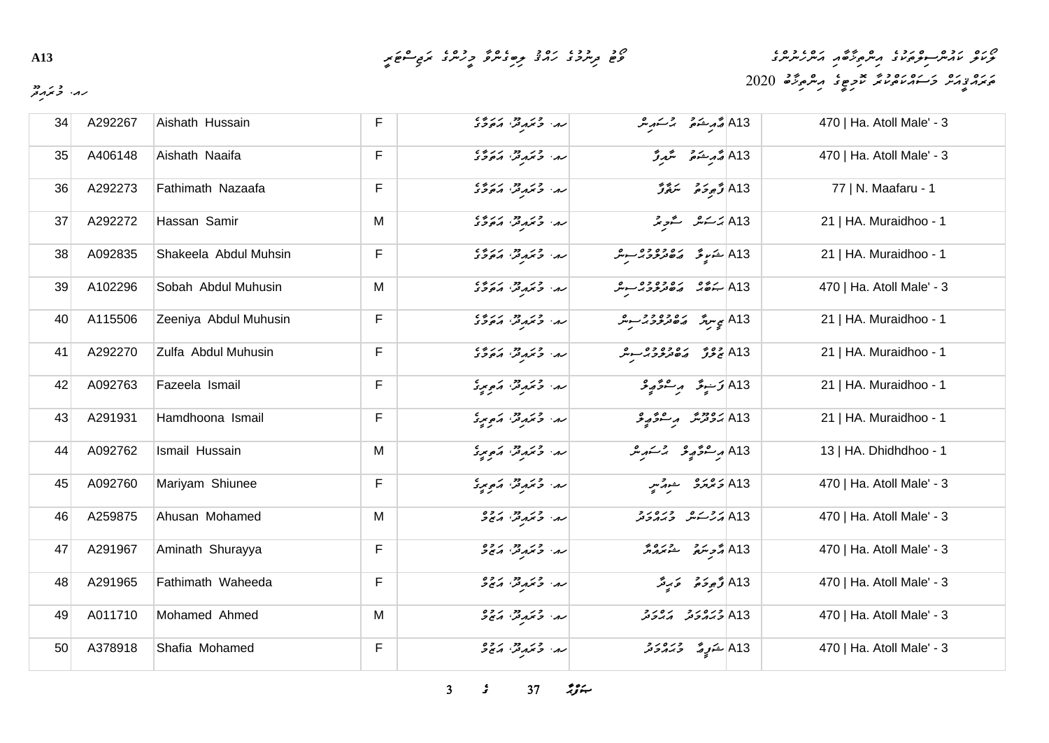*sCw7q7s5w7m< o<n9nOoAw7o< sCq;mAwBoEw7q<m; wBm;vB* م من المرة المرة المرة المرجع المرجع في المركبة 2020<br>مجم*د المريض المربوط المربع المرجع في المراجع المركبة* 

| 34 | A292267 | Aishath Hussain       | F           | מי במתנט מפכב          | A13 مەم ئىسكىم بىر شەمرىكر                    | 470   Ha. Atoll Male' - 3 |
|----|---------|-----------------------|-------------|------------------------|-----------------------------------------------|---------------------------|
| 35 | A406148 | Aishath Naaifa        | F           | מגי כימגיטי הפכב       | A13 مَەمِسْنَعْ مَمْدِرً                      | 470   Ha. Atoll Male' - 3 |
| 36 | A292273 | Fathimath Nazaafa     | F           | מגי כימגיטי הפכב       | A13 تُرجوحُمُ سَمَّحَرَّ                      | 77   N. Maafaru - 1       |
| 37 | A292272 | Hassan Samir          | M           | מי כימות מיני          | A13   پرسته ش <i>ه ج</i> هر                   | 21   HA. Muraidhoo - 1    |
| 38 | A092835 | Shakeela Abdul Muhsin | $\mathsf F$ | מגי כימגיטי הפכב       | A13 خىرى <i>ق مەھىر جەرجى</i> سى <i>رى</i> ر  | 21   HA. Muraidhoo - 1    |
| 39 | A102296 | Sobah Abdul Muhusin   | M           | رو . و تروي . و و و و  | A13 بنصر مەمد <i>ود بر</i> ىر                 | 470   Ha. Atoll Male' - 3 |
| 40 | A115506 | Zeeniya Abdul Muhusin | F           | رو . و برون . و و و و  | A13 <sub>مج</sub> س <i>رڈ مقرور دیگر میٹر</i> | 21   HA. Muraidhoo - 1    |
| 41 | A292270 | Zulfa Abdul Muhusin   | F           | מי כימיני ומפכז        | A13 يحوز مەھىر <i>جەدىسى</i> گە               | 21   HA. Muraidhoo - 1    |
| 42 | A092763 | Fazeela Ismail        | F           | رە ئە ئەرقى مەيد       | A13 زَىنِيوَ - مِرْجُوْمِ وَ-                 | 21   HA. Muraidhoo - 1    |
| 43 | A291931 | Hamdhoona Ismail      | F           | ره وتمدين موبره        | A13 بَرَوْتَرْسَ مِ سُرَّمَّ مِرْقَم          | 21   HA. Muraidhoo - 1    |
| 44 | A092762 | Ismail Hussain        | M           | رە ئە ئەرقى مەيدى      | A13 مەشگەر بۇ جەسكەر بىر                      | 13   HA. Dhidhdhoo - 1    |
| 45 | A092760 | Mariyam Shiunee       | F           | رە - ئە ئەرقۇ، كەم بول | A13 ك <i>و بروژ شورمبر</i>                    | 470   Ha. Atoll Male' - 3 |
| 46 | A259875 | Ahusan Mohamed        | M           | מגי כימגילי גזם        | A13 كەرمىسى مەكەرە بىر                        | 470   Ha. Atoll Male' - 3 |
| 47 | A291967 | Aminath Shurayya      | F           | מי לימילי והזכ         | A13 مَّحْرِسَمَّةَ شَمَعَهُ مَّ               | 470   Ha. Atoll Male' - 3 |
| 48 | A291965 | Fathimath Waheeda     | F           | מגי כימגני גזם         | A13 تَ <i>حْمِوحَةْ - حَ</i> بِيثَر           | 470   Ha. Atoll Male' - 3 |
| 49 | A011710 | Mohamed Ahmed         | M           | מגי כימגני גם          | A13 وبرەرو بەردىر                             | 470   Ha. Atoll Male' - 3 |
| 50 | A378918 | Shafia Mohamed        | F           | מי לימילי מים          | A13 خ <i>وړ څن</i> مر <i>ونر</i>              | 470   Ha. Atoll Male' - 3 |

**3 37** *<i>n***<sub>1</sub>** *s***<sub>1</sub>** *s***<sub>1</sub>**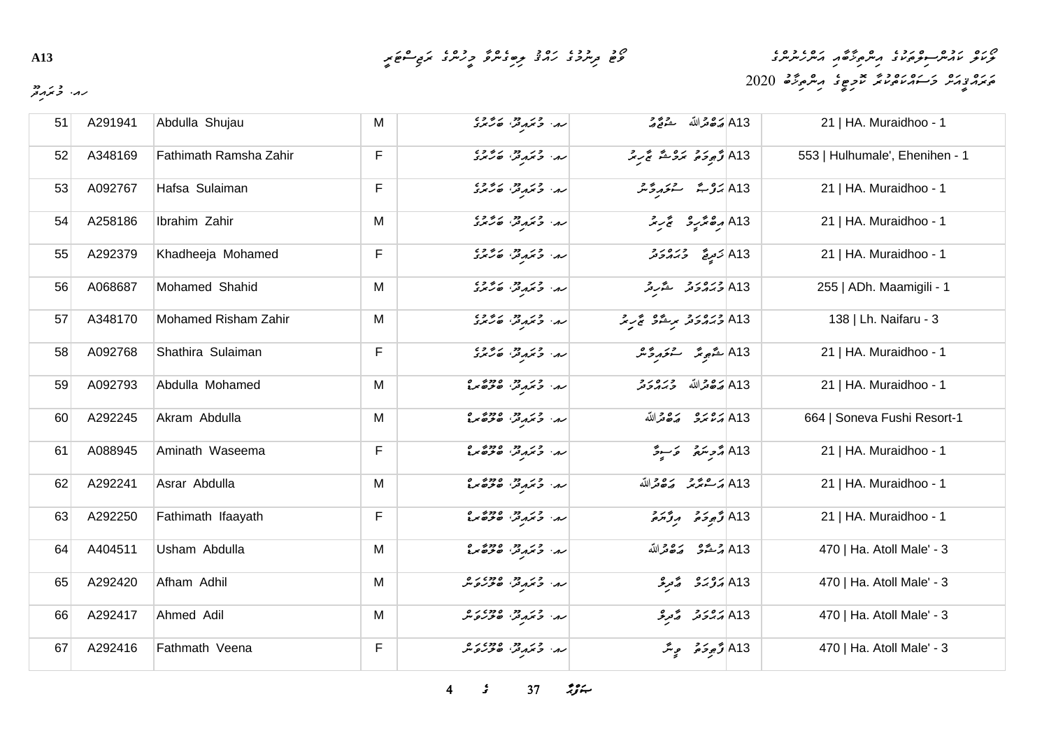*sCw7q7s5w7m< o<n9nOoAw7o< sCq;mAwBoEw7q<m; wBm;vB* م من المرة المرة المرة المرجع المرجع في المركبة 2020<br>مجم*د المريض المربوط المربع المرجع في المراجع المركبة* 

| 51 | A291941 | Abdulla Shujau         | M           | מגי כימגיני ישימים                                                                                                                                                                                                              | A13 كَرْحْدْرْاللَّه شْمَعَ كَرْ                    | 21   HA. Muraidhoo - 1         |
|----|---------|------------------------|-------------|---------------------------------------------------------------------------------------------------------------------------------------------------------------------------------------------------------------------------------|-----------------------------------------------------|--------------------------------|
| 52 | A348169 | Fathimath Ramsha Zahir | F           | מגי כימגים ויי כי                                                                                                                                                                                                               | A13 <i>وَّجِعَة بَرَوْ</i> حَةَ بَرَبَّرَ           | 553   Hulhumale', Ehenihen - 1 |
| 53 | A092767 | Hafsa Sulaiman         | F           | מגי כימה בני היביב                                                                                                                                                                                                              | A13 ئەبۇبە ئىق مەتبەر ئەش                           | 21   HA. Muraidhoo - 1         |
| 54 | A258186 | Ibrahim Zahir          | M           | מגי כימה בי בי יב                                                                                                                                                                                                               | A13 م <i>وڭ مگرى</i> تىلى بىر                       | 21   HA. Muraidhoo - 1         |
| 55 | A292379 | Khadheeja Mohamed      | F           | מגי כימגיני יסימג                                                                                                                                                                                                               | A13 كَتَعِيقٌ - وَيَرْجُرُونَثَرُ                   | 21   HA. Muraidhoo - 1         |
| 56 | A068687 | Mohamed Shahid         | M           | מגי כימגיני יסימים                                                                                                                                                                                                              | A13 <i>وَبَرُوْدَوْ</i> شَمَرِيْرُ                  | 255   ADh. Maamigili - 1       |
| 57 | A348170 | Mohamed Risham Zahir   | M           | מגי כימגיני יסימים                                                                                                                                                                                                              | A13 <i>وُبَهُ وَوَفَرْ بِرِحَةٌ وَ بِمَّ رِبْرُ</i> | 138   Lh. Naifaru - 3          |
| 58 | A092768 | Shathira Sulaiman      | $\mathsf F$ | מגי כימגיני יסימים                                                                                                                                                                                                              | A13 شەھ <sub>ب</sub> ەتتە سى <i>قۇم ۋىل</i> ر       | 21   HA. Muraidhoo - 1         |
| 59 | A092793 | Abdulla Mohamed        | M           | גני היה בינור בינור בין היה היה בין היה בין היה בין היה בין היה בין היה בין היה בין היה בין היה בין היה בין הי<br>היה ביותר בין היה בין היה בין היה בין היה בין היה בין היה בין היה בין היה בין היה בין היה בין היה בין היה בין | A13 مَەھْتَراللە ئەمەدىر                            | 21   HA. Muraidhoo - 1         |
| 60 | A292245 | Akram Abdulla          | M           | רג כי החיני סיבים <i>מ</i> ש                                                                                                                                                                                                    | A13 يَرْعُ عَرَضَ مَرَّدَةَ لِلَّهُ                 | 664   Soneva Fushi Resort-1    |
| 61 | A088945 | Aminath Waseema        | F           | גני היה בינור בינור בין היה היה בין היה בין היה בין היה בין היה בין היה בין היה בין היה בין היה בין היה בין הי<br>היה ביותר בין היה בין היה בין היה בין היה בין היה בין היה בין היה בין היה בין היה בין היה בין היה בין היה בין | A13 مَّ <i>جِسَمَّةَ - حَ</i> سِرَةً                | 21   HA. Muraidhoo - 1         |
| 62 | A292241 | Asrar Abdulla          | M           | מגי כמגבי סיכסמש                                                                                                                                                                                                                | A13 كەسىمگە كەھەرللە                                | 21   HA. Muraidhoo - 1         |
| 63 | A292250 | Fathimath Ifaayath     | $\mathsf F$ | מג' בימגע' סתפית:<br>מג' בימגע' סתפית:                                                                                                                                                                                          | A13 تۇم <sub>ب</sub> وڭ مۇتر <i>مۇ</i>              | 21   HA. Muraidhoo - 1         |
| 64 | A404511 | Usham Abdulla          | M           | גני היה בינור בינור בין היה היה בין היה בין היה בין היה בין היה בין היה בין היה בין היה בין היה בין היה בין הי<br>היה ביותר בין היה בין היה בין היה בין היה בין היה בין היה בין היה בין היה בין היה בין היה בין היה בין היה בין | A13 مُشَوَّر مَصْعَراللَّه                          | 470   Ha. Atoll Male' - 3      |
| 65 | A292420 | Afham Adhil            | M           | נגי כמגנטי סיכנטים.<br>מגי כמגנטי שיכנטים                                                                                                                                                                                       | A13 پر <i>وژو گ</i> ېږ <i>و</i>                     | 470   Ha. Atoll Male' - 3      |
| 66 | A292417 | Ahmed Adil             | M           | כן כך כך הכרין הם<br>מגי ביתות בן סיבונים יית                                                                                                                                                                                   | A13   پر بر <sub>گر</sub> مگ <sup>و</sup> می بحر    | 470   Ha. Atoll Male' - 3      |
| 67 | A292416 | Fathmath Veena         | F           | מג' כמות סיכונים<br>מג' כמות שיכופית                                                                                                                                                                                            | A13 <i>وُجوحَ</i> هِم سِمَّر                        | 470   Ha. Atoll Male' - 3      |

*r@o<m8q> .<5*

*4 s* 37 *i*<sub>s</sub> $\approx$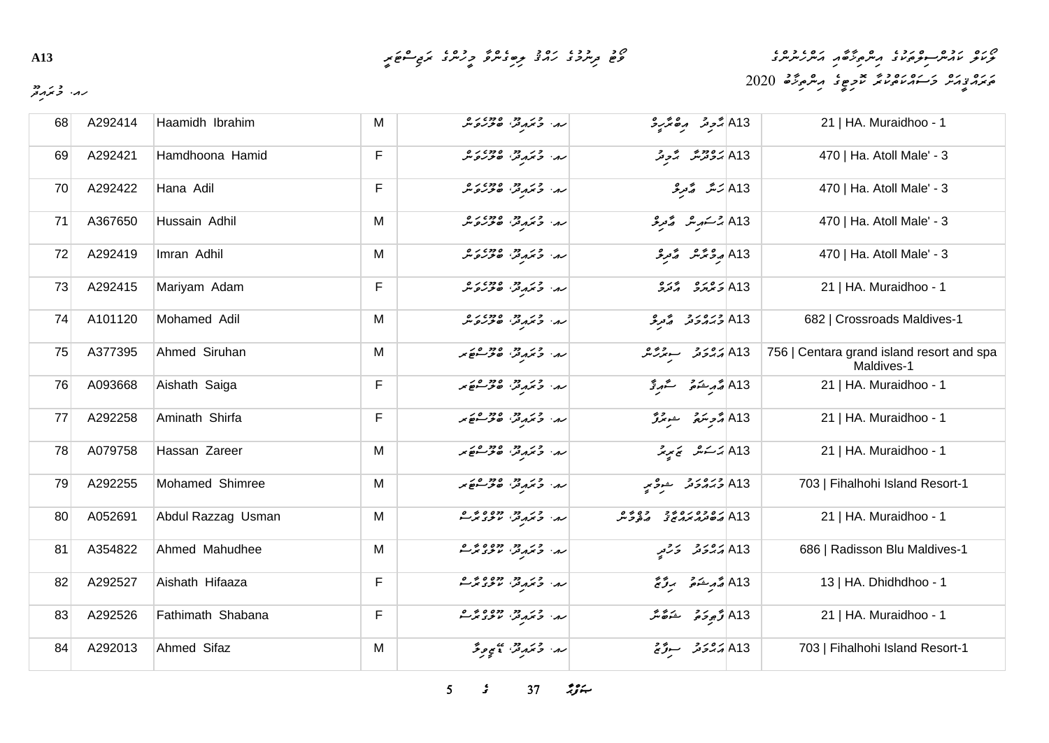*sCw7q7s5w7m< o<n9nOoAw7o< sCq;mAwBoEw7q<m; wBm;vB* م من المرة المرة المرة المرجع المرجع في المركبة 2020<br>مجم*د المريض المربوط المربع المرجع في المراجع المركبة* 

| 68 | A292414 | Haamidh Ibrahim    | M           | رړ و تر ده ووه ده ده.<br>رړ و تر دنو کالورو نگر           | A13 تَرْمِدْ مِنْ مَمْرِدْ                | 21   HA. Muraidhoo - 1                                  |
|----|---------|--------------------|-------------|-----------------------------------------------------------|-------------------------------------------|---------------------------------------------------------|
| 69 | A292421 | Hamdhoona Hamid    | F           | גני כיתונים פרובים ים<br>מני כיתונים שיפיעים יית          | A13 بَرَوْتَرْبَّرَ بُرَّدِيْرَ           | 470   Ha. Atoll Male' - 3                               |
| 70 | A292422 | Hana Adil          | F           | גני כיתונים פרובים ים<br>מני כיתונים שיפיעים יית          | A13 كەنتى ھەمدى                           | 470   Ha. Atoll Male' - 3                               |
| 71 | A367650 | Hussain Adhil      | M           | גז כי כך סביבים.<br>מז כיתונים שביפית                     | A13 پُرسَمبر بھ گھویو تھ                  | 470   Ha. Atoll Male' - 3                               |
| 72 | A292419 | Imran Adhil        | M           | מגי כמקבר סכנימים<br>מגי כמקבר סיכתפית                    | A13 م <i>وڤرنگر م</i> گ <sup>و</sup> رڤر  | 470   Ha. Atoll Male' - 3                               |
| 73 | A292415 | Mariyam Adam       | $\mathsf F$ | גני המנה סבנים ה                                          | A13 كەبىر بەر ئەرگە                       | 21   HA. Muraidhoo - 1                                  |
| 74 | A101120 | Mohamed Adil       | M           | מגי כמגבי סחשימים<br>מגי כמגבי <i>סיבמ</i> פית            | A13 <i>5 بزون قر م</i> حمد ثر             | 682   Crossroads Maldives-1                             |
| 75 | A377395 | Ahmed Siruhan      | M           | מגי הזה בין סיר שישי                                      | A13 كەبرى قىرىمىسىسى ئىستىر ئىس           | 756   Centara grand island resort and spa<br>Maldives-1 |
| 76 | A093668 | Aishath Saiga      | $\mathsf F$ | מגי המקנטי שתיי-ישמ                                       | A13 مَدْمِسْتَمْ مُسْتَمَرِيَّ            | 21   HA. Muraidhoo - 1                                  |
| 77 | A292258 | Aminath Shirfa     | F           | رد. ويزدو مور مرد                                         | A13 مَرْحِ سَرَمَّۃ مُسْتَخَرَّدَّ        | 21   HA. Muraidhoo - 1                                  |
| 78 | A079758 | Hassan Zareer      | M           | رد. ويزدو مور مرد                                         | A13   ټرىكىش ئ <sub>ى تىرى</sub> تر       | 21   HA. Muraidhoo - 1                                  |
| 79 | A292255 | Mohamed Shimree    | M           | מגי המתנקי שת לפי                                         | A13 <i>وُبَرُوْدَوْ</i> شِوْمِرِ          | 703   Fihalhohi Island Resort-1                         |
| 80 | A052691 | Abdul Razzag Usman | M           | תגי כיתוכי יוכנית -                                       | A13 كەھ <i>قىرە. بىر مۇ</i> ئاھ ئىرگە ئىر | 21   HA. Muraidhoo - 1                                  |
| 81 | A354822 | Ahmed Mahudhee     | M           | תגי כמה כך כבס פים                                        | A13 كەثرى قىم كى تەرىپە                   | 686   Radisson Blu Maldives-1                           |
| 82 | A292527 | Aishath Hifaaza    | F           | גזי - כי גבר בכם סיביים<br>הזהי - כי הנזקנים - מייביבי הל | A13 مەم شەمۇر بىرقىتى                     | 13   HA. Dhidhdhoo - 1                                  |
| 83 | A292526 | Fathimath Shabana  | F           | מגי כמות מים מים מים                                      | A13 تُرجوحَر صُنَصَّىَر                   | 21   HA. Muraidhoo - 1                                  |
| 84 | A292013 | Ahmed Sifaz        | M           | رړ٠ د تر پرتر، ٤ پې و ځه                                  | A13 كەبرى قىر سى <i>بۇ ئى</i>             | 703   Fihalhohi Island Resort-1                         |

*5 sC 37 nNw?mS*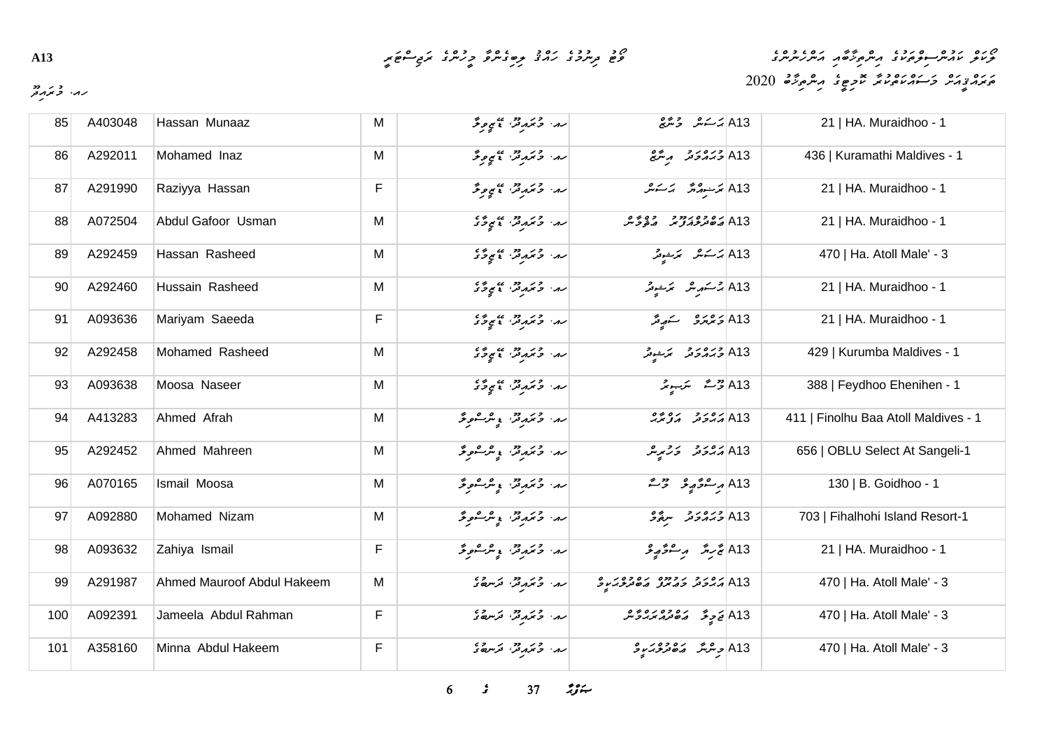*sCw7q7s5w7m< o<n9nOoAw7o< sCq;mAwBoEw7q<m; wBm;vB* م من المرة المرة المرة المرجع المرجع في المركبة 2020<br>مجم*د المريض المربوط المربع المرجع في المراجع المركبة* 

| 85  | A403048 | Hassan Munaaz              | M           | رړ٠ د تر رومي علم و ځ     | A13  پرسترش ترت <i>من</i> چ                                                     | 21   HA. Muraidhoo - 1               |
|-----|---------|----------------------------|-------------|---------------------------|---------------------------------------------------------------------------------|--------------------------------------|
| 86  | A292011 | Mohamed Inaz               | M           | ره وتروده به وقر          | A13 <i>25222 م</i> ېترنى                                                        | 436   Kuramathi Maldives - 1         |
| 87  | A291990 | Raziyya Hassan             | F           | رە ئەمەم بەلگا كالمح بولى | A13 ىزىنب <i>ەد گەنگەنگە</i>                                                    | 21   HA. Muraidhoo - 1               |
| 88  | A072504 | Abdul Gafoor Usman         | M           | رړ٠ وترروز ، پاروه        | A13 كەھىر <i>ورو دەپى</i> ر                                                     | 21   HA. Muraidhoo - 1               |
| 89  | A292459 | Hassan Rasheed             | M           | رړ وتر ده په ده           | A13   پرستہ سر سمزمنٹر مقر                                                      | 470   Ha. Atoll Male' - 3            |
| 90  | A292460 | Hussain Rasheed            | M           | رړ٠ وتر دو په ده          | A13   جُرْسَم مِرْ مَرْسُومْرُ                                                  | 21   HA. Muraidhoo - 1               |
| 91  | A093636 | Mariyam Saeeda             | F           | رړ٠ وتمريز ، پاتون        | A13 كى <i>جەمدى ئىسم يى</i> گر                                                  | 21   HA. Muraidhoo - 1               |
| 92  | A292458 | Mohamed Rasheed            | M           | رړ٠ وترروز ، پرور         | A13 <i>وُبَرُوُوَتَرُ بَرَحْ</i> بِيْرَ                                         | 429   Kurumba Maldives - 1           |
| 93  | A093638 | Moosa Naseer               | M           | رړ و تررو په دې           | A13 فخر مترسونتر                                                                | 388   Feydhoo Ehenihen - 1           |
| 94  | A413283 | Ahmed Afrah                | M           | ره و برمده و شرعون        | A13 كەبروتىر كەنۋىتى <sub>د</sub> ىر                                            | 411   Finolhu Baa Atoll Maldives - 1 |
| 95  | A292452 | Ahmed Mahreen              | M           | رە، دىمەتر، دىرگەرگە      | A13   كەبۇ <i>52 كەنگەن</i> گە                                                  | 656   OBLU Select At Sangeli-1       |
| 96  | A070165 | Ismail Moosa               | M           | رړ. د برړين په برگوري     | A13 <sub>م</sub> وستر <i>ڈ پ</i> وٹ جو شے                                       | 130   B. Goidhoo - 1                 |
| 97  | A092880 | Mohamed Nizam              | M           | رړ. د برورو په برگورو ک   | A13 دُيَرْدُوَنْرَ سِنْدَوْ                                                     | 703   Fihalhohi Island Resort-1      |
| 98  | A093632 | Zahiya Ismail              | $\mathsf F$ | رە، دىرەتى پەرگەر ئو      | A13 تج پەتر - مەش <sup>ى</sup> ر مەشق                                           | 21   HA. Muraidhoo - 1               |
| 99  | A291987 | Ahmed Mauroof Abdul Hakeem | M           | رو . و ترونو . ترس و ع    | A13 <i>ביפי בהיט, הסיניבה</i> פ                                                 | 470   Ha. Atoll Male' - 3            |
| 100 | A092391 | Jameela Abdul Rahman       | $\mathsf F$ | תו בתגמי תיים             | A13 ق <sub>َ</sub> حِرِ حَمَّ صَ <i>مَّ مَرْمَ بَرَ حَرَّ مَرَّ حَرَّ مَرَّ</i> | 470   Ha. Atoll Male' - 3            |
| 101 | A358160 | Minna Abdul Hakeem         | F           | מגי כיתות כל תיינם ב      | A13 <i>جەنگە خەھىرى بىرى</i>                                                    | 470   Ha. Atoll Male' - 3            |

*6 sC 37 nNw?mS*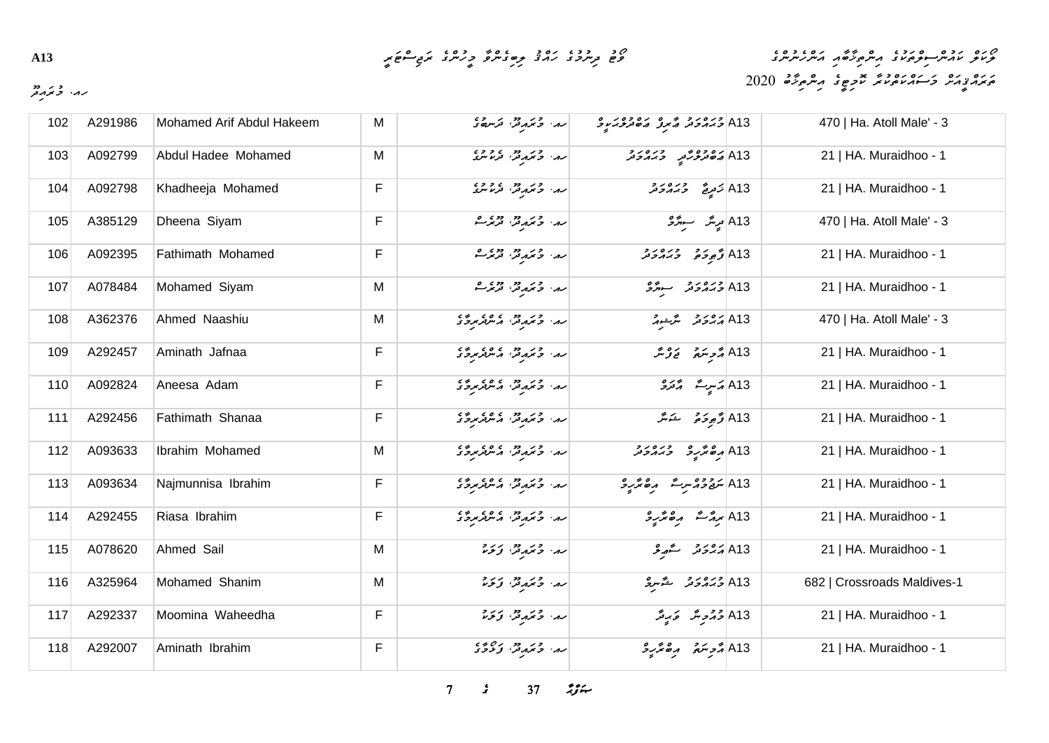*sCw7q7s5w7m< o<n9nOoAw7o< sCq;mAwBoEw7q<m; wBm;vB* م من المرة المرة المرة المرجع المرجع في المركبة 2020<br>مجم*د المريض المربوط المربع المرجع في المراجع المركبة* 

| 102 | A291986 | Mohamed Arif Abdul Hakeem | M            | رو . و تروفر . ترس و ع   | A13   220 كرمرو محمد محمد المحدوث المحمد الم | 470   Ha. Atoll Male' - 3   |
|-----|---------|---------------------------|--------------|--------------------------|----------------------------------------------|-----------------------------|
| 103 | A092799 | Abdul Hadee Mohamed       | M            | رد. وتردفر، فرماسی       | A13 كەھەرگەر بەر ئەرگەر ئا                   | 21   HA. Muraidhoo - 1      |
| 104 | A092798 | Khadheeja Mohamed         | $\mathsf F$  | رد. وتمدين ورس           | A13 كَتْمِيعٌ - وْبَرْجْرْجْرْ               | 21   HA. Muraidhoo - 1      |
| 105 | A385129 | Dheena Siyam              | $\mathsf F$  | رە ئەتەر دە دەر ئ        | A13 مریٹر س <i>بوڈڈ</i>                      | 470   Ha. Atoll Male' - 3   |
| 106 | A092395 | Fathimath Mohamed         | F            | رە ئەتەر دە بول ھ        | A13 تُجِعَةً حَمَدَّ مَعَ                    | 21   HA. Muraidhoo - 1      |
| 107 | A078484 | Mohamed Siyam             | M            | رد. وتردی ترتر -         | A13 دېم ديز مور شور پر                       | 21   HA. Muraidhoo - 1      |
| 108 | A362376 | Ahmed Naashiu             | M            | رد. وتمدين د سرمروی      | A13 كەبرى كىر سەر ئىشىدى كىشىدى بىر كىل      | 470   Ha. Atoll Male' - 3   |
| 109 | A292457 | Aminath Jafnaa            | $\mathsf F$  | رد. و نمایش از مرتز بروی | A13 مَّ حِسَمَ صَوْتَر                       | 21   HA. Muraidhoo - 1      |
| 110 | A092824 | Aneesa Adam               | $\mathsf{F}$ | رد. وتمدتر، دسربربروی    | A13 كەسرىسە مەمەرتى<br>                      | 21   HA. Muraidhoo - 1      |
| 111 | A292456 | Fathimath Shanaa          | $\mathsf F$  | رد. وتمهای ماهویروی      | A13 ۇ <sub>جو</sub> رۇ شەش                   | 21   HA. Muraidhoo - 1      |
| 112 | A093633 | Ibrahim Mohamed           | M            | رد. وتردش وترورون        | A13 مەھەم بەر 13 مەدر د                      | 21   HA. Muraidhoo - 1      |
| 113 | A093634 | Najmunnisa Ibrahim        | $\mathsf F$  | رد. و نمایش از مرتز بروی | A13 ىتر <i>ة دوسرت م</i> ەھرىرى              | 21   HA. Muraidhoo - 1      |
| 114 | A292455 | Riasa Ibrahim             | $\mathsf F$  | رد. وتمدين د سرمروی      | A13 بىرقە ئەھەتزىرى                          | 21   HA. Muraidhoo - 1      |
| 115 | A078620 | Ahmed Sail                | M            | رە - ئەترەپى ئەترە       | A13 كەبۇر قىر سىمب <i>ە</i> نى               | 21   HA. Muraidhoo - 1      |
| 116 | A325964 | Mohamed Shanim            | M            | رە - ئەترەپى ئەترە       | A13 <i>وُبَهُ وَبَوْ</i> مُسَمَّسِ           | 682   Crossroads Maldives-1 |
| 117 | A292337 | Moomina Waheedha          | F            | رە، دىمەتر، زىر          | A13   قەترىتر - ق <i>ەب</i> ەتر              | 21   HA. Muraidhoo - 1      |
| 118 | A292007 | Aminath Ibrahim           | F            | رە - ئەتمەتر، ۋىزى       | A13 أ <i>مَّ حِ سَمَّة مِنْ مَحْرِجْ</i>     | 21   HA. Muraidhoo - 1      |

*7 sC 37 nNw?mS*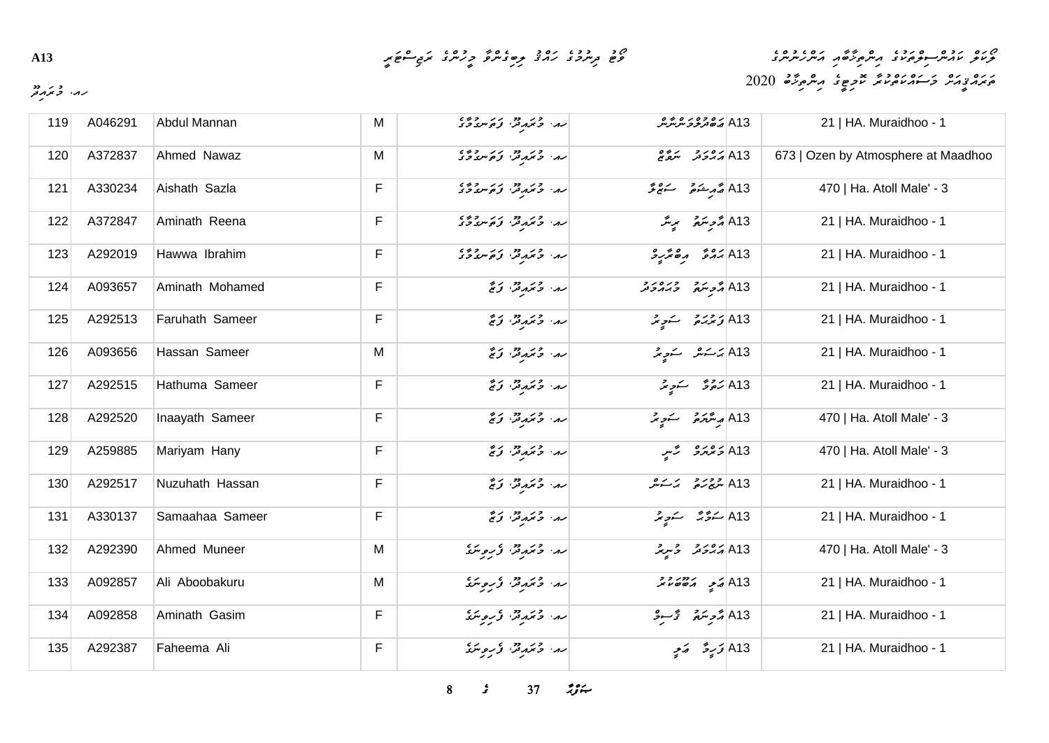*sCw7q7s5w7m< o<n9nOoAw7o< sCq;mAwBoEw7q<m; wBm;vB* م من المرة المرة المرة المرجع المرجع في المركبة 2020<br>مجم*د المريض المربوط المربع المرجع في المراجع المركبة* 

| 119 | A046291 | Abdul Mannan    | M            | رد. وتمرد فر کو مرد و ده | A13 كەھ تۈرۈپ ش <i>ەر بى</i> ر         | 21   HA. Muraidhoo - 1              |
|-----|---------|-----------------|--------------|--------------------------|----------------------------------------|-------------------------------------|
| 120 | A372837 | Ahmed Nawaz     | M            | رد. وتمهيل وه سوده       |                                        | 673   Ozen by Atmosphere at Maadhoo |
| 121 | A330234 | Aishath Sazla   | F            | رد. وتمرد فرکو ده د      | A13 م <i>ۇم شەھ ئىسى ئى</i> ر          | 470   Ha. Atoll Male' - 3           |
| 122 | A372847 | Aminath Reena   | F            | رد. وتمرد وه وتمسك وه    | A13 مَّ حِ سَمَّۃ مِ سِتَّر            | 21   HA. Muraidhoo - 1              |
| 123 | A292019 | Hawwa Ibrahim   | F            | رد. وتمدين وتمسك وده     | A13 بَرْدُوَّ مِرْحَمَّدِدِّ           | 21   HA. Muraidhoo - 1              |
| 124 | A093657 | Aminath Mohamed | $\mathsf{F}$ | رە - ئەتمەتر، ئ          | A13 مَّ <i>جِسَمَّة حَمَدُهُ حَ</i> رَ | 21   HA. Muraidhoo - 1              |
| 125 | A292513 | Faruhath Sameer | F            | رە - ئەترەپى ئ           | A13 ئ <i>وترىنىڭ سۇم</i> تر            | 21   HA. Muraidhoo - 1              |
| 126 | A093656 | Hassan Sameer   | M            | رە - ئەترەپى ئ           | A13   پرستہ شرویز                      | 21   HA. Muraidhoo - 1              |
| 127 | A292515 | Hathuma Sameer  | F            | رد. وتمه تر، وتج         | A13 كەنزىق سى <i>م</i> ويتر            | 21   HA. Muraidhoo - 1              |
| 128 | A292520 | Inaayath Sameer | F            | رد. وتمديق وتج           | A13 م <i>ېنگونگو</i> سکوچر             | 470   Ha. Atoll Male' - 3           |
| 129 | A259885 | Mariyam Hany    | F            | رە - ئەتمەتى كەمج        | A13 كەنگەنگە مەسىر                     | 470   Ha. Atoll Male' - 3           |
| 130 | A292517 | Nuzuhath Hassan | F            | رە - ئەترەپى ئ           | A13 يرىج كەشىر كەسىر                   | 21   HA. Muraidhoo - 1              |
| 131 | A330137 | Samaahaa Sameer | $\mathsf{F}$ | رە - ئەترەق ئ            | A13 سَتَرَبَّہُ سَمَ <i>وِيْر</i> َ    | 21   HA. Muraidhoo - 1              |
| 132 | A292390 | Ahmed Muneer    | M            | رە - ئەترەق كەرەپىرى     | A13 كەندى قىرىتى ئى                    | 470   Ha. Atoll Male' - 3           |
| 133 | A092857 | Ali Aboobakuru  | M            | رە . ئەترەق ئۇرۇشى       | A13 <i>جُعِ مُقْعَ</i> مَعَ            | 21   HA. Muraidhoo - 1              |
| 134 | A092858 | Aminath Gasim   | F            | رە. دىمەتر، ۋرەپىگە      | A13 مَّ حِسَمَ تَحْسِرْ مَحَ           | 21   HA. Muraidhoo - 1              |
| 135 | A292387 | Faheema Ali     | F            | رە. دىمەتر، ۋىرە ئىگە    | A13 <i>ق-ي</i> رَّة - صَمِيَّ          | 21   HA. Muraidhoo - 1              |

**8** *s* **37** *n***<sub>y</sub> <b>***s*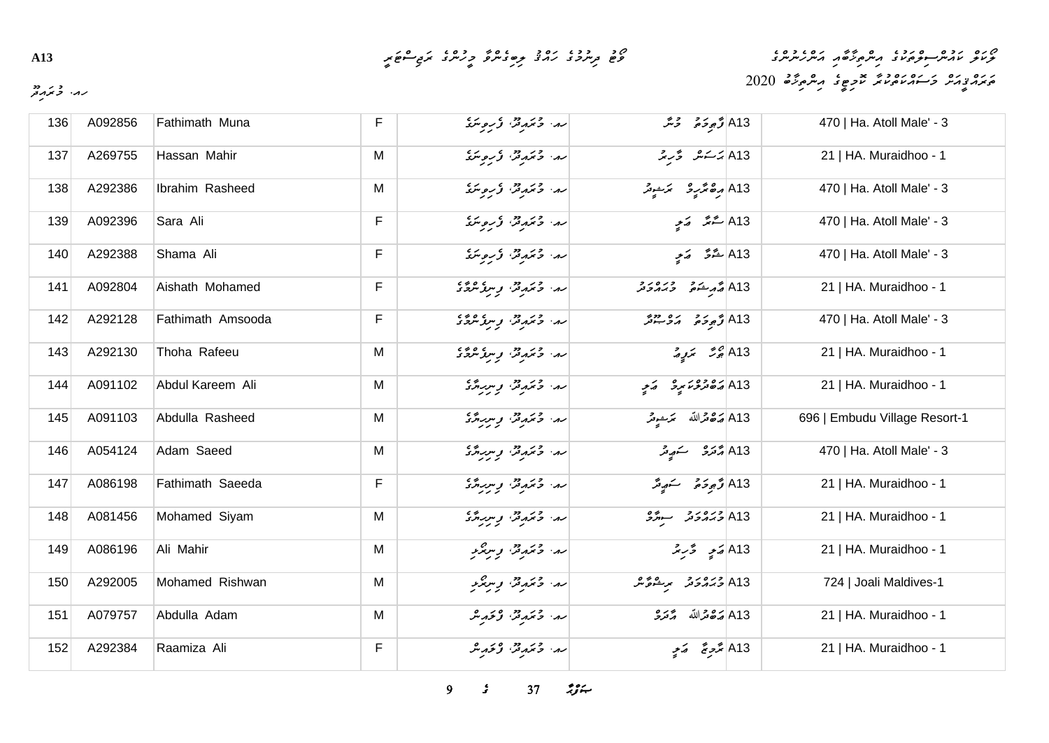*sCw7q7s5w7m< o<n9nOoAw7o< sCq;mAwBoEw7q<m; wBm;vB* م من المرة المرة المرة المرجع المرجع في المركبة 2020<br>مجم*د المريض المربوط المربع المرجع في المراجع المركبة* 

| 136 | A092856 | Fathimath Muna    | $\mathsf F$ | رە، دىمەتر، ۋرەپىد      | A13 <i>وَّجِ حَمَّى حَسَّ</i>                   | 470   Ha. Atoll Male' - 3     |
|-----|---------|-------------------|-------------|-------------------------|-------------------------------------------------|-------------------------------|
| 137 | A269755 | Hassan Mahir      | M           | رە ، ئەترەق ئۇرۇشمە     | A13   پرسترس ت <i>ح پ</i> ر                     | 21   HA. Muraidhoo - 1        |
| 138 | A292386 | Ibrahim Rasheed   | M           | رما وتمرمرض وروسى       | A13 م <i>وڭ مگرى</i> دۇ سىمئىيەتر               | 470   Ha. Atoll Male' - 3     |
| 139 | A092396 | Sara Ali          | F           | رما وتمرمرش وروسمة      | A13 گەنتى كەم <u>و</u>                          | 470   Ha. Atoll Male' - 3     |
| 140 | A292388 | Shama Ali         | F           | رما وتمديق وروسى        | A13 يُحَرَّ - رَمِ                              | 470   Ha. Atoll Male' - 3     |
| 141 | A092804 | Aishath Mohamed   | F           | رە - ئەتەبلاش ۋىلوگىنىڭ | A13 مَّ مِشَمَّ وَيَدْوَنَّرَ                   | 21   HA. Muraidhoo - 1        |
| 142 | A292128 | Fathimath Amsooda | F           | رر و تررد و سرگارده     | A13 گ <sub>ۇچ</sub> وڭمۇ ئەمى <sup>55</sup> بىر | 470   Ha. Atoll Male' - 3     |
| 143 | A292130 | Thoha Rafeeu      | M           | رما وتمديق وسؤسرة       | A13 چۇ <i>ڭ ترو</i> چ                           | 21   HA. Muraidhoo - 1        |
| 144 | A091102 | Abdul Kareem Ali  | M           | رر و ترروز و سربرگا     | A13 كەھەر <i>3 كەيرى ھەم</i> چ                  | 21   HA. Muraidhoo - 1        |
| 145 | A091103 | Abdulla Rasheed   | M           | رە - ئەتەرلىق ۋىرىدىگە  | A13 كَەھْتَرَاللَّهُ كَرَسُوتَر                 | 696   Embudu Village Resort-1 |
| 146 | A054124 | Adam Saeed        | M           | رد. وتمردی و سربردی     | A13 مُرْتَرَدُ سَمَ <i>مِ</i> يْتَرُ            | 470   Ha. Atoll Male' - 3     |
| 147 | A086198 | Fathimath Saeeda  | F           | رە - ئەتەرلىق ۋىرىدىگە  | A13 قَ <i>مِوحَةْ سَهِيدً</i>                   | 21   HA. Muraidhoo - 1        |
| 148 | A081456 | Mohamed Siyam     | M           | رر و ترری و سربرگ       | A13 <i>دېزونه</i> سو <i>گړ</i> و                | 21   HA. Muraidhoo - 1        |
| 149 | A086196 | Ali Mahir         | M           | رە - ئەتەرلىق ۋىلوپرىو  | A13 <i>ڇَوِ وُرِيمُ</i>                         | 21   HA. Muraidhoo - 1        |
| 150 | A292005 | Mohamed Rishwan   | M           | رە، دىمەش رىرىگىر       | A13 <i>وُبَرُوونو بِرِحُومُرُ</i>               | 724   Joali Maldives-1        |
| 151 | A079757 | Abdulla Adam      | M           | رە - ئەترەقر، ۋىزە ش    | A13 يَرْجُّونُواللَّهُ مَرْمَرْدُّ              | 21   HA. Muraidhoo - 1        |
| 152 | A292384 | Raamiza Ali       | F           | رە. دىمەتى ۋىرىر        | A13 تُرْرِجٌ     رَمٍ                           | 21   HA. Muraidhoo - 1        |

*9 s* 37 *i*<sub>s</sub>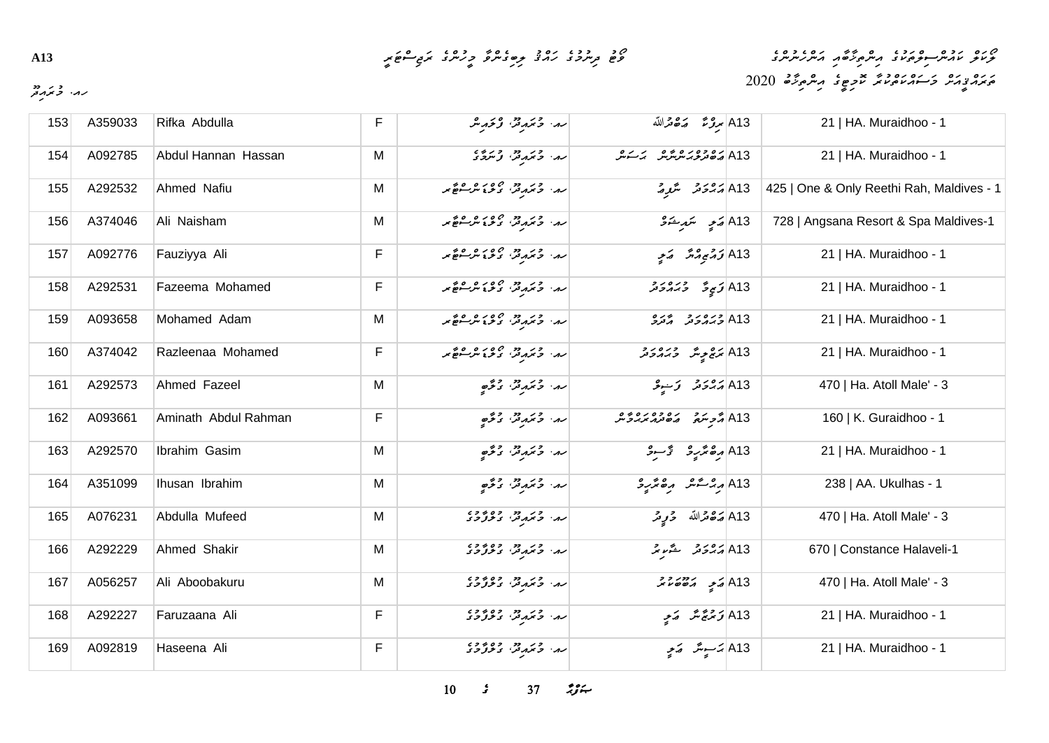*sCw7q7s5w7m< o<n9nOoAw7o< sCq;mAwBoEw7q<m; wBm;vB* م من المرة المرة المرة المرجع المرجع في المركبة 2020<br>مجم*د المريض المربوط المربع المرجع في المراجع المركبة* 

| 153 | A359033 | Rifka Abdulla        | $\mathsf F$  | رە ئەتەر ئۇ ئۇ ئەس                            | A13 موثر ممّ مَدَّة مَدَاللّه             | 21   HA. Muraidhoo - 1                    |
|-----|---------|----------------------|--------------|-----------------------------------------------|-------------------------------------------|-------------------------------------------|
| 154 | A092785 | Abdul Hannan Hassan  | M            | أرما وتمدير وروء                              | A13 كەھەرى <i>جەشرىرى بەسكى</i> ر         | 21   HA. Muraidhoo - 1                    |
| 155 | A292532 | Ahmed Nafiu          | M            | روس دو مهمده وه ده در دارد و بالا             | A13 كەش <sup>ى</sup> رىقىر ش <i>ىنى</i> م | 425   One & Only Reethi Rah, Maldives - 1 |
| 156 | A374046 | Ali Naisham          | M            | روس وتروفري وتوج مرت وه بر                    | A13 <i>مَنْ بِسَمِ</i> حَدَّدٌ            | 728   Angsana Resort & Spa Maldives-1     |
| 157 | A092776 | Fauziyya Ali         | F            | رەسى ئەرەم ئەرەر ئەھمىر                       | A13 <i>قەتىم ھەقىھى</i> ھەمچە             | 21   HA. Muraidhoo - 1                    |
| 158 | A292531 | Fazeema Mohamed      | $\mathsf F$  | روس ويروده مهموره وه ويد                      | A13 كۆپى ئىقىدى ئىسىمبىتىلىرى ئىس         | 21   HA. Muraidhoo - 1                    |
| 159 | A093658 | Mohamed Adam         | M            | روس ورود مهموره مع                            | A13 <i>2522 مح</i> مد ح                   | 21   HA. Muraidhoo - 1                    |
| 160 | A374042 | Razleenaa Mohamed    | F            | روس وتروفري وتوج مرت وه بر                    | A13 ىرچمىسى مەردە ئىرىدىن                 | 21   HA. Muraidhoo - 1                    |
| 161 | A292573 | Ahmed Fazeel         | M            | رو . و ترویژ، و تره                           | A13  پژونو تىنىدى                         | 470   Ha. Atoll Male' - 3                 |
| 162 | A093661 | Aminath Abdul Rahman | $\mathsf F$  | رە - ئەترەپ ئىگھ                              | A13 مُوسَع مەھىرمىدۇش                     | 160   K. Guraidhoo - 1                    |
| 163 | A292570 | Ibrahim Gasim        | M            | رە - ئەتەرقى ئەقرە                            | A13 مەھەمگەر تۇسومى                       | 21   HA. Muraidhoo - 1                    |
| 164 | A351099 | Ihusan Ibrahim       | M            | رە - ئەتەرقى ئەقرە                            | A13 مربر مشعر مرکام محمد کرد              | 238   AA. Ukulhas - 1                     |
| 165 | A076231 | Abdulla Mufeed       | M            | رد. وتردفر، وه ووه                            | A13 كەھەراللە   ق. يەتر                   | 470   Ha. Atoll Male' - 3                 |
| 166 | A292229 | Ahmed Shakir         | M            | رد. وتمدير ووء وه                             | A13 كەبرى قىرىقى ئىقتى بىر                | 670   Constance Halaveli-1                |
| 167 | A056257 | Ali Aboobakuru       | M            | رد. وتردفر، وه ووه                            | A13 <i>جُمْعِ مُقْعَة بِ</i>              | 470   Ha. Atoll Male' - 3                 |
| 168 | A292227 | Faruzaana Ali        | $\mathsf{F}$ | رد. وتردفز، وولاوی                            | A13 كۇيۇچچە شەمبە                         | 21   HA. Muraidhoo - 1                    |
| 169 | A092819 | Haseena Ali          | F            | رد. و بردو وه وه و ،<br>رد. و بردند، و وو و ، | A13 بز-پڻر گھي <sub>ج</sub>               | 21   HA. Muraidhoo - 1                    |

*10 s* 37 *if*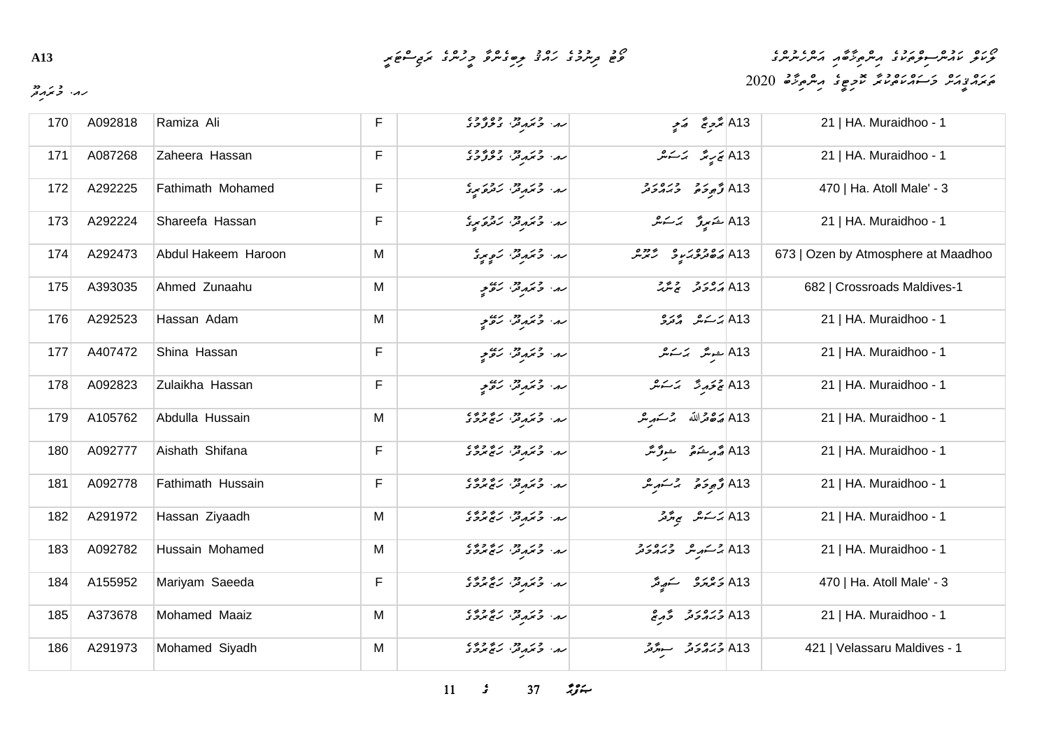*sCw7q7s5w7m< o<n9nOoAw7o< sCq;mAwBoEw7q<m; wBm;vB* م من المرة المرة المرة المرجع المرجع في المركبة 2020<br>مجم*د المريض المربوط المربع المرجع في المراجع المركبة* 

| 170 | A092818 | Ramiza Ali          | F           | رړ و برړتو، وه دوه                              | A13 تُرْ <sub>حِ</sub> يُّ – مَ <sup>ح</sup> ٍ | 21   HA. Muraidhoo - 1              |
|-----|---------|---------------------|-------------|-------------------------------------------------|------------------------------------------------|-------------------------------------|
| 171 | A087268 | Zaheera Hassan      | F           | رد. و بردود وه وه و ،<br>رد. و بردند، د نوو و د | A13 تج پەنتىر كەسكەنلىر                        | 21   HA. Muraidhoo - 1              |
| 172 | A292225 | Fathimath Mohamed   | F           | رە . دىگەنگە . دەر .                            | A13 وُجِرَة وَبَرْمُرَسَّ                      | 470   Ha. Atoll Male' - 3           |
| 173 | A292224 | Shareefa Hassan     | $\mathsf F$ | رد. وتمهيل روز و                                | A13 خەمبەر كەشكەر                              | 21   HA. Muraidhoo - 1              |
| 174 | A292473 | Abdul Hakeem Haroon | M           | رړ. ونمروژ، رُوِيږد                             | A13 كەھىر <i>ۋە بىر بىر ئىترىش</i>             | 673   Ozen by Atmosphere at Maadhoo |
| 175 | A393035 | Ahmed Zunaahu       | M           | رە - ئەتەرلىقى ئەتەمچە                          | A13 كەبرۇتر كى ئىگە                            | 682   Crossroads Maldives-1         |
| 176 | A292523 | Hassan Adam         | M           | رە - ئەتەرلىقى كەن كۆم                          | A13 بزشک مر <i>گری</i>                         | 21   HA. Muraidhoo - 1              |
| 177 | A407472 | Shina Hassan        | $\mathsf F$ | رە - ئەتەرقى ئەھمىي                             | A13 حيثر ك <b>رك</b> شر                        | 21   HA. Muraidhoo - 1              |
| 178 | A092823 | Zulaikha Hassan     | $\mathsf F$ | رو ، و تروفر، ري و                              | A13 يح يح <sub>م</sub> ر 2 سك شركت بر          | 21   HA. Muraidhoo - 1              |
| 179 | A105762 | Abdulla Hussain     | M           | מגי כמגבי משמכש                                 | A13 كەھەراللە ب <sub>ە</sub> سەمبەشر           | 21   HA. Muraidhoo - 1              |
| 180 | A092777 | Aishath Shifana     | $\mathsf F$ | מגי כמקבלי משמכב                                | A13 مَيْرِسْدَمْ صَوِرَّسَّرَ                  | 21   HA. Muraidhoo - 1              |
| 181 | A092778 | Fathimath Hussain   | $\mathsf F$ | מגי כמגבי משמכש                                 | A13 <i>وَّجِ دَمَّةَ بِرْسَهِيمْ</i>           | 21   HA. Muraidhoo - 1              |
| 182 | A291972 | Hassan Ziyaadh      | M           | מגי כמקבלי משמכש                                | A13   ئەسەئىر م <sub>ى ت</sub> ورتىر           | 21   HA. Muraidhoo - 1              |
| 183 | A092782 | Hussain Mohamed     | M           | מגי כמגבי משמכש                                 | A13 يُرسَمبِ شَرِ وَبَرَ مُردَّ مَرَ           | 21   HA. Muraidhoo - 1              |
| 184 | A155952 | Mariyam Saeeda      | F           | מגי כמקבלי משמכב                                | A13 <i>5 بروژ شمهر تر</i>                      | 470   Ha. Atoll Male' - 3           |
| 185 | A373678 | Mohamed Maaiz       | M           | מגי כמה בי המיכים                               | A13 <i>جَهُدُوَنَّرَ</i> وَ <i>َم</i> ِ مَحَ   | 21   HA. Muraidhoo - 1              |
| 186 | A291973 | Mohamed Siyadh      | M           | رە - دىگەنى - ئەنجىردى                          | A13 <i>ۋېزو ئ</i> وقر سوم <i>ر</i> تر          | 421   Velassaru Maldives - 1        |

 $11$  *s* 37  $23$   $-$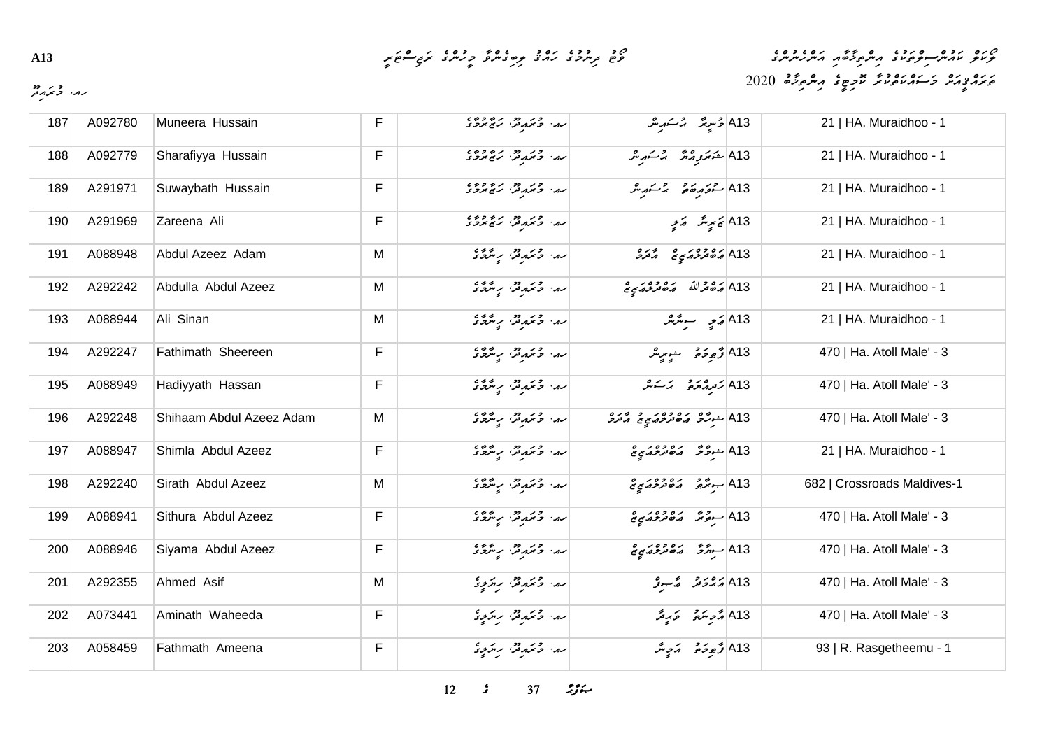*sCw7q7s5w7m< o<n9nOoAw7o< sCq;mAwBoEw7q<m; wBm;vB* م من المرة المرة المرة المرجع المرجع في المركبة 2020<br>مجم*د المريض المربوط المربع المرجع في المراجع المركبة* 

| 187 | A092780 | Muneera Hussain          | F            | رد. و بردود. ره وه و                      | A13  3سرپر پر جمہور میں                           | 21   HA. Muraidhoo - 1      |
|-----|---------|--------------------------|--------------|-------------------------------------------|---------------------------------------------------|-----------------------------|
| 188 | A092779 | Sharafiyya Hussain       | F            | תגי כמגבי משמכש                           | A13 ڪ <i>مترو ۾ پڻ گرم پڻ</i> ر                   | 21   HA. Muraidhoo - 1      |
| 189 | A291971 | Suwaybath Hussain        | $\mathsf{F}$ | رد. و نرود. رو دو ،<br>در و نروش رنج نروی | A13 سىۋېرىھ ئەسىر بىر                             | 21   HA. Muraidhoo - 1      |
| 190 | A291969 | Zareena Ali              | $\mathsf{F}$ | מגי כמה בי תשמכל                          | A13 کچ میںٹر کے می                                | 21   HA. Muraidhoo - 1      |
| 191 | A088948 | Abdul Azeez Adam         | M            | رد. وتمدير سور دور                        | A13 كەھەر <i>ىۋە بىچ ئە</i> رە                    | 21   HA. Muraidhoo - 1      |
| 192 | A292242 | Abdulla Abdul Azeez      | M            | رە - ئەتەرلىق بەشكەلى                     | A13 كَرْهُ قَرْاللَّهُ لَهُ صَعْرَفْهُ مِي مَحْ   | 21   HA. Muraidhoo - 1      |
| 193 | A088944 | Ali Sinan                | M            | رە - ئەتەرلىقى سەھەم                      | A13  رَمٍ سویٹریٹر                                | 21   HA. Muraidhoo - 1      |
| 194 | A292247 | Fathimath Sheereen       | $\mathsf{F}$ | رە - ئەتەرلىق بەشكەلى                     | A13 <i>وُّجوحَ</i> هُ شومِرِيْتَر                 | 470   Ha. Atoll Male' - 3   |
| 195 | A088949 | Hadiyyath Hassan         | F            | رړ. وترړي رسرون                           | A13 كىر <i>ە مەرقى بىر سەنگ</i> ە                 | 470   Ha. Atoll Male' - 3   |
| 196 | A292248 | Shihaam Abdul Azeez Adam | M            | رە ئەتەرلىق بەشكە                         | A13 خې <i>رگو پره ده د په م</i> ترو               | 470   Ha. Atoll Male' - 3   |
| 197 | A088947 | Shimla Abdul Azeez       | $\mathsf F$  | رە - ئەتەرلىق بەشكەلى                     | A13 خو <i>گۇ ھەترىۋە يې</i> تە                    | 21   HA. Muraidhoo - 1      |
| 198 | A292240 | Sirath Abdul Azeez       | M            | رە - ئەتەرلىق بەشكەلى                     | A13 سو <i>نزو مەھەر دەرى</i><br>A13               | 682   Crossroads Maldives-1 |
| 199 | A088941 | Sithura Abdul Azeez      | F            | رد. وتمدير سور                            | A13 سو <i>مۇنىڭ مەھەر ۋە ي</i>                    | 470   Ha. Atoll Male' - 3   |
| 200 | A088946 | Siyama Abdul Azeez       | $\mathsf{F}$ | رړ٠ وغږون رغوی                            | A13 سورة مەھەر <i>ۋە يې</i> تە                    | 470   Ha. Atoll Male' - 3   |
| 201 | A292355 | Ahmed Asif               | M            | رە - ئەترەتى بەرجەتى                      | A13 كەبرى قىلىدۇ                                  | 470   Ha. Atoll Male' - 3   |
| 202 | A073441 | Aminath Waheeda          | F            | رە - ئەنگەنى رىگرىي                       |                                                   | 470   Ha. Atoll Male' - 3   |
| 203 | A058459 | Fathmath Ameena          | F            | رە - ئەترەتى بەرجەتى                      | A13 <i>وُّجوحَ</i> هُ – مَر <sub>َّ</sub> حِ مَّد | 93   R. Rasgetheemu - 1     |

*12 s* 37 *if*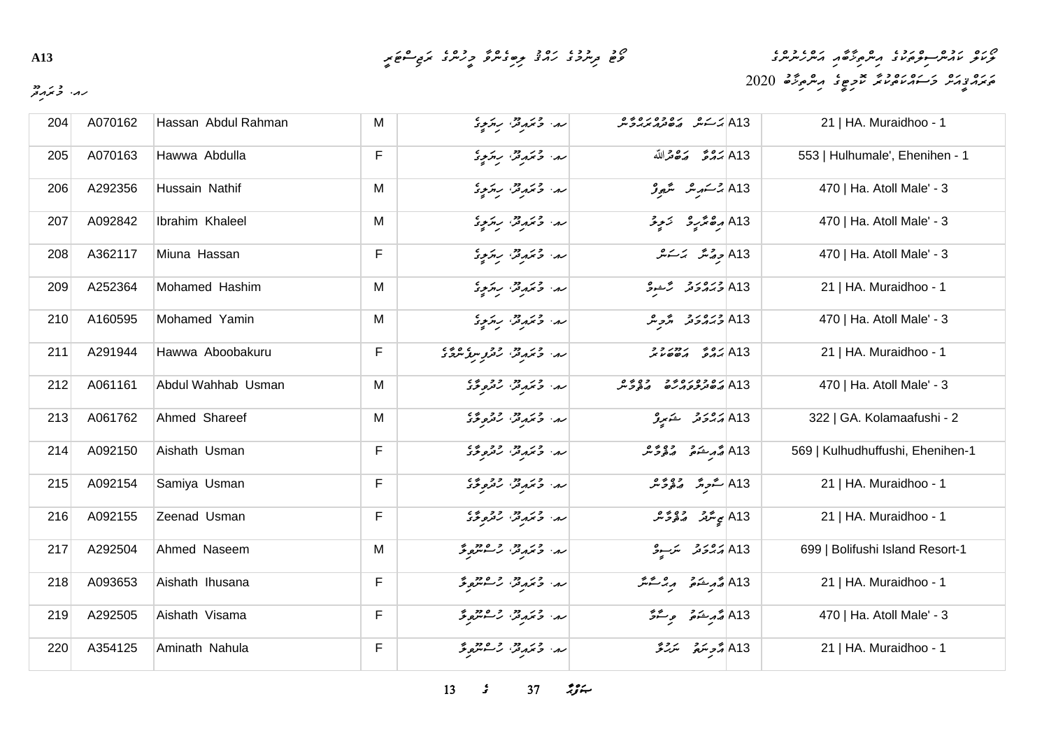*sCw7q7s5w7m< o<n9nOoAw7o< sCq;mAwBoEw7q<m; wBm;vB* م من المرة المرة المرة المرجع المرجع في المركبة 2020<br>مجم*د المريض المربوط المربع المرجع في المراجع المركبة* 

| 204 | A070162 | Hassan Abdul Rahman | M            | رە، ئەنگەنى رىزىدە       | A13 بَرَسَة شَرَ مَرْهُ مِيْرِ مِيْرَ حَمْدَ          | 21   HA. Muraidhoo - 1           |
|-----|---------|---------------------|--------------|--------------------------|-------------------------------------------------------|----------------------------------|
| 205 | A070163 | Hawwa Abdulla       | F            | رە - ئەتمەتى رىزىرى      | A13 بَرْدَةً بِرَصْحَراللّه                           | 553   Hulhumale', Ehenihen - 1   |
| 206 | A292356 | Hussain Nathif      | M            | رە - ئەترەق بەرجەتى      | A13 برسەمبەش س <i>تىمبو</i> ر                         | 470   Ha. Atoll Male' - 3        |
| 207 | A092842 | Ibrahim Khaleel     | M            | رە - ئەترەتى رەكرومى     | A13 <sub>مر</sub> ھ تژرچ تزییتی                       | 470   Ha. Atoll Male' - 3        |
| 208 | A362117 | Miuna Hassan        | F            | رە ئەتمەتى رىزىرى        | A13 <sub>حوض</sub> تر برسکر                           | 470   Ha. Atoll Male' - 3        |
| 209 | A252364 | Mohamed Hashim      | M            | رە - ئەنگەنى رىگرىي      | A13 <i>وبروبروتر گ</i> ھو                             | 21   HA. Muraidhoo - 1           |
| 210 | A160595 | Mohamed Yamin       | M            | رە - ئەتمەتى رىزىرى      | A13  <i>وبروبروم</i> تر م <i>رَّدِ</i> سْر            | 470   Ha. Atoll Male' - 3        |
| 211 | A291944 | Hawwa Aboobakuru    | F            | رە ئەتەرەم ئەربەت ئەرە   | $77227 702$ A13                                       | 21   HA. Muraidhoo - 1           |
| 212 | A061161 | Abdul Wahhab Usman  | M            | رړ٠ ونمه تر دو وه        | A13 <sub>م</sub> ەھ <i>وم دەپىر دەپ ھ</i>             | 470   Ha. Atoll Male' - 3        |
| 213 | A061762 | Ahmed Shareef       | M            | رە . ئەتەر قەر ئەترە ئەت | A13 كەندى قىر سىكەمب <i>و</i> گە                      | 322   GA. Kolamaafushi - 2       |
| 214 | A092150 | Aishath Usman       | $\mathsf{F}$ | رە ئەتەرلىق ئەترەپ ئ     | A13 <i>مَّ مِ</i> شَمَّع مَّ مُوْحَ مَّر              | 569   Kulhudhuffushi, Ehenihen-1 |
| 215 | A092154 | Samiya Usman        | $\mathsf{F}$ | رە . ئەتەرلىق ئەترەپ ئى  | A13 گوپۇ ھۇۋىر                                        | 21   HA. Muraidhoo - 1           |
| 216 | A092155 | Zeenad Usman        | F            | رە . ئەتەرلىق ئەترەپ ئى  | A13 <sub>م</sub> ې ئ <sup>ىر</sup> تى <i>ز ھۇۋىتى</i> | 21   HA. Muraidhoo - 1           |
| 217 | A292504 | Ahmed Naseem        | M            | رە . دىگەنى ئەسەسرە ئ    | A13 كەبۇ5 <i>تىمب</i> وتى                             | 699   Bolifushi Island Resort-1  |
| 218 | A093653 | Aishath Ihusana     | $\mathsf F$  | رە ئەرەر ئەس ئەس ئ       | A13 مَّ مِشَمَّ مِنْ سَمَّتَر                         | 21   HA. Muraidhoo - 1           |
| 219 | A292505 | Aishath Visama      | F            | رە - دىگەش - ئەسمىتى ئ   | A13 مَگْرِسْتَمْ وِسَّوَّ                             | 470   Ha. Atoll Male' - 3        |
| 220 | A354125 | Aminath Nahula      | F            | رړ. د برړي ر گروه د و    | A13 أ <i>مَّ حِ سَمَّةً سَرَجُ</i> مَحَ               | 21   HA. Muraidhoo - 1           |

*r@o<m8q> .<5*

**13** *s* **37** *n***<sub>s</sub>**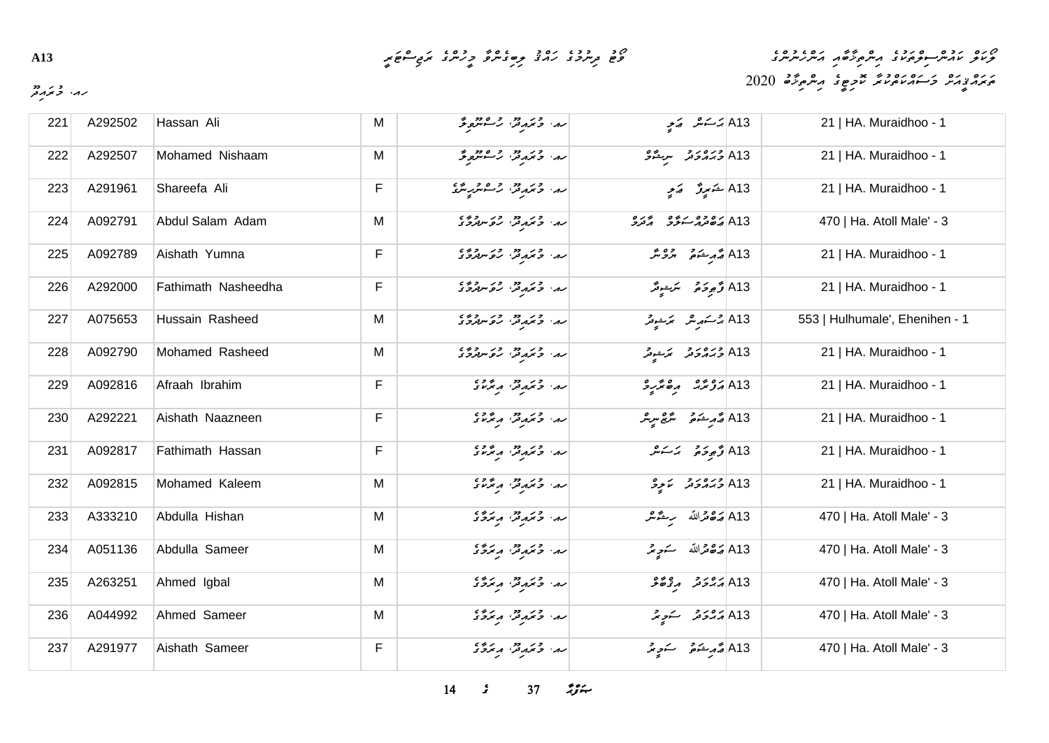*sCw7q7s5w7m< o<n9nOoAw7o< sCq;mAwBoEw7q<m; wBm;vB* م من المرة المرة المرة المرجع المرجع في المركبة 2020<br>مجم*د المريض المربوط المربع المرجع في المراجع المركبة* 

| 221 | A292502 | Hassan Ali          | M            | رە. دىگەنگە، رئىس ئورگە | A13   پرستر کرمی                                                                                     | 21   HA. Muraidhoo - 1         |
|-----|---------|---------------------|--------------|-------------------------|------------------------------------------------------------------------------------------------------|--------------------------------|
| 222 | A292507 | Mohamed Nishaam     | M            | رە . دىگەنى ئەسەسرە ئ   | A13  3 <i>223 كمبر مبرست</i> گ                                                                       | 21   HA. Muraidhoo - 1         |
| 223 | A291961 | Shareefa Ali        | $\mathsf F$  | رړ. ونمرړي رحشرپه ش     | A13 ڪيوتر ک <i>ي</i> ج                                                                               | 21   HA. Muraidhoo - 1         |
| 224 | A092791 | Abdul Salam Adam    | M            | رد. وتروفر ووسوده       | A13 ھ <i>قرم شخر ج</i> ره                                                                            | 470   Ha. Atoll Male' - 3      |
| 225 | A092789 | Aishath Yumna       | F            | رد. وتمردی روسوده       | A13 <i>مەم ھەم مەدىنگ</i>                                                                            | 21   HA. Muraidhoo - 1         |
| 226 | A292000 | Fathimath Nasheedha | $\mathsf F$  | رد. وتروفر، روسرور      | A13 قَ جِرحَة مَ سَرَسِيقَر                                                                          | 21   HA. Muraidhoo - 1         |
| 227 | A075653 | Hussain Rasheed     | M            | رد. وتردفر، روسرور      | A13 برسکوپٹر کرجوٹر                                                                                  | 553   Hulhumale', Ehenihen - 1 |
| 228 | A092790 | Mohamed Rasheed     | M            | رە ئە ئەرەسى ئەسلام     | A13 <i>وُبَرُوْدَة مَرْ</i> خِيْتَر                                                                  | 21   HA. Muraidhoo - 1         |
| 229 | A092816 | Afraah Ibrahim      | F            | מגי כימגים גייניים      | A13 <i>مۇنتى مەھترى</i> د                                                                            | 21   HA. Muraidhoo - 1         |
| 230 | A292221 | Aishath Naazneen    | $\mathsf{F}$ | מגי כימגילי גימים       | A13 مَگرِسْدَمْ مَسَّمَّ سِرْسْر                                                                     | 21   HA. Muraidhoo - 1         |
| 231 | A092817 | Fathimath Hassan    | F            | מגי כמקברי המע          | A13 ۇ <sub>جو</sub> رَى ئەسەش                                                                        | 21   HA. Muraidhoo - 1         |
| 232 | A092815 | Mohamed Kaleem      | M            | מגי כימגילי גימים       | A13 <i>وَبَرُوْدَوْ</i> کَمَوِدُ                                                                     | 21   HA. Muraidhoo - 1         |
| 233 | A333210 | Abdulla Hishan      | M            | מי כימיני ויופט         | A13 كَەھتراللە ب <i>ەش</i> گىر                                                                       | 470   Ha. Atoll Male' - 3      |
| 234 | A051136 | Abdulla Sameer      | M            | מה בימניטי ומבכב        | A13 كەھەرللە س <i>ەربىر</i>                                                                          | 470   Ha. Atoll Male' - 3      |
| 235 | A263251 | Ahmed Igbal         | M            | מגי כ"מהב" הימכ"        | A13 كەبرى قىرىمى ئىس بولغا ئىس بولغا ئىس بولغا ئىس بولغا ئىس بولغا ئىس بولغا ئىس بولغا ئىس بولغا ئاس | 470   Ha. Atoll Male' - 3      |
| 236 | A044992 | Ahmed Sameer        | M            | הו בתונלי ומבש          | A13 كەبۇبۇقە سىمب <i>وي</i> تى                                                                       | 470   Ha. Atoll Male' - 3      |
| 237 | A291977 | Aishath Sameer      | F            | מני בימניצי ומבכב       | A13 م <i>مَّ مِ</i> حَقِيمَة مُصَرِّحِيمَة ا                                                         | 470   Ha. Atoll Male' - 3      |

*14 sC 37 nNw?mS*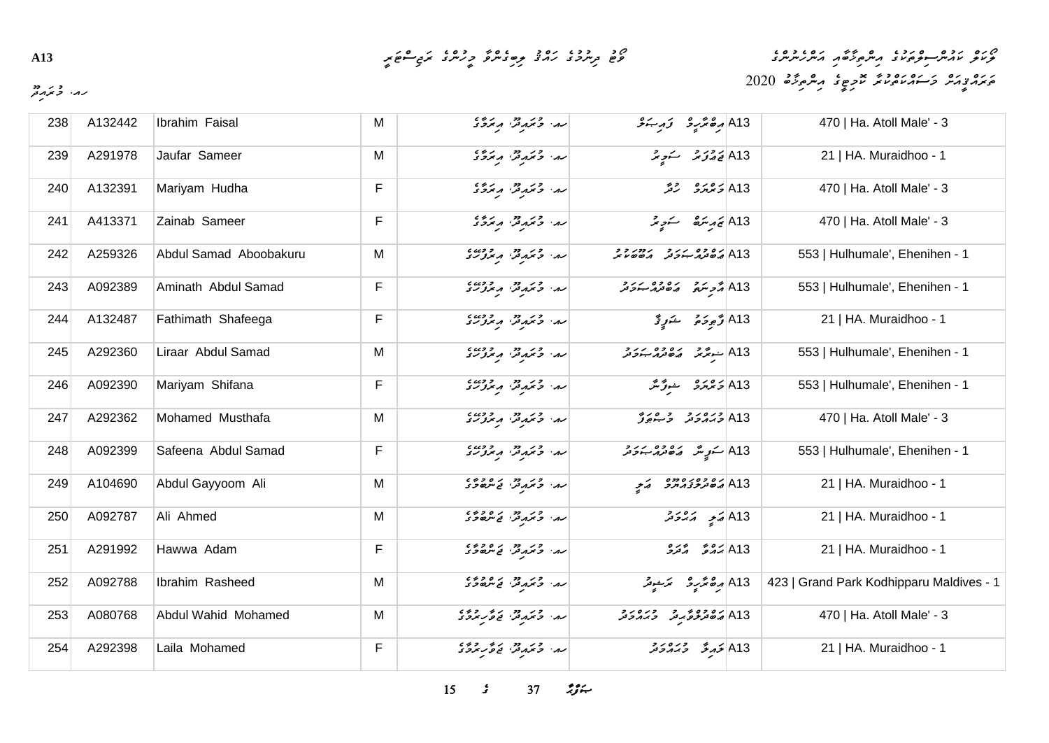*sCw7q7s5w7m< o<n9nOoAw7o< sCq;mAwBoEw7q<m; wBm;vB* م من المرة المرة المرة المرجع المرجع في المركبة 2020<br>مجم*د المريض المربوط المربع المرجع في المراجع المركبة* 

| 238 | A132442 | Ibrahim Faisal         | M           | מי בימניטי וימבש                              | A13 مەھەرىپى قەمبەق                            | 470   Ha. Atoll Male' - 3                |
|-----|---------|------------------------|-------------|-----------------------------------------------|------------------------------------------------|------------------------------------------|
| 239 | A291978 | Jaufar Sameer          | M           | מה בימניטי ושבי                               | A13 <i>ف<sub>ا</sub>فرون</i> مر سکوپتر         | 21   HA. Muraidhoo - 1                   |
| 240 | A132391 | Mariyam Hudha          | F           | מה בימניטי ושבי                               | A13 كەنگەر 3 مىگر                              | 470   Ha. Atoll Male' - 3                |
| 241 | A413371 | Zainab Sameer          | F           | מי כימיני ויופש                               | A13 تم مبترك سكو تحري                          | 470   Ha. Atoll Male' - 3                |
| 242 | A259326 | Abdul Samad Aboobakuru | M           | رد. وتمدی دین                                 |                                                | 553   Hulhumale', Ehenihen - 1           |
| 243 | A092389 | Aminath Abdul Samad    | $\mathsf F$ | رد. وتمديق ديورد                              | A13 كروسم كالمحصوم المرو                       | 553   Hulhumale', Ehenihen - 1           |
| 244 | A132487 | Fathimath Shafeega     | E           | رد. و بردود. د برودر و                        | A13 گر <i>موڅو شوپو</i> گر                     | 21   HA. Muraidhoo - 1                   |
| 245 | A292360 | Liraar Abdul Samad     | M           | رد. و بردود. د دون و<br>رد. و بردود. د برو رو | A13 سىمگىر ھەمدە سىردىر                        | 553   Hulhumale', Ehenihen - 1           |
| 246 | A092390 | Mariyam Shifana        | F           | رد. و بردود. د برودر و                        | A13 ك <i>رېگرى خوگنگ</i>                       | 553   Hulhumale', Ehenihen - 1           |
| 247 | A292362 | Mohamed Musthafa       | M           | رد. وتمرد در دون                              | A13 ويرەرو وجوز                                | 470   Ha. Atoll Male' - 3                |
| 248 | A092399 | Safeena Abdul Samad    | F           | رد. وتردی دیورد                               | A13 سَوِيتَر   پرەوە بەردو                     | 553   Hulhumale', Ehenihen - 1           |
| 249 | A104690 | Abdul Gayyoom Ali      | M           | מגי כמקבלי במפרשים                            | A13 رەپرەمبرە ھېر                              | 21   HA. Muraidhoo - 1                   |
| 250 | A092787 | Ali Ahmed              | M           | מגי כמקבלי במפרשים                            | A13 كەبىر كەبرى قىر                            | 21   HA. Muraidhoo - 1                   |
| 251 | A291992 | Hawwa Adam             | F           | מגי כמקני ביתסכב                              | A13 يَرْدُمَّ مُرْمَرْدُ                       | 21   HA. Muraidhoo - 1                   |
| 252 | A092788 | Ibrahim Rasheed        | M           | מגי כי מגני ובי מסיכיב                        | A13 م <i>وڭ تۇرى تىخ</i> مۇقر                  | 423   Grand Park Kodhipparu Maldives - 1 |
| 253 | A080768 | Abdul Wahid Mohamed    | M           | رد. ويمه فر المحمد وه و                       | A13 كەھىرقوم بىر بەر بەر دىر                   | 470   Ha. Atoll Male' - 3                |
| 254 | A292398 | Laila Mohamed          | F           | رما وتمرمر فرا في والمردان                    | A13  تخ <sub>م</sub> رتى تخ <sup>م</sup> ەدىمى | 21   HA. Muraidhoo - 1                   |

*15 sC 37 nNw?mS*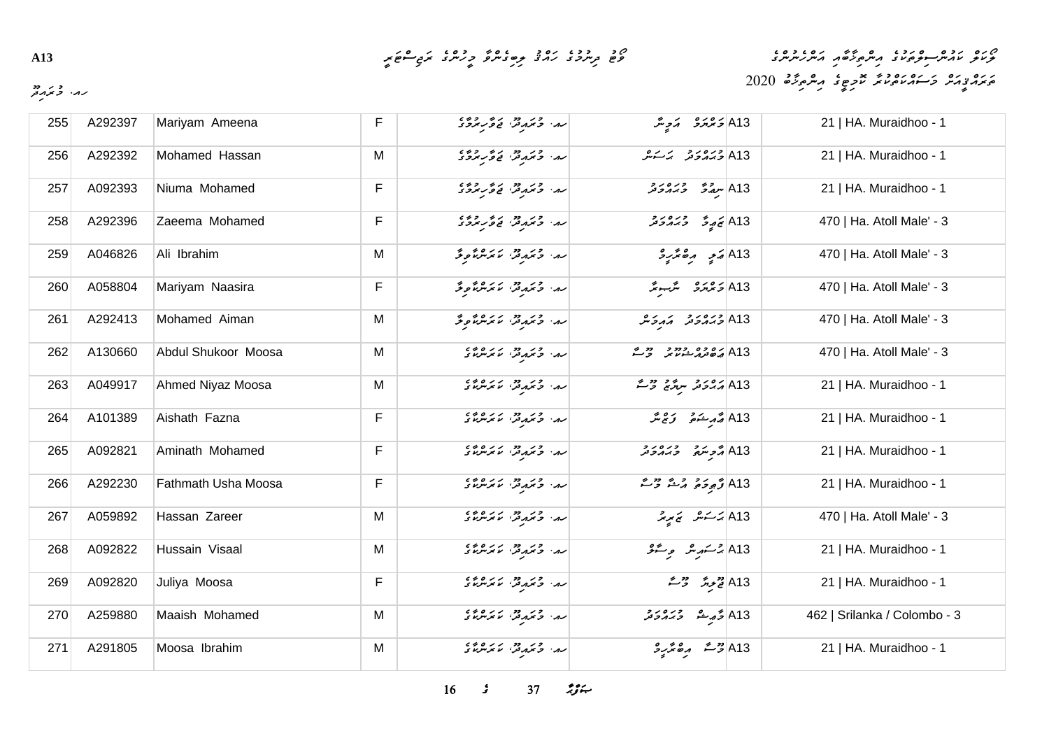*sCw7q7s5w7m< o<n9nOoAw7o< sCq;mAwBoEw7q<m; wBm;vB* م من المرة المرة المرة المرجع المرجع في المركبة 2020<br>مجم*د المريض المربوط المربع المرجع في المراجع المركبة* 

| 255 | A292397 | Mariyam Ameena      | $\mathsf{F}$ | رە ئە ئەرەر ئەڭ ئەھ                 | A13 ك <i>ۈچۈكە مۇم</i> چەتگە            | 21   HA. Muraidhoo - 1       |
|-----|---------|---------------------|--------------|-------------------------------------|-----------------------------------------|------------------------------|
| 256 | A292392 | Mohamed Hassan      | M            | رو. وتمروفر، في وريرون              | A13 <i>وَبَدُودُو بَرَسَ</i> سُ         | 21   HA. Muraidhoo - 1       |
| 257 | A092393 | Niuma Mohamed       | F            | رد. وتمرم فر فر وه و                | A13 سمق <sup>ى</sup> قىمگە قىر          | 21   HA. Muraidhoo - 1       |
| 258 | A292396 | Zaeema Mohamed      | F            | رد. وبردو و و دو،                   | A13 ى <i>ن مەشقىق</i> ر                 | 470   Ha. Atoll Male' - 3    |
| 259 | A046826 | Ali Ibrahim         | M            | رە - ئەتەب ئەترىر ئاترىن ئ          | A13 <i>ھَ۔ م</i> ِ ھُتَّرِ وُ           | 470   Ha. Atoll Male' - 3    |
| 260 | A058804 | Mariyam Naasira     | F            | رە - ئەتەب ئاترىر ئاترىن ئوت        | A13 كەنگەنگە سەمىگە بىر                 | 470   Ha. Atoll Male' - 3    |
| 261 | A292413 | Mohamed Aiman       | M            | رە - دىگەنلەش ئاتكەنگەنلىرىگە بولگە | A13 <i>ڈیزوویز پہ پ</i> وت              | 470   Ha. Atoll Male' - 3    |
| 262 | A130660 | Abdul Shukoor Moosa | M            | מגי כמקבלי עמיטוב                   | A13 كەھەر ھەمدىن جوڭگە                  | 470   Ha. Atoll Male' - 3    |
| 263 | A049917 | Ahmed Niyaz Moosa   | M            | מגי כמגבי עמיטוב                    | A13 كەبرى تىر سوڭرىنى ئۆسىگە            | 21   HA. Muraidhoo - 1       |
| 264 | A101389 | Aishath Fazna       | F            | תגי ביתגמי עיציינטיב                | A13 مۇم ھۇم ئونج ئىگە                   | 21   HA. Muraidhoo - 1       |
| 265 | A092821 | Aminath Mohamed     | F            | תגי המנגדו ממיטות                   | A13 مَّ <i>جِسَمَّة حَدَّ مُ</i> حَدَّ  | 21   HA. Muraidhoo - 1       |
| 266 | A292230 | Fathmath Usha Moosa | F            | מגי כמקבלי עמיטוב                   | A13 <i>وَّجِوَدَةُ</i> دَمْسَةُ وَسَدَّ | 21   HA. Muraidhoo - 1       |
| 267 | A059892 | Hassan Zareer       | M            | מגי כימגים ומיטורים                 | A13   يَرْسَدُّ فِي مَرِيْرُ            | 470   Ha. Atoll Male' - 3    |
| 268 | A092822 | Hussain Visaal      | M            | מגי כמגבי עמיטוב                    | A13 ترىتى <i>رىتى ب<sub>و</sub>ستىۋ</i> | 21   HA. Muraidhoo - 1       |
| 269 | A092820 | Juliya Moosa        | $\mathsf F$  | رد. وتردفر، مترسمان                 | A13 في مرتز في تحريث                    | 21   HA. Muraidhoo - 1       |
| 270 | A259880 | Maaish Mohamed      | M            | מגי כמגבי עמיטוב                    | A13 <i>وَّم</i> ِيْ وَيَ <i>دُونَدُ</i> | 462   Srilanka / Colombo - 3 |
| 271 | A291805 | Moosa Ibrahim       | M            | رد. و بردن، نابر ۲۵۵                | A13 ترقيق بەھ <i>ت</i> رىپە             | 21   HA. Muraidhoo - 1       |

 $16$  *s* 37  $29$   $\leftarrow$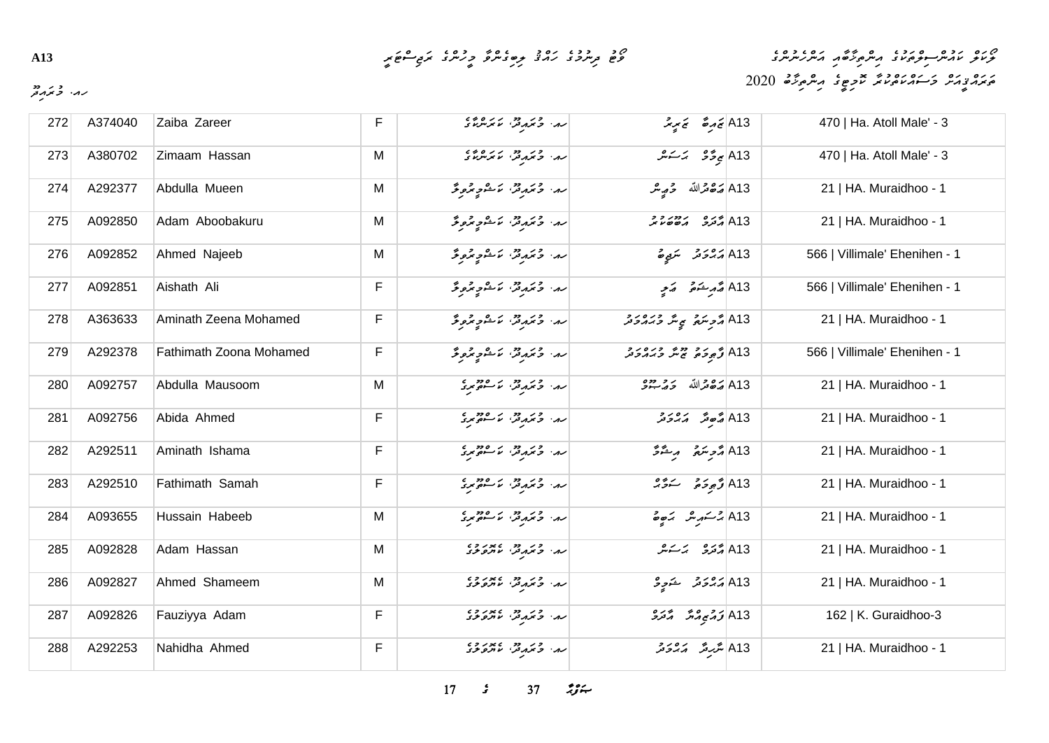*sCw7q7s5w7m< o<n9nOoAw7o< sCq;mAwBoEw7q<m; wBm;vB* م من المرة المرة المرة المرجع المرجع في المركبة 2020<br>مجم*د المريض المربوط المربع المرجع في المراجع المركبة* 

| 272 | A374040 | Zaiba Zareer            | $\mathsf F$ | מגי כמגיעי עמינטים                      | A13 تج مرض تج مریمر                              | 470   Ha. Atoll Male' - 3     |
|-----|---------|-------------------------|-------------|-----------------------------------------|--------------------------------------------------|-------------------------------|
| 273 | A380702 | Zimaam Hassan           | M           | رد. وتردفر، مترسمان                     | A13 <sub>مح</sub> وگر کرکے مگر                   | 470   Ha. Atoll Male' - 3     |
| 274 | A292377 | Abdulla Mueen           | M           | رە، دىمەتر، ئاھەدىرە ئ                  | A13 كەھىراللە   قەمەشر                           | 21   HA. Muraidhoo - 1        |
| 275 | A092850 | Adam Aboobakuru         | M           | رە، دىمەتر، ئاھەدىرە ئ                  | $22222$ $224$ $243$                              | 21   HA. Muraidhoo - 1        |
| 276 | A092852 | Ahmed Najeeb            | M           | رە، دىمەتر، ئاھويروتر                   | A13 كەثرى كىم تىر كىتى ئىق                       | 566   Villimale' Ehenihen - 1 |
| 277 | A092851 | Aishath Ali             | $\mathsf F$ | رە، دىمەتر، ئاھەدىرە ئ                  | A13 م <i>مَّ مِ</i> شَمَّع مَ <i>حِ</i>          | 566   Villimale' Ehenihen - 1 |
| 278 | A363633 | Aminath Zeena Mohamed   | F           | رە. دىمەتر، ئاشوپروگ                    | A13 مَّ حِسَمَةَ بِي مَّد دَبَرْ مَرْدَ مَّهِ    | 21   HA. Muraidhoo - 1        |
| 279 | A292378 | Fathimath Zoona Mohamed | $\mathsf F$ | رە، ئەترەقر، ئاھەئەترەتگە               | A13 زُوپرو مي شگر وبروبرد                        | 566   Villimale' Ehenihen - 1 |
| 280 | A092757 | Abdulla Mausoom         | M           | מגי כמקנטי על פרד ג                     | A13 مَەھْتَراللە <del>ئەمجى</del> ت              | 21   HA. Muraidhoo - 1        |
| 281 | A092756 | Abida Ahmed             | $\mathsf F$ | מגי כמקנטי על פרד ג                     | A13 مُه صَدَّ مَدَّدَ مَد                        | 21   HA. Muraidhoo - 1        |
| 282 | A292511 | Aminath Ishama          | $\mathsf F$ | رړ ونوړتو، ناسه دي                      | A13 مَّ حِسَمَة مِشَّعَّ                         | 21   HA. Muraidhoo - 1        |
| 283 | A292510 | Fathimath Samah         | $\mathsf F$ | מגי כמקברי על סמים                      | A13 تَ <i>مُجِوَجَعْ</i> سَتَرَجَّدُ             | 21   HA. Muraidhoo - 1        |
| 284 | A093655 | Hussain Habeeb          | M           | מגי כמקנטי על פרד ג                     | A13 بر سَمبر شَر مَصِرَة مَ                      | 21   HA. Muraidhoo - 1        |
| 285 | A092828 | Adam Hassan             | M           | מגי כמקבל מיניפים<br>מגי כמקבל מחפיבב   | A13 گەترى - ئەسەئىر                              | 21   HA. Muraidhoo - 1        |
| 286 | A092827 | Ahmed Shameem           | M           | מגי כמה בני המגבה<br>מגי כמה בני מחפיבב |                                                  | 21   HA. Muraidhoo - 1        |
| 287 | A092826 | Fauziyya Adam           | F           | כן כך כך הבן כן<br>מגי פינגבן עונפיבב   | A13 زَمَ پِرْمَّ مَرْمَرَّد                      | 162   K. Guraidhoo-3          |
| 288 | A292253 | Nahidha Ahmed           | F           | מגי כמקבר ממקבצ<br>מגי כמקבר מתפיפצ     | A13 بَمَر <i>بِ</i> مَّد <sub>م</sub> َرْدَوَمَر | 21   HA. Muraidhoo - 1        |

*17 sC 37 nNw?mS*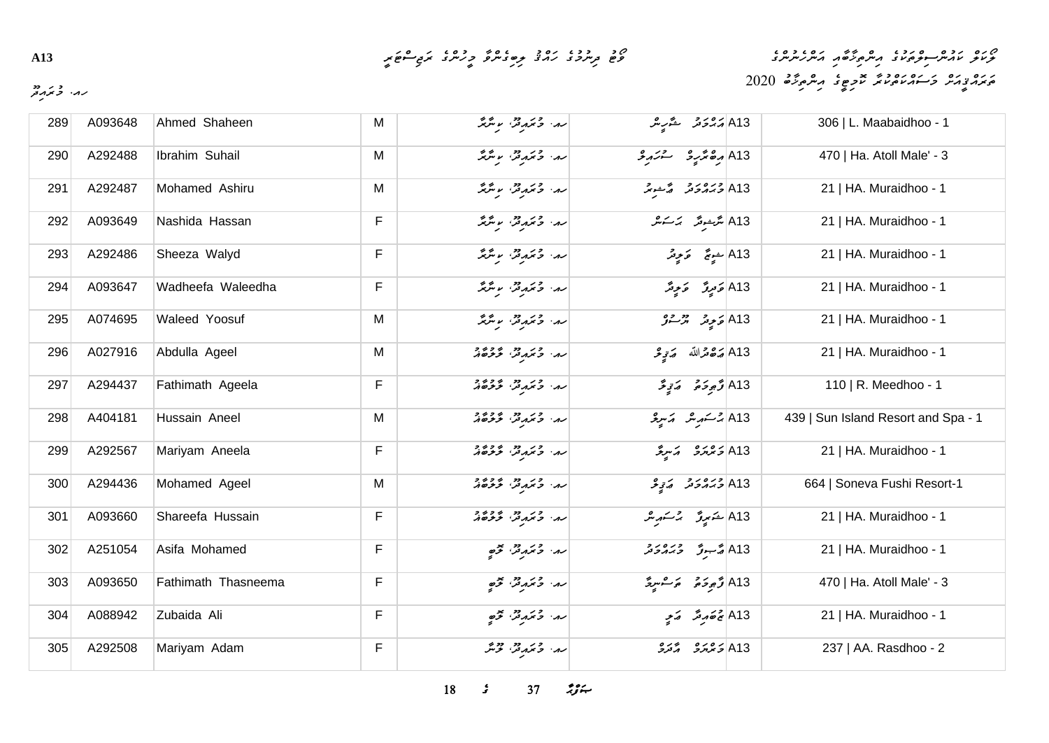*sCw7q7s5w7m< o<n9nOoAw7o< sCq;mAwBoEw7q<m; wBm;vB* م من المرة المرة المرة المرجع المرجع في المركبة 2020<br>مجم*د المريض المربوط المربع المرجع في المراجع المركبة* 

| 289 | A093648 | Ahmed Shaheen       | M           | رە، دىمەتر، رىگە       | A13 كەبرى ئىق سىمبە ئىر                                                                                        | 306   L. Maabaidhoo - 1             |
|-----|---------|---------------------|-------------|------------------------|----------------------------------------------------------------------------------------------------------------|-------------------------------------|
| 290 | A292488 | Ibrahim Suhail      | M           | رە، دىمەتر، ئانگە      | A13 م <i>وڭ ئۇر</i> بۇ سى <i>مكى</i> رۇ                                                                        | 470   Ha. Atoll Male' - 3           |
| 291 | A292487 | Mohamed Ashiru      | M           | رە - ئەتمەتر، ئانترىگە | A13 <i>وُبَرُوْدَوْ</i> كَرْسُومْرَ                                                                            | 21   HA. Muraidhoo - 1              |
| 292 | A093649 | Nashida Hassan      | $\mathsf F$ | رە - ئەتمەتر، ئاسگە    | A13 مَرْجِعة كَرْسَة مَدْ                                                                                      | 21   HA. Muraidhoo - 1              |
| 293 | A292486 | Sheeza Walyd        | F           | رە - ئەتمەتر، ئانترىتر | A13 حيمج - حَرِيمٌر                                                                                            | 21   HA. Muraidhoo - 1              |
| 294 | A093647 | Wadheefa Waleedha   | $\mathsf F$ | رە، دىمەتر، ئانگە      | A13 حَمِيوٌ تَحَجِيْرٌ                                                                                         | 21   HA. Muraidhoo - 1              |
| 295 | A074695 | Waleed Yoosuf       | M           | رە - ئەتمەتر، ئانترىتر | A13   حَرِيمٌ مَرْتَّسُوْ                                                                                      | 21   HA. Muraidhoo - 1              |
| 296 | A027916 | Abdulla Ageel       | M           | הגי ביתגנטי בבסה       | A13 كەھ قىراللە كەن <sub>چى</sub> تو                                                                           | 21   HA. Muraidhoo - 1              |
| 297 | A294437 | Fathimath Ageela    | $\mathsf F$ | מי כימניט בבסו         | A13 گ <sub>ُ</sub> مِوَدَة گَيِّدًّ                                                                            | 110   R. Meedhoo - 1                |
| 298 | A404181 | Hussain Aneel       | M           | رە - ئەتەرقە - ئۇ ئەڭ  |                                                                                                                | 439   Sun Island Resort and Spa - 1 |
| 299 | A292567 | Mariyam Aneela      | $\mathsf F$ | رە - ئەتەرقە - ئۇ ئەڭ  | A13 كەبىر <i>كى مەسمى</i> گە                                                                                   | 21   HA. Muraidhoo - 1              |
| 300 | A294436 | Mohamed Ageel       | M           | מגי כ"זהב" ב"כים"      | A13 <i>\$نەۋەقى مۇت</i> وقى                                                                                    | 664   Soneva Fushi Resort-1         |
| 301 | A093660 | Shareefa Hussain    | $\mathsf F$ | رە - ئەتەبىر ئۇ ئۇ ئە  | A13 ڪ <sub>يون</sub> و جي شهر مگر                                                                              | 21   HA. Muraidhoo - 1              |
| 302 | A251054 | Asifa Mohamed       | $\mathsf F$ | رړ وتمريز تحمي         | A13 مەسىر <i>ۇ - ئەنەھ</i> رىر                                                                                 | 21   HA. Muraidhoo - 1              |
| 303 | A093650 | Fathimath Thasneema | $\mathsf F$ | رړ وتمريز تحمي         | A13 رَّج <i>وحَ</i> مُ مَ سُ <sup>م</sup> بِرمَّ                                                               | 470   Ha. Atoll Male' - 3           |
| 304 | A088942 | Zubaida Ali         | $\mathsf F$ | رړ وترری توه           | A13 نج <i>ھومڈ م</i> َج                                                                                        | 21   HA. Muraidhoo - 1              |
| 305 | A292508 | Mariyam Adam        | F           | رە - ئەتەرلىقى بولىگ   | A13 كايمبر محمد محمد المحمد المحمد المحمد المحمد السيادة المحمد السيادة السيادة السيادة السيادة السيادة السياد | 237   AA. Rasdhoo - 2               |

**18** *s* **37** *n***<sub>s</sub>**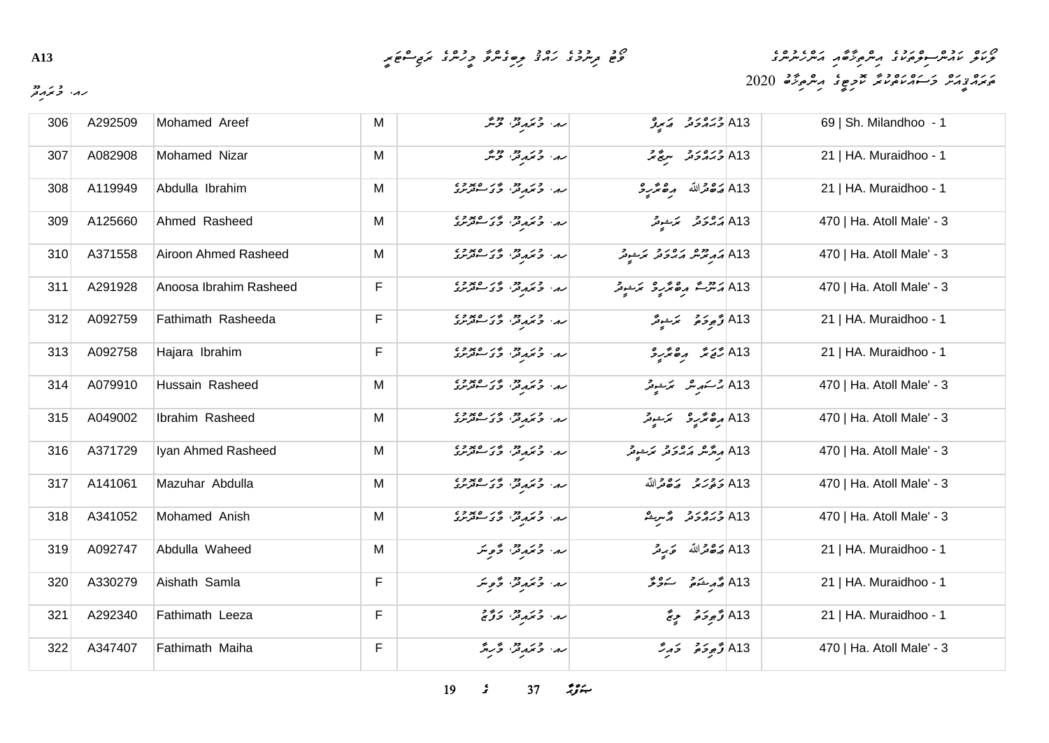*sCw7q7s5w7m< o<n9nOoAw7o< sCq;mAwBoEw7q<m; wBm;vB* م من المرة المرة المرة المرجع المرجع في المركبة 2020<br>مجم*د المريض المربوط المربع المرجع في المراجع المركبة* 

| 306 | A292509 | Mohamed Areef               | M           | رە، دىمەتى تۇش                                   | A13 <i>5222 - مەيو</i> ۋ                              | 69   Sh. Milandhoo - 1    |
|-----|---------|-----------------------------|-------------|--------------------------------------------------|-------------------------------------------------------|---------------------------|
| 307 | A082908 | Mohamed Nizar               | M           | رە. دىمەتى توس                                   | A13 <i>وُبَرْدُوَ</i> تْرَ سِرِیَجْتَرَ               | 21   HA. Muraidhoo - 1    |
| 308 | A119949 | Abdulla Ibrahim             | M           | ر در دو در دون<br>ره و نمهانی وی سانوین          | A13 كەھەراللە م <i>ەھەرد</i> و                        | 21   HA. Muraidhoo - 1    |
| 309 | A125660 | Ahmed Rasheed               | M           | رو در دو به ره دو د د                            | A13 كەركەتى - كەنىسى <i>تى</i>                        | 470   Ha. Atoll Male' - 3 |
| 310 | A371558 | <b>Airoon Ahmed Rasheed</b> | M           | رد. و نمایده و به در ۲۵ و د                      | A13 كەم ترىق كەردىق كەن يوقر                          | 470   Ha. Atoll Male' - 3 |
| 311 | A291928 | Anoosa Ibrahim Rasheed      | $\mathsf F$ | در در دو به ره دوه<br>  رو د بروتر، ترک اور      | A13 كەنترىگە م <i>ەھەتگەر 5 م</i> كىش <sub>و</sub> تر | 470   Ha. Atoll Male' - 3 |
| 312 | A092759 | Fathimath Rasheeda          | F           | ر در دو در دون<br>ره و نمهانی وی سانوین          | A13 وَجِوَدَةُ مَرَسُوِتَرُ                           | 21   HA. Muraidhoo - 1    |
| 313 | A092758 | Hajara Ibrahim              | $\mathsf F$ | ر در دو به در ۲۵ دور<br>رو و ترونز، و ی سونرس    | A13 <i>جُهَ تَدَ مِرْهُ مُ</i> رْبِرْد                | 21   HA. Muraidhoo - 1    |
| 314 | A079910 | Hussain Rasheed             | M           | ره و نرود به در ۲۵ دره<br>ره و نروش وی سترس      |                                                       | 470   Ha. Atoll Male' - 3 |
| 315 | A049002 | Ibrahim Rasheed             | M           | ر در دو در دون<br>ره و نمهانی وی سانوین          | A13 م <i>وڭ مگرى</i> دۇ - مگرىش <sub>ى</sub> رىش      | 470   Ha. Atoll Male' - 3 |
| 316 | A371729 | Iyan Ahmed Rasheed          | M           | در و در دو به در ۲۵ وه.<br>در و نمایدن و ی سهترس | A13 م <i>متر مثر مرکز مرش</i> یفر                     | 470   Ha. Atoll Male' - 3 |
| 317 | A141061 | Mazuhar Abdulla             | M           | ر در دو به در ۲۵ دور<br>رو و ترونز، و ی سونرس    | A13 كەنھە <i>تىر مەھەت</i> راللە                      | 470   Ha. Atoll Male' - 3 |
| 318 | A341052 | Mohamed Anish               | M           | در و در دو به در ۲۵ وه.<br>در و نمایدن و ی سهترس | A13 <i>وُبَرُوْدَوْ</i> كَرْسِيْتْهِ                  | 470   Ha. Atoll Male' - 3 |
| 319 | A092747 | Abdulla Waheed              | M           | رە، دىمەتر، دەپىر                                | A13 كەھەتراللە     كەبەيتر                            | 21   HA. Muraidhoo - 1    |
| 320 | A330279 | Aishath Samla               | $\mathsf F$ | رە - ئەتمەتر، ئەھ ش                              | A13 م <i>ۇم شۇڭى</i> سىۋى <i>گ</i>                    | 21   HA. Muraidhoo - 1    |
| 321 | A292340 | Fathimath Leeza             | F           | رړ٠ وترړقر، ووځ                                  | A13 <i>وُجوحَ</i> هُم مِيعً                           | 21   HA. Muraidhoo - 1    |
| 322 | A347407 | Fathimath Maiha             | F           | رە - ئەتمەتى ئەر                                 | A13 وَمِوحَمَّةَ حَمَدِتَّ                            | 470   Ha. Atoll Male' - 3 |

*19 s* 37 *i*<sub>s</sub>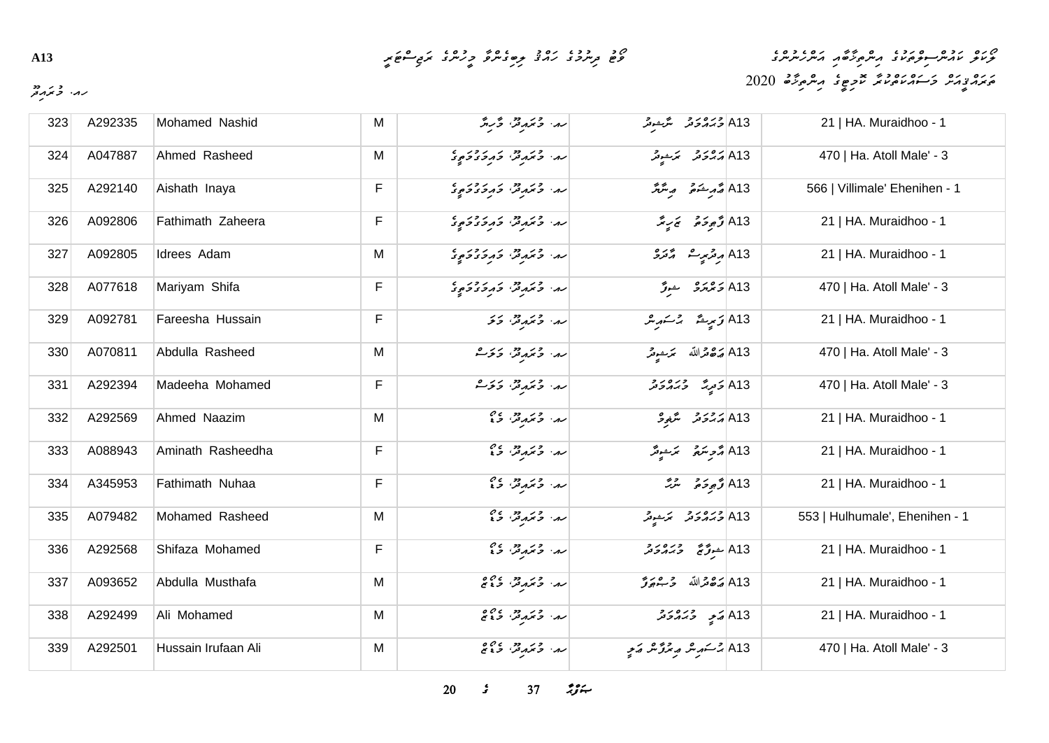*sCw7q7s5w7m< o<n9nOoAw7o< sCq;mAwBoEw7q<m; wBm;vB* م من المرة المرة المرة المرجع المرجع في المركبة 2020<br>مجم*د المريض المربوط المربع المرجع في المراجع المركبة* 

| 323 | A292335 | Mohamed Nashid      | M           | رە - ئەتمەتى ئەر                                                    | A13 <i>وُكەچۇ مۇسىرى</i> گە                          | 21   HA. Muraidhoo - 1         |
|-----|---------|---------------------|-------------|---------------------------------------------------------------------|------------------------------------------------------|--------------------------------|
| 324 | A047887 | Ahmed Rasheed       | M           | رړ وتر وه ورودونو                                                   | A13  كەبۇق كى كەرسىيەتىر                             | 470   Ha. Atoll Male' - 3      |
| 325 | A292140 | Aishath Inaya       | F           | رد. وتمدي ورودون                                                    | A13 مَدْمِ شَمَعْ مِ مِتَمَعَّر                      | 566   Villimale' Ehenihen - 1  |
| 326 | A092806 | Fathimath Zaheera   | F           | رد. وتمدير ورودومي                                                  | A13 تۇ <sub>جو</sub> خۇ ئىم پەش                      | 21   HA. Muraidhoo - 1         |
| 327 | A092805 | Idrees Adam         | M           | מני כתובלי כתכצבת ג                                                 | A13 م <i>ومزموٍے محمدہ</i>                           | 21   HA. Muraidhoo - 1         |
| 328 | A077618 | Mariyam Shifa       | F           | رړ وتر وه ورودونو                                                   | A13 كەنگەنگە ئىسوگە                                  | 470   Ha. Atoll Male' - 3      |
| 329 | A092781 | Fareesha Hussain    | F           | رە، دىمەتى دى                                                       | A13 كومرِيْتْ - بُرْسَهرِيْتْر                       | 21   HA. Muraidhoo - 1         |
| 330 | A070811 | Abdulla Rasheed     | M           | رە ئەتەرىق ئەترىق                                                   | A13 كەھەراللە كەن بۇ                                 | 470   Ha. Atoll Male' - 3      |
| 331 | A292394 | Madeeha Mohamed     | F           | رە. دىمەتر، دىر ق                                                   | A13 ك <i>َ مِرِيدٌ     وُ يُرُوُ دَوْ</i> رَ         | 470   Ha. Atoll Male' - 3      |
| 332 | A292569 | Ahmed Naazim        | M           | מגי בימתים בש                                                       | A13 كەش <sup>ى</sup> رىقى سگى <i>نى</i> 5            | 21   HA. Muraidhoo - 1         |
| 333 | A088943 | Aminath Rasheedha   | F           | תו בתוכל בש                                                         | A13 مَّ حِ سَمَّةً مَ سَنِّبِةً مَّ                  | 21   HA. Muraidhoo - 1         |
| 334 | A345953 | Fathimath Nuhaa     | F           | מגי כמתבני כש                                                       | A13 <i>وَّجِوحَةْ</i> مَ <i>رْدُ</i> ّ               | 21   HA. Muraidhoo - 1         |
| 335 | A079482 | Mohamed Rasheed     | M           | תו בינוע כל                                                         | A13 <i>وَبَرُوْدَوْدْ بَرَ</i> حْمِ <sup>وْ</sup> رِ | 553   Hulhumale', Ehenihen - 1 |
| 336 | A292568 | Shifaza Mohamed     | $\mathsf F$ | מגי במגבלי בש                                                       | A13 حو <i>وگج حەمم</i> ۇنر                           | 21   HA. Muraidhoo - 1         |
| 337 | A093652 | Abdulla Musthafa    | M           | $\begin{bmatrix} 0 & 0 & 0 \\ 0 & 0 & 0 \\ 0 & 0 & 0 \end{bmatrix}$ | A13 مَەھْمَراللە ق <i>ەببۇق</i>                      | 21   HA. Muraidhoo - 1         |
| 338 | A292499 | Ali Mohamed         | M           | מגי בימגילי בשים                                                    | A13  رَمِ دَيَرُودَرْ                                | 21   HA. Muraidhoo - 1         |
| 339 | A292501 | Hussain Irufaan Ali | M           | מי כימות בישי                                                       | A13 يُرْسَمبِ شَرْمَ مِرْتَوْسْرَ مَرْمٍ             | 470   Ha. Atoll Male' - 3      |

 $20$  *s* 37 *n***<sub>s</sub>** $\frac{2}{3}$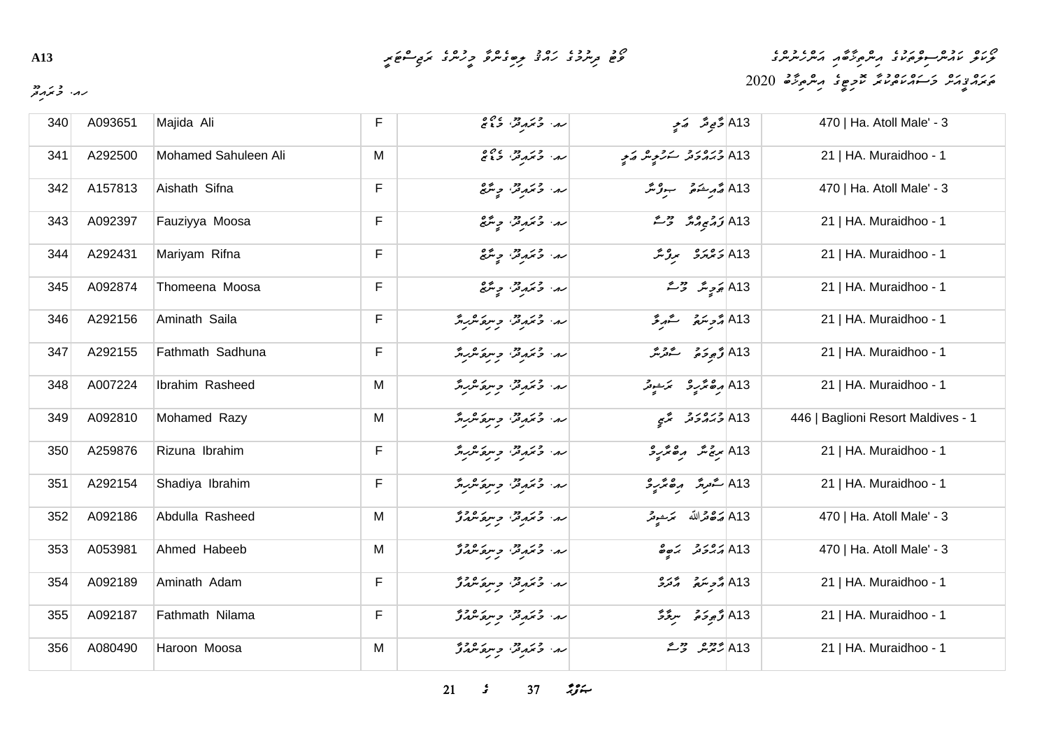*sCw7q7s5w7m< o<n9nOoAw7o< sCq;mAwBoEw7q<m; wBm;vB* م من المرة المرة المرة المرجع المرجع في المركبة 2020<br>مجم*د المريض المربوط المربع المرجع في المراجع المركبة* 

| 340 | A093651 | Majida Ali           | F           | رړ. وتر ده وه وه        | A13   حَ مِعَر - صَ مِ                                      | 470   Ha. Atoll Male' - 3          |
|-----|---------|----------------------|-------------|-------------------------|-------------------------------------------------------------|------------------------------------|
| 341 | A292500 | Mohamed Sahuleen Ali | M           | رو از و تروفر، و د و    | A13  23, جرة بدرج على المربع مدموج                          | 21   HA. Muraidhoo - 1             |
| 342 | A157813 | Aishath Sifna        | $\mathsf F$ | رە ئەتمەتى ئەشھ         | A13 مَدْمِ حَدَمَّة مَ سِوتْرْ مَدَّ                        | 470   Ha. Atoll Male' - 3          |
| 343 | A092397 | Fauziyya Moosa       | F           | رە ئەتمەتر، ئەنگھ       | A13 زېږې چې هېڅه شو                                         | 21   HA. Muraidhoo - 1             |
| 344 | A292431 | Mariyam Rifna        | F           | رە ئەتمەتر، ئەنگھ       | A13 <i>5 پروگرو برونگ</i> ر                                 | 21   HA. Muraidhoo - 1             |
| 345 | A092874 | Thomeena Moosa       | $\mathsf F$ | رە. دىمەتر، دېگە        | A13 <i>چَوِينَرْ</i> حَرْمَتَهُ                             | 21   HA. Muraidhoo - 1             |
| 346 | A292156 | Aminath Saila        | F           | رد. وتمدين وسفس الم     | A13 مَّ حِ سَمَعَ مَسْتَمَرِ مَحَ                           | 21   HA. Muraidhoo - 1             |
| 347 | A292155 | Fathmath Sadhuna     | F           | رد. وتمریز و سوکریز     | A13 تَرْجِوحَ <i>مَّة صَّعْرَمَّةً</i>                      | 21   HA. Muraidhoo - 1             |
| 348 | A007224 | Ibrahim Rasheed      | M           | رە، دىمەتى دىرەكرىد     | A13 م <i>وڭ تگرې</i> و تم تكرېنومتر                         | 21   HA. Muraidhoo - 1             |
| 349 | A092810 | Mohamed Razy         | M           | מה בימות ביתליתות       | A13 <i>دېزه د تر</i> ېپح                                    | 446   Baglioni Resort Maldives - 1 |
| 350 | A259876 | Rizuna Ibrahim       | $\mathsf F$ | رد. وتمریز و سوکریز     | A13 برېځ نگر برگ <i>ې ټر</i> پر څ                           | 21   HA. Muraidhoo - 1             |
| 351 | A292154 | Shadiya Ibrahim      | F           | رر و تمدی و سوکرد       | A13 ڪيري <i>ڙ برھيڙر</i> و                                  | 21   HA. Muraidhoo - 1             |
| 352 | A092186 | Abdulla Rasheed      | M           | رد. ويمه تر، وسع سمد و  | A13 كەھەراللە كە <u>ش</u> وتر                               | 470   Ha. Atoll Male' - 3          |
| 353 | A053981 | Ahmed Habeeb         | M           | מגי כימות כי ייש יימיל  | $\frac{2}{3}$ $\frac{2}{3}$ $\frac{2}{3}$ $\frac{2}{3}$ A13 | 470   Ha. Atoll Male' - 3          |
| 354 | A092189 | Aminath Adam         | $\mathsf F$ | מה בימגילי ביישימה      | A13 <i>مَّ</i> حِسَمَ مَتَرَدَّ                             | 21   HA. Muraidhoo - 1             |
| 355 | A092187 | Fathmath Nilama      | F           | رد. وتمديق وسفسدو       | A13 رَّجِ دَمَّ ۖ سِگَرَّ                                   | 21   HA. Muraidhoo - 1             |
| 356 | A080490 | Haroon Moosa         | M           | رە، دىمەتر، دىيە ئىمەتر | A13 گرمپر وقت                                               | 21   HA. Muraidhoo - 1             |

 $21$  *s* 37  $29$   $\leftarrow$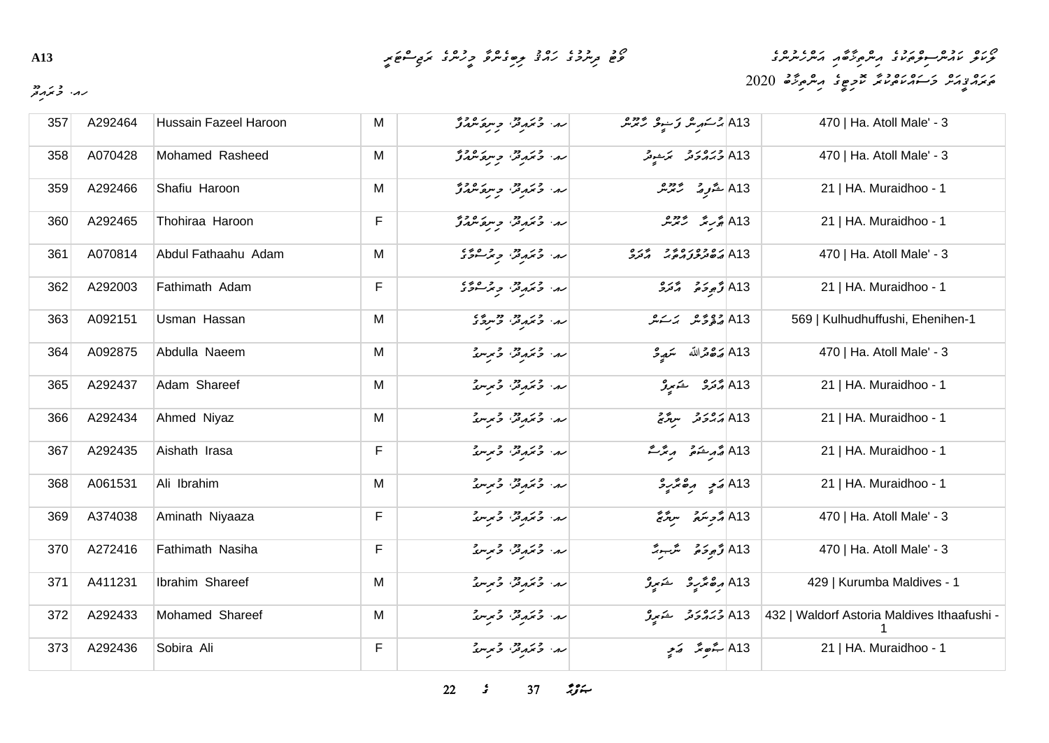*sCw7q7s5w7m< o<n9nOoAw7o< sCq;mAwBoEw7q<m; wBm;vB* م من المرة المرة المرة المرجع المرجع في المركبة 2020<br>مجم*د المريض المربوط المربع المرجع في المراجع المركبة* 

| 357 | A292464 | Hussain Fazeel Haroon | M           | رد. ويمروز وسق مدا   | A13  إيرانيكتر بمر بالموقع المرجمة بالمراجعة<br>المراجع | 470   Ha. Atoll Male' - 3                   |
|-----|---------|-----------------------|-------------|----------------------|---------------------------------------------------------|---------------------------------------------|
| 358 | A070428 | Mohamed Rasheed       | M           | رد. وتمدين وسفسد     | A13 <i>وُبَرُوْدَة بَرَ</i> حُومَرُ                     | 470   Ha. Atoll Male' - 3                   |
| 359 | A292466 | Shafiu Haroon         | M           | رد. وتمدين وسفسد     | A13 ڪروچ گرميٽر                                         | 21   HA. Muraidhoo - 1                      |
| 360 | A292465 | Thohiraa Haroon       | F           | رد. وتمدير وسوسر     | A13 پُربِرَ گَرَمَّرُ م                                 | 21   HA. Muraidhoo - 1                      |
| 361 | A070814 | Abdul Fathaahu Adam   | M           | رد. وبردوز، وبر دوء، | A13 كەھىر <i>و بورە بورە</i>                            | 470   Ha. Atoll Male' - 3                   |
| 362 | A292003 | Fathimath Adam        | $\mathsf F$ | رړ وترړنو وتر دوی    | A13 تَ <i>وْجِوَءَ " مُ</i> تَرَدُّ                     | 21   HA. Muraidhoo - 1                      |
| 363 | A092151 | Usman Hassan          | M           | מגי כמתבני כיתבצ     | A13 <i>ڇ هوڻ هي تيڪنگ</i> ر                             | 569   Kulhudhuffushi, Ehenihen-1            |
| 364 | A092875 | Abdulla Naeem         | M           | מגי כימגילי כיתייש   | A13 كەھىراللە   ئىمەی ئا                                | 470   Ha. Atoll Male' - 3                   |
| 365 | A292437 | Adam Shareef          | M           | מגי כימגילי כיתייש   | A13 مَرْتَرَدُ شَ <sub>مَ</sub> بِرُدُ                  | 21   HA. Muraidhoo - 1                      |
| 366 | A292434 | Ahmed Niyaz           | M           | מגי כמות בי כמיע     | A13 كەبرى قىر سىرتىمى                                   | 21   HA. Muraidhoo - 1                      |
| 367 | A292435 | Aishath Irasa         | F           | מגי כמקשר כמיע       | A13 مَدْمِرْ مَشَمَّر مِرْمَدَّ                         | 21   HA. Muraidhoo - 1                      |
| 368 | A061531 | Ali Ibrahim           | M           | מגי בימגני בימייש    | A13 <i>ھَ۔ م</i> ِ ھُمَّرِ وُ                           | 21   HA. Muraidhoo - 1                      |
| 369 | A374038 | Aminath Niyaaza       | F           | מגי ביצונרי בינייע   | A13 مَّ حِسَمَ مِسَرَّجَ                                | 470   Ha. Atoll Male' - 3                   |
| 370 | A272416 | Fathimath Nasiha      | F           | מה כתובלי בתייש      | A13 قَ ج <sub>و</sub> حَة مُحْسِبة مُّ                  | 470   Ha. Atoll Male' - 3                   |
| 371 | A411231 | Ibrahim Shareef       | M           | מה כתובלי בתייש      | A13 م <i>وڭ مگرى</i> ھەمب <i>و</i> گ                    | 429   Kurumba Maldives - 1                  |
| 372 | A292433 | Mohamed Shareef       | M           | מגי בימגילי ביתייש   | A13 <i>252,25 شمېرو</i>                                 | 432   Waldorf Astoria Maldives Ithaafushi - |
| 373 | A292436 | Sobira Ali            | F           | מני בימניטי בימיע    | A13 ش <i>ەھ قەم</i> چ                                   | 21   HA. Muraidhoo - 1                      |

 $22$  *s* 37  $23$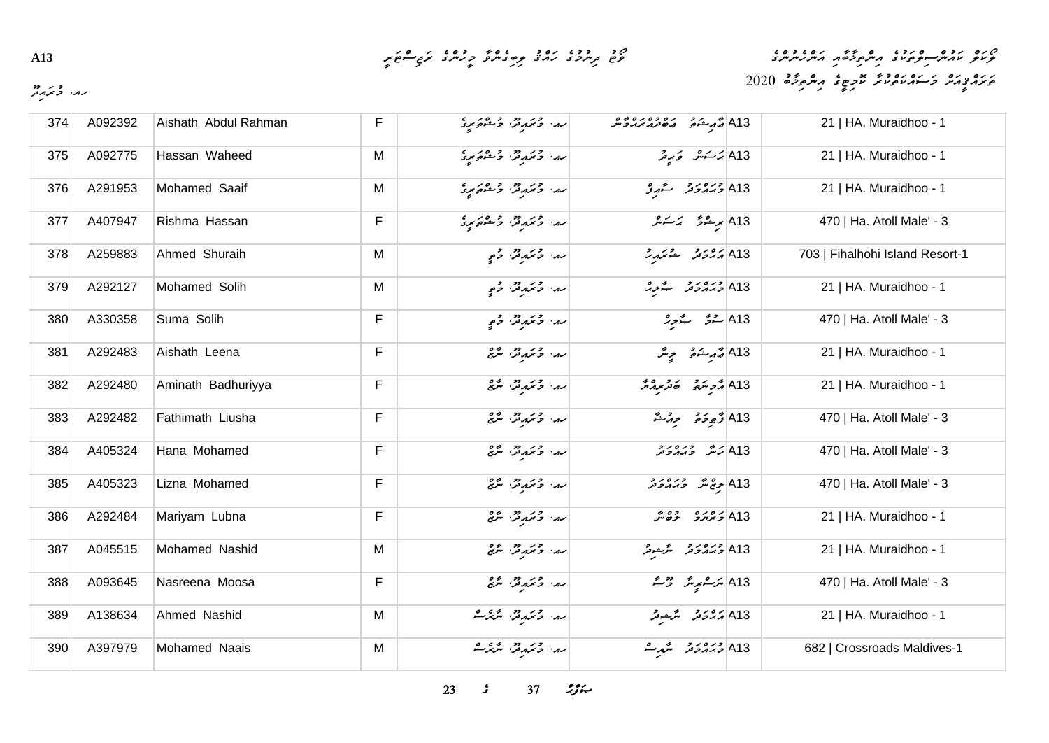*sCw7q7s5w7m< o<n9nOoAw7o< sCq;mAwBoEw7q<m; wBm;vB 2020*<br>*په پوهر وسوړ پاره ولايت موسي اوسر پر شمېر شه* 

| ת ה- כימומים, |         |                      |  |
|---------------|---------|----------------------|--|
| 374           | A092392 | Aishath Abdul Rahman |  |
| 375           | A092775 | Hassan Waheed        |  |
| 376           | A291953 | Mohamed Saaif        |  |
| 377           | A407947 | Rishma Hassan        |  |
| 378           | A259883 | Ahmed Shuraih        |  |
| 379           | A292127 | Mohamed Solih        |  |
| 380           | A330358 | Suma Solih           |  |
| 381           | A292483 | Aishath Leena        |  |

| 374 | A092392 | Aishath Abdul Rahman | F            | رړ. وترړي وتحصيږي    | A13 <i>مەم شەھ مەھەمەمەر 25 م</i>        | 21   HA. Muraidhoo - 1          |
|-----|---------|----------------------|--------------|----------------------|------------------------------------------|---------------------------------|
| 375 | A092775 | Hassan Waheed        | M            | رد. وبردو ورور       | A13   يَرْسَسْ _ حَ بِرِيْرَ             | 21   HA. Muraidhoo - 1          |
| 376 | A291953 | Mohamed Saaif        | M            | رد. وبردو. و شوبر    | A13 دېمبروتر گروگر                       | 21   HA. Muraidhoo - 1          |
| 377 | A407947 | Rishma Hassan        | $\mathsf{F}$ | رد. وتروفر، وشوتونوی | A13 برڪو <i>گ بزڪيل</i>                  | 470   Ha. Atoll Male' - 3       |
| 378 | A259883 | Ahmed Shuraih        | M            | رر و نررو و          | A13 كەبرى قىرىمى ئىستىدىر 2.             | 703   Fihalhohi Island Resort-1 |
| 379 | A292127 | Mohamed Solih        | M            | ره و مرمرش وهمي      | A13 <i>\$ بروة تربي</i> ج بر             | 21   HA. Muraidhoo - 1          |
| 380 | A330358 | Suma Solih           | $\mathsf F$  | ره و مرمرس ده        | A13 كەنتى سە <i>ئى</i> رىشە              | 470   Ha. Atoll Male' - 3       |
| 381 | A292483 | Aishath Leena        | F            | رو. ويمروز شي        | A13 م <i>ەمبەخىتى بې</i> تر              | 21   HA. Muraidhoo - 1          |
| 382 | A292480 | Aminath Badhuriyya   | $\mathsf{F}$ | رە ئەترەپى شى        | A13 أَمَّ صِنَّمَةً لَصَّفَرْ مَرْدَةً.  | 21   HA. Muraidhoo - 1          |
| 383 | A292482 | Fathimath Liusha     | $\mathsf F$  | رو. ويمرونو، سرچ     | A13 تَرْجِوَةَ مِيرَشَّ                  | 470   Ha. Atoll Male' - 3       |
| 384 | A405324 | Hana Mohamed         | $\mathsf{F}$ | رە ئەترەق شى         | A13 كەنگە ب <i>ەردەن</i> مە              | 470   Ha. Atoll Male' - 3       |
| 385 | A405323 | Lizna Mohamed        | $\mathsf{F}$ | رە ئەترەپى شى        | A13 مِیْ شَرِ دْ پَرْ دُوَ مَرْ          | 470   Ha. Atoll Male' - 3       |
| 386 | A292484 | Mariyam Lubna        | F            | رو. وتمروره شي       | A13 كەبىر بىر ئەھەتگە                    | 21   HA. Muraidhoo - 1          |
| 387 | A045515 | Mohamed Nashid       | M            | رە ئەترەق شى         | A13 <i>وُبَرُمْ دَمَرْ</i> - مُرْسِبِيْر | 21   HA. Muraidhoo - 1          |
| 388 | A093645 | Nasreena Moosa       | $\mathsf{F}$ | رو. ويمرونو، سمج     | A13 مَرْكْبِرِيْرٌ وَيْرَ مُّ            | 470   Ha. Atoll Male' - 3       |
| 389 | A138634 | Ahmed Nashid         | M            | رە ئەتمەتى شەت       | A13 كەثرى كىمى سىر ئىشرىتىلىر            | 21   HA. Muraidhoo - 1          |
| 390 | A397979 | Mohamed Naais        | M            | رە ئەتەرلىق ئىرىدىك  | A13 <i>2222 سُمدِ</i> ت                  | 682   Crossroads Maldives-1     |

**23** *s* **37** *n***<sub>s</sub><sub>***s***</sub>**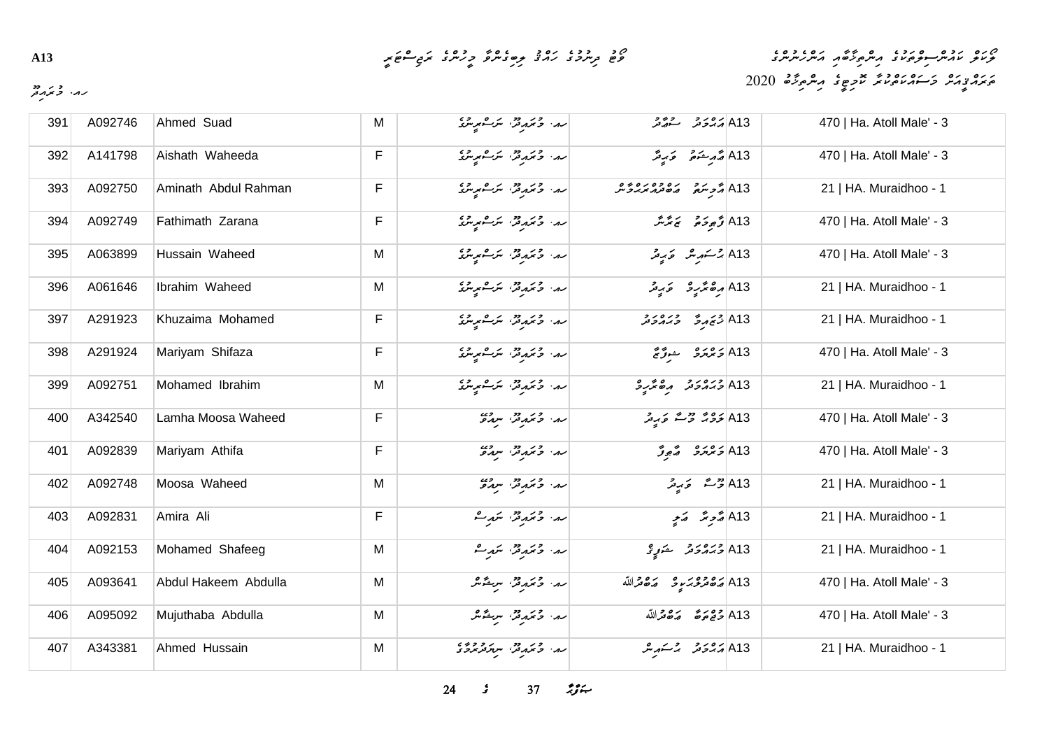*sCw7q7s5w7m< o<n9nOoAw7o< sCq;mAwBoEw7q<m; wBm;vB* م من المرة المرة المرة المرجع المرجع في المركبة 2020<br>مجم*د المريض المربوط المربع المرجع في المراجع المركبة* 

| 391 | A092746 | Ahmed Suad           | M           | رړ و ترريخ شرگوندن        | A13 كەبروتر سى <i>رگە</i> تر                       | 470   Ha. Atoll Male' - 3 |
|-----|---------|----------------------|-------------|---------------------------|----------------------------------------------------|---------------------------|
| 392 | A141798 | Aishath Waheeda      | F           | رە. ئەتمەتر، سەھىر سى     | A13 م <i>مَّ مِي جَمِيعَ</i> ّ                     | 470   Ha. Atoll Male' - 3 |
| 393 | A092750 | Aminath Abdul Rahman | $\mathsf F$ | رە. ئەترەتى، سەسمىرسى     | A13 مُحرِسَمَ مُصْرِمْ مُحَدِّمَة مُحَمَّد         | 21   HA. Muraidhoo - 1    |
| 394 | A092749 | Fathimath Zarana     | F           | رە - ئەكەلگە شرىئوسى      | A13 تَ <i>وجوحق تي مُدَّمَّد</i>                   | 470   Ha. Atoll Male' - 3 |
| 395 | A063899 | Hussain Waheed       | M           | رړ و ترري شرکورن          | A13 برسىمبرىش ئ <i>ۆم</i> پەتر                     | 470   Ha. Atoll Male' - 3 |
| 396 | A061646 | Ibrahim Waheed       | M           | رړ و ترري شرکورن          | A13 م <i>وڭ بگرى</i> ئىتى كەرىتىلىكىنى ئىتىل       | 21   HA. Muraidhoo - 1    |
| 397 | A291923 | Khuzaima Mohamed     | F           | رە - ئەكەلگە شرىئوسى      | A13 ژېم پرو ته د د د تر                            | 21   HA. Muraidhoo - 1    |
| 398 | A291924 | Mariyam Shifaza      | $\mathsf F$ | رړ و بروه شر شمېر ده      | A13 كەنگە ئىر <i>ۇنى</i> ئىسىمىتىسى ئىس            | 470   Ha. Atoll Male' - 3 |
| 399 | A092751 | Mohamed Ibrahim      | M           | رړ و ترري شرگوروي         | A13 <i>ڈیزون تو می مگرد</i> ی                      | 21   HA. Muraidhoo - 1    |
| 400 | A342540 | Lamha Moosa Waheed   | $\mathsf F$ | מגי כימגירי ייטרפ         | A13  تروج حي محمد تر تر                            | 470   Ha. Atoll Male' - 3 |
| 401 | A092839 | Mariyam Athifa       | F           | מה במקבר יימפ             | A13 كەممەر ئەھمىقى ئى                              | 470   Ha. Atoll Male' - 3 |
| 402 | A092748 | Moosa Waheed         | M           | מה במקבר ייטבי            | A13 فخر محمد تحديثر                                | 21   HA. Muraidhoo - 1    |
| 403 | A092831 | Amira Ali            | $\mathsf F$ | رە - ئەتمەتى شەپ          | A13 م <i>مَّ</i> حِ مَّدَ مَس                      | 21   HA. Muraidhoo - 1    |
| 404 | A092153 | Mohamed Shafeeg      | M           | رە، دىمكەش شەپ            | A13 <i>وُبَرُوْدَوْ حَوِيْ</i>                     | 21   HA. Muraidhoo - 1    |
| 405 | A093641 | Abdul Hakeem Abdulla | M           | رر. ويزرده سيشر           | A13 <i>مَـُـهُ مَرْحْدَبِ وَ</i> مَـُهُ مِّرَاللّه | 470   Ha. Atoll Male' - 3 |
| 406 | A095092 | Mujuthaba Abdulla    | M           | رر و ترری سرگه            | A13 وَقِيمَةً صَصْرَاللّه                          | 470   Ha. Atoll Male' - 3 |
| 407 | A343381 | Ahmed Hussain        | M           | מגי כימות כדי ייטוב בישים | A13 كەبرى بىر بەستەمبەنلىر                         | 21   HA. Muraidhoo - 1    |

*24 sC 37 nNw?mS*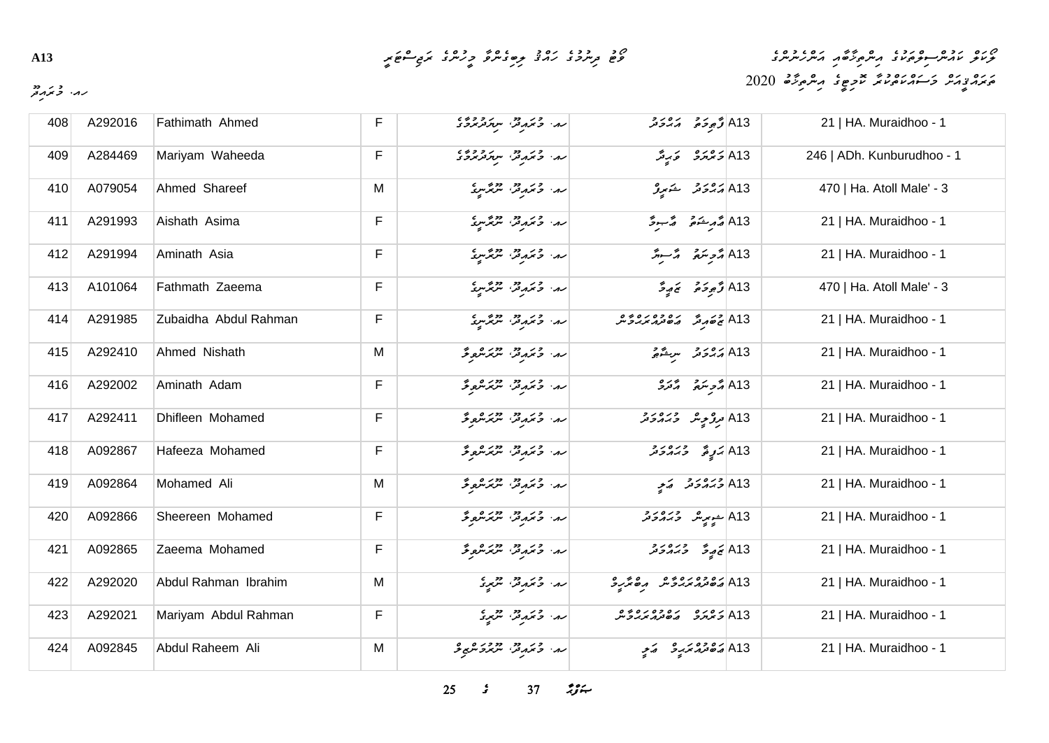*sCw7q7s5w7m< o<n9nOoAw7o< sCq;mAwBoEw7q<m; wBm;vB* م من المرة المرة المرة المرجع المرجع في المركبة 2020<br>مجم*د المريض المربوط المربع المرجع في المراجع المركبة* 

| 408 | A292016 | Fathimath Ahmed       | F           | מגי כמקבלי ייטוריניוכי | A13 وَّجِوَدَةُ مَدَّرْدَتْرُ          | 21   HA. Muraidhoo - 1     |
|-----|---------|-----------------------|-------------|------------------------|----------------------------------------|----------------------------|
| 409 | A284469 | Mariyam Waheeda       | F           | رد. وتمردی سرگرمرد و   | A13 ك <i>وچوكر فى كى</i> رىگر          | 246   ADh. Kunburudhoo - 1 |
| 410 | A079054 | Ahmed Shareef         | M           | מה כמהני ינמקיע        | A13 كەنزى قىر سى <i>كەيو</i> گە        | 470   Ha. Atoll Male' - 3  |
| 411 | A291993 | Aishath Asima         | $\mathsf F$ | מגי כתו בני יינות יינו | A13 مَگْرِسْتَعْمُ - مَذْسِرَةً        | 21   HA. Muraidhoo - 1     |
| 412 | A291994 | Aminath Asia          | $\mathsf F$ | מה כמהני ינמקיע        | A13 أَمَّ <i>جِينَهُ</i> أَمَّ سِيَّر  | 21   HA. Muraidhoo - 1     |
| 413 | A101064 | Fathmath Zaeema       | $\mathsf F$ | מה כמתני ינמקיע        | A13 تَ <i>وْجِوَجْهِ نَحْهِ وَ</i>     | 470   Ha. Atoll Male' - 3  |
| 414 | A291985 | Zubaidha Abdul Rahman | F           | מה כמהני ינמקיע        | A13 تح <i>قوقر مەھەمەدە</i> تىر        | 21   HA. Muraidhoo - 1     |
| 415 | A292410 | Ahmed Nishath         | M           | رە - دىرەت شەرھەتى     | A13 كەش <sup>ى</sup> ر قىر سرىشىتى بىر | 21   HA. Muraidhoo - 1     |
| 416 | A292002 | Aminath Adam          | F           | رە - دىرەت شەرھەتى     | A13 مَّ <i>جِسَعَۃ م</i> ُعَرَفَ       | 21   HA. Muraidhoo - 1     |
| 417 | A292411 | Dhifleen Mohamed      | F           | رە - ئەترەقرا شەر شور  | A13 مروكو محدد ويدون                   | 21   HA. Muraidhoo - 1     |
| 418 | A092867 | Hafeeza Mohamed       | F           | رە - ئەتمەتر، شەر شوڭ  | A13 بَرَمٍ حٌ     حَ بَرُ جُرْحَ مَرْ  | 21   HA. Muraidhoo - 1     |
| 419 | A092864 | Mohamed Ali           | M           | رە، دىمەتر، شەر ھوتى   | A13 وُبَرُمْ وَمَدْ مَرْمِ             | 21   HA. Muraidhoo - 1     |
| 420 | A092866 | Sheereen Mohamed      | $\mathsf F$ | رە - دىرەت شەھرىگە     | A13 حي <sub>م</sub> بر وبروتر          | 21   HA. Muraidhoo - 1     |
| 421 | A092865 | Zaeema Mohamed        | F           | رە، ئەترەق شەھرى       | A13 ى <i>ن مەڭ ئىمگە ئى</i> ر          | 21   HA. Muraidhoo - 1     |
| 422 | A292020 | Abdul Rahman Ibrahim  | M           | رە - ئەتمەتى شرىرى     | A13 كەھەممەدە بەر مەھكرىدى             | 21   HA. Muraidhoo - 1     |
| 423 | A292021 | Mariyam Abdul Rahman  | F           | رړ. د تر ده شرن        | A13 كرمرده بره ده بره ده و             | 21   HA. Muraidhoo - 1     |
| 424 | A092845 | Abdul Raheem Ali      | M           | رد. وبردود، مربروتره و | A13 <i>ړ ه ده برب</i> و کام په         | 21   HA. Muraidhoo - 1     |

 $25$  *s* 37  $25$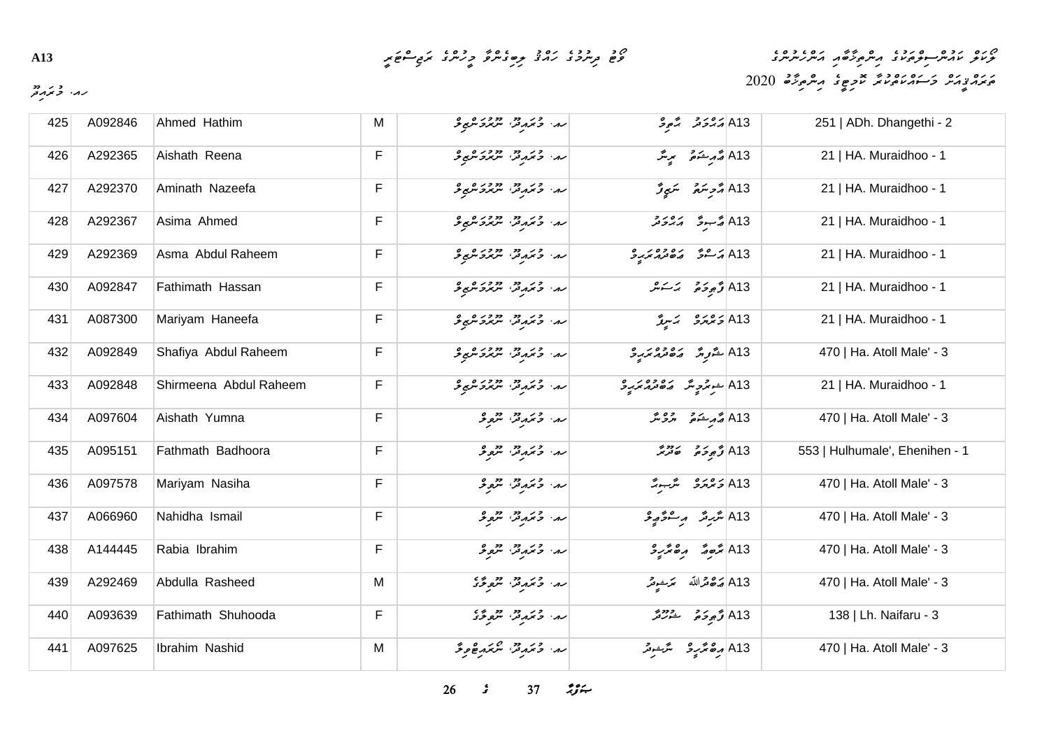*sCw7q7s5w7m< o<n9nOoAw7o< sCq;mAwBoEw7q<m; wBm;vB* م من المرة المرة المرة المرجع المرجع في المركبة 2020<br>مجم*د المريض المربوط المربع المرجع في المراجع المركبة* 

| 425 | A092846 | Ahmed Hathim           | M           | رړ ونمرېږي شرحه شره کره  | A13 كەبۇبۇقر بۇم <sub>ب</sub> ۇ                  | 251   ADh. Dhangethi - 2       |
|-----|---------|------------------------|-------------|--------------------------|--------------------------------------------------|--------------------------------|
| 426 | A292365 | Aishath Reena          | F           | رړ و تر ده دور همونک     | A13 <i>۾ ميڪو م</i> يئر                          | 21   HA. Muraidhoo - 1         |
| 427 | A292370 | Aminath Nazeefa        | F           | رړ ونمه ته مربرونکړو     | A13 مَّ حِسَمَة مَسَى تَرَ                       | 21   HA. Muraidhoo - 1         |
| 428 | A292367 | Asima Ahmed            | F           | رړ ونروو وور هرېږي       | A13 مەسىرى مەردىتە                               | 21   HA. Muraidhoo - 1         |
| 429 | A292369 | Asma Abdul Raheem      | F           | رړ ونمه ده دور عربي و    | A13 كەشق كەھىر <i>مىرىدى</i> ر                   | 21   HA. Muraidhoo - 1         |
| 430 | A092847 | Fathimath Hassan       | $\mathsf F$ | رړ ونمه ته مربرونکړو     | A13 ۇ <sub>جو</sub> رَى ئەسەش                    | 21   HA. Muraidhoo - 1         |
| 431 | A087300 | Mariyam Haneefa        | F           | رړ ونمه ته مربرونکړو     | A13 كەبىر <i>بىر ئىبىر</i> گە                    | 21   HA. Muraidhoo - 1         |
| 432 | A092849 | Shafiya Abdul Raheem   | F           | رړ ونروو وور هرېږي       | A13 خ <i>ۇرۇ مەھەرە ئەرى</i> ج                   | 470   Ha. Atoll Male' - 3      |
| 433 | A092848 | Shirmeena Abdul Raheem | F           | رر و نرود دور و در       | A13 خوبمر <sub>ج</sub> مگر <i>مگر مرکز پ</i> ر د | 21   HA. Muraidhoo - 1         |
| 434 | A097604 | Aishath Yumna          | F           | رە - ئەترەتر، شھرى       | A13 گەرىشى مەدىگە                                | 470   Ha. Atoll Male' - 3      |
| 435 | A095151 | Fathmath Badhoora      | F           | رە ئەتەر بەي تور ئ       | A13 وَّجِ دَمَ صَفَرْتُمْهِ =                    | 553   Hulhumale', Ehenihen - 1 |
| 436 | A097578 | Mariyam Nasiha         | F           | رە - ئەنگەنىش شھوڭ       | A13 كەنگەر <i>ى مەربى</i> د                      | 470   Ha. Atoll Male' - 3      |
| 437 | A066960 | Nahidha Ismail         | F           | رە - ئەنگەنىش شھوڭ       |                                                  | 470   Ha. Atoll Male' - 3      |
| 438 | A144445 | Rabia Ibrahim          | F           | رە - ئەنگەنش شھوڭ        | A13 بَرُھ ۾َ" ر <i>ِھ بَرُرِ دُ</i>              | 470   Ha. Atoll Male' - 3      |
| 439 | A292469 | Abdulla Rasheed        | M           | رە - ئەتەر ئەس ئىتى ئەتى | A13 كَرْحْدْرُاللَّهُ كَرَسْوِتْرٌ               | 470   Ha. Atoll Male' - 3      |
| 440 | A093639 | Fathimath Shuhooda     | F           | رە - دىگەش شھۇرى         | A13 گۇج <sub>و</sub> چە ھەسىمىتىگە               | 138   Lh. Naifaru - 3          |
| 441 | A097625 | Ibrahim Nashid         | M           | رر. وتمدين شمكر عوثر     | A13 م <i>وڭ ئۇرى ھەشىرى</i> گە                   | 470   Ha. Atoll Male' - 3      |

 $26$  *s* 37 *n***<sub>3</sub> <b>***n*<sub>3</sub> *n*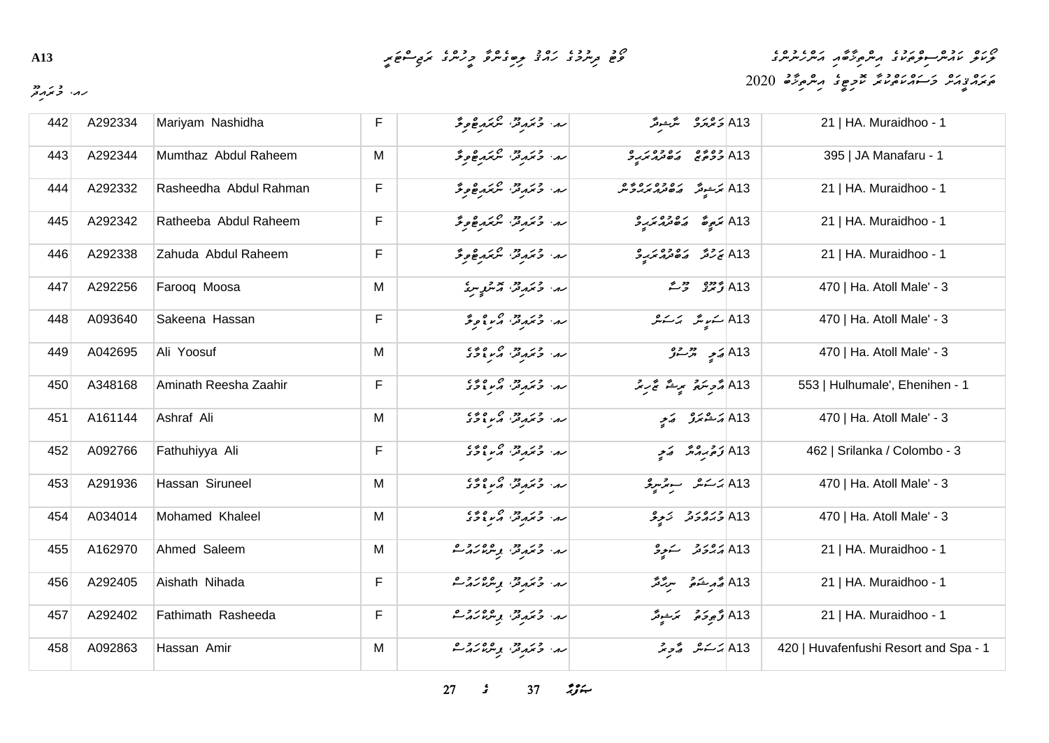*sCw7q7s5w7m< o<n9nOoAw7o< sCq;mAwBoEw7q<m; wBm;vB* م من المرة المرة المرة المرجع المرجع في المركبة 2020<br>مجم*د المريض المربوط المربع المرجع في المراجع المركبة* 

| 442 | A292334 | Mariyam Nashidha       | F | رر و تررد شهر هو د         | A13 كى <i>ئويۇ ئۇ سۇ</i> سۇ ئىر                        | 21   HA. Muraidhoo - 1                |
|-----|---------|------------------------|---|----------------------------|--------------------------------------------------------|---------------------------------------|
| 443 | A292344 | Mumthaz Abdul Raheem   | M | رر وتمده شمكره وتح         | A13 دومونی مص <i>مومترب</i> و                          | 395   JA Manafaru - 1                 |
| 444 | A292332 | Rasheedha Abdul Rahman | F | رر. دىررى ئىرىدە ھوڭ       | A13 <i>ىڭ شەقەر مەھەرە بەر ھەر</i>                     | 21   HA. Muraidhoo - 1                |
| 445 | A292342 | Ratheeba Abdul Raheem  | F | رم ويرود محمد عود ع        | A13 <i>بَرْمِ هُ مُ هُ مُدَمَّدَ بِ</i> رْ             | 21   HA. Muraidhoo - 1                |
| 446 | A292338 | Zahuda Abdul Raheem    | F | رر. دىررى ئىرىدە ھوڭ       | A13 يَرْتَرُ مُصْعَرْ مُرْمِرَ و                       | 21   HA. Muraidhoo - 1                |
| 447 | A292256 | Farooq Moosa           | M | رړ و ترري تر تر تر تريد    | A13 وَتَتَرَّدُّ وَسَّدَّ                              | 470   Ha. Atoll Male' - 3             |
| 448 | A093640 | Sakeena Hassan         | F | رە - دىگەنى كەركەر ئو      | A13   سَمَدٍ مَثَرَ سَمَدَ مَر                         | 470   Ha. Atoll Male' - 3             |
| 449 | A042695 | Ali Yoosuf             | M | מגי כמקבלי העשכב           | A13 ڪپر پڙيو                                           | 470   Ha. Atoll Male' - 3             |
| 450 | A348168 | Aminath Reesha Zaahir  | F | מגי כמקבלי ביו בכב         | A13 مَّ <i>وِ سَمَّۃ</i> مِرِ مَّتَہ مَّ رِ <i>مَّ</i> | 553   Hulhumale', Ehenihen - 1        |
| 451 | A161144 | Ashraf Ali             | M | מגי כמה בי העשכב           | A13 كەشىمىز كەمبە                                      | 470   Ha. Atoll Male' - 3             |
| 452 | A092766 | Fathuhiyya Ali         | F | מגי כמתיני העציב           | A13 تو <i>م پرونژ م</i> َرمِ                           | 462   Srilanka / Colombo - 3          |
| 453 | A291936 | Hassan Siruneel        | M | מגי כמקבלי העצבצ           | A13   بَرْسَة مَّة سِمَّة مِرْدِيْتِي                  | 470   Ha. Atoll Male' - 3             |
| 454 | A034014 | Mohamed Khaleel        | M | מגי כמקבלי העשכב           | A13 وُيَرْدُوَسْ     دَمِوْدَ                          | 470   Ha. Atoll Male' - 3             |
| 455 | A162970 | Ahmed Saleem           | M | رە - ئەنگەنى بولىرىدىك     | A13 كەندى قىر سىمب <i>و</i> گ                          | 21   HA. Muraidhoo - 1                |
| 456 | A292405 | Aishath Nihada         | F | رە - ئەتەرلىق بولىرىدىكى ھ | A13 <i>مەم ھەققى</i> سر <i>بر</i> ىتىگە                | 21   HA. Muraidhoo - 1                |
| 457 | A292402 | Fathimath Rasheeda     | F | رە، دىمەتر، بوشرىكرمى      | A13 قَ <i>مِ وَحَمْد مَنْ</i> مِثْرَ                   | 21   HA. Muraidhoo - 1                |
| 458 | A092863 | Hassan Amir            | M | رړ. وندرو و ۱۶۶۵ و         | A13 برسكىش مەگەچەتتى                                   | 420   Huvafenfushi Resort and Spa - 1 |

*27 sC 37 nNw?mS*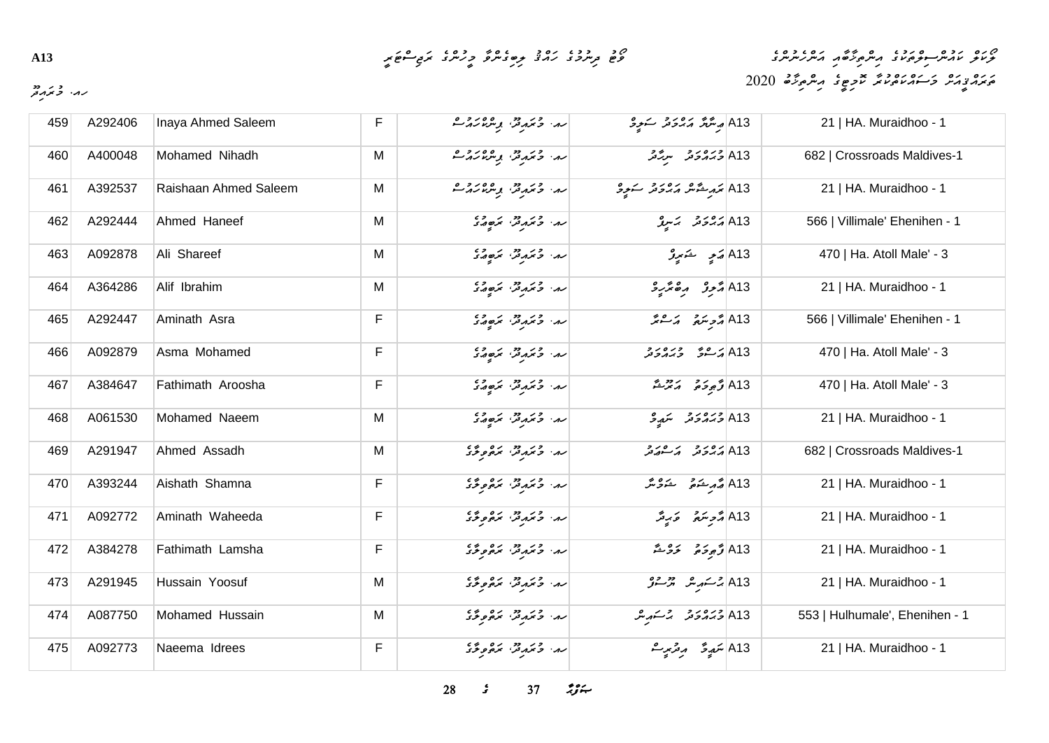*sCw7q7s5w7m< o<n9nOoAw7o< sCq;mAwBoEw7q<m; wBm;vB* م من المرة المرة المرة المرجع المرجع في المركبة 2020<br>مجم*د المريض المربوط المربع المرجع في المراجع المركبة* 

| 459 | A292406 | Inaya Ahmed Saleem    | F           | رە ئەتەر ئۇ بوللى ئەر ئ | A13 مِىتَمَدَّ بَرْرْدَتْر سَوِرْ ً       | 21   HA. Muraidhoo - 1         |
|-----|---------|-----------------------|-------------|-------------------------|-------------------------------------------|--------------------------------|
| 460 | A400048 | Mohamed Nihadh        | M           | رە ئەتمەتى بولىرىدىك    | A13 <i>5225 تور<sup>3</sup>تر</i>         | 682   Crossroads Maldives-1    |
| 461 | A392537 | Raishaan Ahmed Saleem | M           | رە - دىمەتر، پەس رەك    | A13 ىزىرىشىر <i>مەدە</i> ر سىر <i>و</i> د | 21   HA. Muraidhoo - 1         |
| 462 | A292444 | Ahmed Haneef          | M           | מגי כימגיעי מסגב        | A13 كەنزى قىر بەر بۇ                      | 566   Villimale' Ehenihen - 1  |
| 463 | A092878 | Ali Shareef           | M           | מגי כיתתי יתים בי       | A13  رَمِ شَمَرِوْ                        | 470   Ha. Atoll Male' - 3      |
| 464 | A364286 | Alif Ibrahim          | M           | מגי כימתיני מסובי       | A13 مَّعِرْ مِصْمَّدٍ مِّ                 | 21   HA. Muraidhoo - 1         |
| 465 | A292447 | Aminath Asra          | F           | מגי כתובלי תסובל        | A13 مَرْحِبِهَ مَدَعْتَمَهِ مِ            | 566   Villimale' Ehenihen - 1  |
| 466 | A092879 | Asma Mohamed          | F           | מגי כיתות בי תוסות      | A13 كەشق <i>مەم</i> رىر                   | 470   Ha. Atoll Male' - 3      |
| 467 | A384647 | Fathimath Aroosha     | F           | מגי כיתות בי תוסות      | A13 تۇمومۇ ھەتتىش                         | 470   Ha. Atoll Male' - 3      |
| 468 | A061530 | Mohamed Naeem         | M           | מגי כמקש מספי           | A13 وَبَرْدُونَرَ سَمِرَدٌ                | 21   HA. Muraidhoo - 1         |
| 469 | A291947 | Ahmed Assadh          | M           | ره و ترمرفز تره و می    | A13 كەبروتىر كەسىر ئىر                    | 682   Crossroads Maldives-1    |
| 470 | A393244 | Aishath Shamna        | F           | رړ وترړن تروونو         | A13 مَيْرِسْدَمْ شَوْسَ A13               | 21   HA. Muraidhoo - 1         |
| 471 | A092772 | Aminath Waheeda       | $\mathsf F$ | رړ وترړن تروونو         | A13 مَّ حِسَمَّة مَ يَسَمَّ               | 21   HA. Muraidhoo - 1         |
| 472 | A384278 | Fathimath Lamsha      | F           | ره و برمانه بره وی      | A13 <i>وَّجِ حَقَّ</i> حَرَّمَتُ ً        | 21   HA. Muraidhoo - 1         |
| 473 | A291945 | Hussain Yoosuf        | M           | رړ وترړن تروون          | A13 برسەر شەر بىر مىشەر                   | 21   HA. Muraidhoo - 1         |
| 474 | A087750 | Mohamed Hussain       | M           | رړ٠ د بررو ده ده ده     | A13 <i>22025 بى</i> شەرىئى                | 553   Hulhumale', Ehenihen - 1 |
| 475 | A092773 | Naeema Idrees         | F           | رړ٠ وترړند، ترووڅری     | A13 <i>سَمِي</i> عٌ م <i>ِعْرِمِي</i> ْ م | 21   HA. Muraidhoo - 1         |

*28 sC 37 nNw?mS*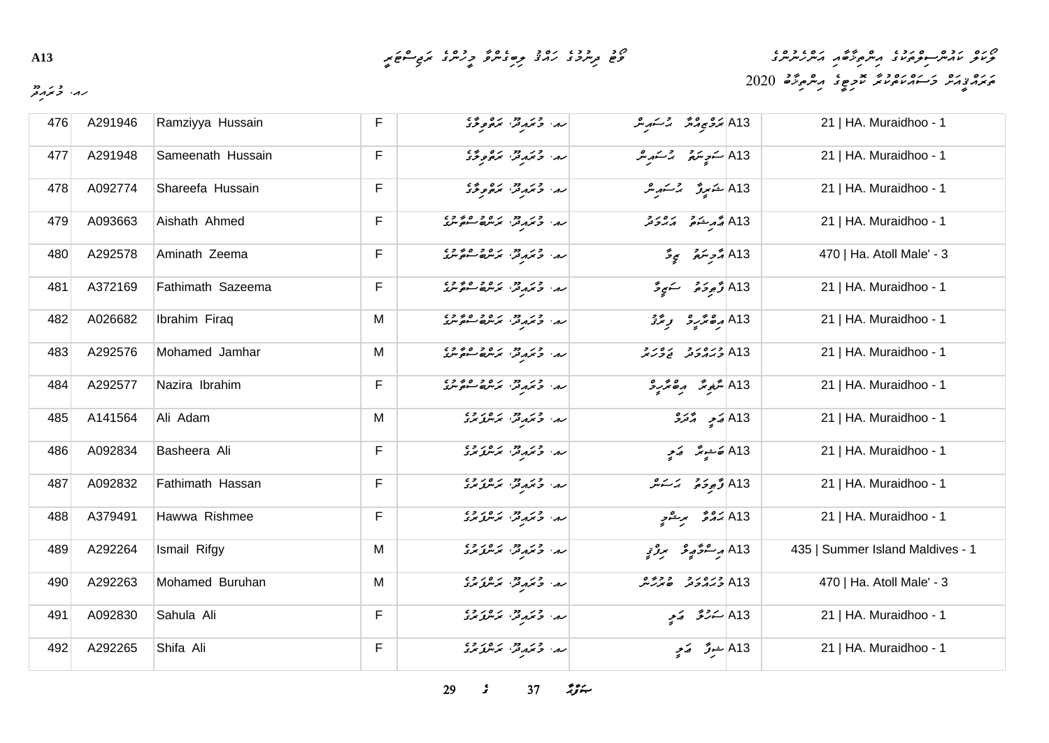*sCw7q7s5w7m< o<n9nOoAw7o< sCq;mAwBoEw7q<m; wBm;vB* م من المرة المرة المرة المرجع المرجع في المركبة 2020<br>مجم*د المريض المربوط المربع المرجع في المراجع المركبة* 

| 476 | A291946 | Ramziyya Hussain  | F           | رە. دىمەتر، ئىۋوتر                              | A13 ىز <sub>ى</sub> ج يەر بىر ب <sub>ىر</sub> سەر بىر | 21   HA. Muraidhoo - 1           |
|-----|---------|-------------------|-------------|-------------------------------------------------|-------------------------------------------------------|----------------------------------|
| 477 | A291948 | Sameenath Hussain | F           | رړ٠ وترروز ره وتر                               | A13 س <i>کوچندی جر ش</i> ویٹر                         | 21   HA. Muraidhoo - 1           |
| 478 | A092774 | Shareefa Hussain  | F           | رە - دىگەنى مەھمەم ئ                            | A13 ڪمبر <i>وگ برڪورنگ</i> ر                          | 21   HA. Muraidhoo - 1           |
| 479 | A093663 | Aishath Ahmed     | F           | מי במגני מינסיפי                                | A13 گەرىشكى كەبرى تەر                                 | 21   HA. Muraidhoo - 1           |
| 480 | A292578 | Aminath Zeema     | F           | ת היי ביתוני מינוס - יום ביו                    | A13 مَّ حِ سَمَّى مَ مِی مََّ                         | 470   Ha. Atoll Male' - 3        |
| 481 | A372169 | Fathimath Sazeema | F           | ת היי ביתוני מינוס - יום ביו                    | A13 رَّجِوحَة مَ سَبِيعَة                             | 21   HA. Muraidhoo - 1           |
| 482 | A026682 | Ibrahim Firaq     | M           | מגי כמות ברי מינוס לי כש                        | A13 م <i>وڭ بگرى بويۇتى</i>                           | 21   HA. Muraidhoo - 1           |
| 483 | A292576 | Mohamed Jamhar    | M           | ת היי ביתוני מינוס - יום ביו                    | A13 ويرەپر بورو                                       | 21   HA. Muraidhoo - 1           |
| 484 | A292577 | Nazira Ibrahim    | F           | כן כך כך גם כל כל כל<br>מגי כתובתי תייתם בייתוב |                                                       | 21   HA. Muraidhoo - 1           |
| 485 | A141564 | Ali Adam          | M           | رد. وبردو. برس برد                              | A13  كەمچە مەتترى                                     | 21   HA. Muraidhoo - 1           |
| 486 | A092834 | Basheera Ali      | F           | رد. و برود. بر مرد و ،                          | A13 ڪَشومَدُ <i>پرَ ج</i> ِ                           | 21   HA. Muraidhoo - 1           |
| 487 | A092832 | Fathimath Hassan  | F           | رړ و نروو نرور وه                               | A13 <i>وَّجِوحَةْ بَرَسَ</i> سَّر                     | 21   HA. Muraidhoo - 1           |
| 488 | A379491 | Hawwa Rishmee     | $\mathsf F$ | رد. و بردن برس بر                               | A13 <i>بَدْهُمَّ</i> مِشْعَرِ                         | 21   HA. Muraidhoo - 1           |
| 489 | A292264 | Ismail Rifgy      | M           | رد. وبردو. برموبرده                             | A13 مرڪو <i>گي ٿي جو</i> ڙي <sub>ج</sub>              | 435   Summer Island Maldives - 1 |
| 490 | A292263 | Mohamed Buruhan   | M           | رد. وتردفز، ترس نرد                             | A13 ديرورو ميرشر                                      | 470   Ha. Atoll Male' - 3        |
| 491 | A092830 | Sahula Ali        | F           | رد. وتردفز، ترس برد                             | A13 ڪريج <sub>آھ</sub> و                              | 21   HA. Muraidhoo - 1           |
| 492 | A292265 | Shifa Ali         | F           | رد. و بردن برس ده                               | A13 حودٌ   صَمِحٍ                                     | 21   HA. Muraidhoo - 1           |

*r@o<m8q> .<5*

*29 sC 37 nNw?mS*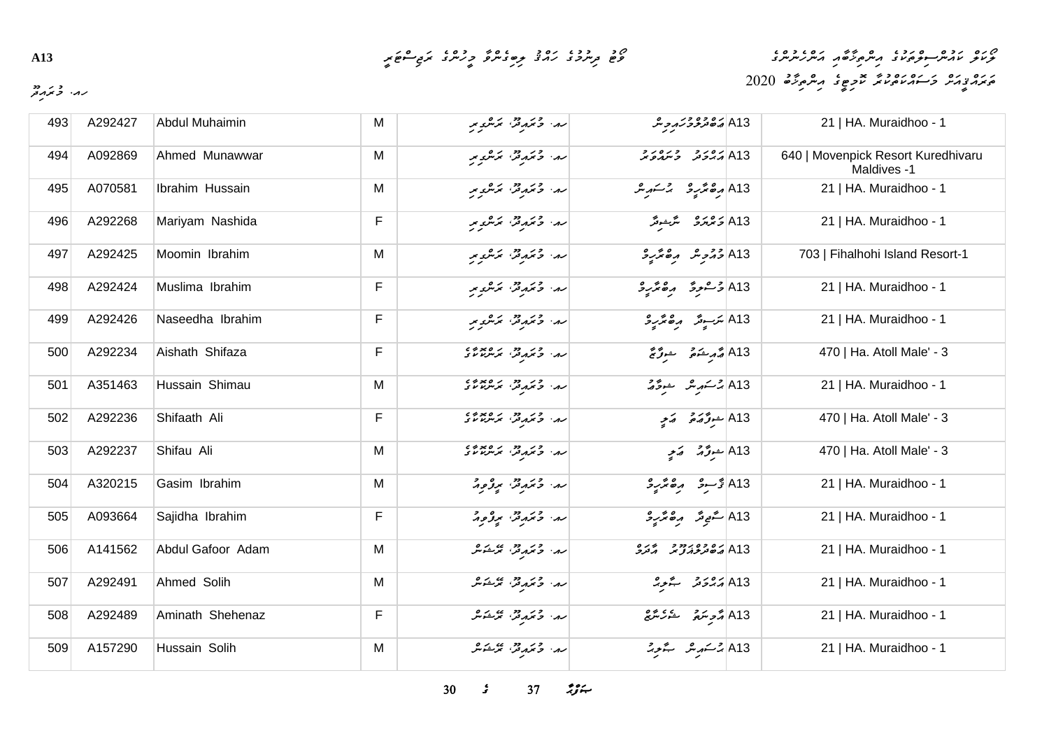*sCw7q7s5w7m< o<n9nOoAw7o< sCq;mAwBoEw7q<m; wBm;vB* م من المرة المرة المرة المرجع المرجع في المركبة 2020<br>مجم*د المريض المربوط المربع المرجع في المراجع المركبة* 

| 493 | A292427 | Abdul Muhaimin    | M           | رە - ئەترەتى ترىشى بر   | A13 كەھەر بۇ ئەرەپ ش                   | 21   HA. Muraidhoo - 1                            |
|-----|---------|-------------------|-------------|-------------------------|----------------------------------------|---------------------------------------------------|
| 494 | A092869 | Ahmed Munawwar    | M           | رە ئەتەرى تەشرىر        | A13 كەبروتىر بەيدە ئىر                 | 640   Movenpick Resort Kuredhivaru<br>Maldives -1 |
| 495 | A070581 | Ibrahim Hussain   | M           | رە ، ئەترەق ترشي بر     | A13 مەھەرىپ جىسىمبەتلەر                | 21   HA. Muraidhoo - 1                            |
| 496 | A292268 | Mariyam Nashida   | $\mathsf F$ | رە، دىمەتى ئەشجىر       | A13 كەنگەنگە سگەنىشەنگە                | 21   HA. Muraidhoo - 1                            |
| 497 | A292425 | Moomin Ibrahim    | M           | رە، ئەتمەتر، ترشمەتر    | A13 <i>دېم د هغې</i> و                 | 703   Fihalhohi Island Resort-1                   |
| 498 | A292424 | Muslima Ibrahim   | $\mathsf F$ | رە . ئەترەق ترىرىيە     | A13   جۇ شوپۇ بەر ھەترى <sub>پ</sub> و | 21   HA. Muraidhoo - 1                            |
| 499 | A292426 | Naseedha Ibrahim  | $\mathsf F$ | رە - ئەترەق - ئەشرىر    | A13 مَرَسِيعٌ مِنْ مِرْكَبِي           | 21   HA. Muraidhoo - 1                            |
| 500 | A292234 | Aishath Shifaza   | $\mathsf F$ | מגי כמקבלי מיטיעו       | A13 مَدْمِ مُنَعْمٌ مُ مُوتَزَّجٌ      | 470   Ha. Atoll Male' - 3                         |
| 501 | A351463 | Hussain Shimau    | M           | מגי כמגבי מסמים         | A13 بُرْسَمبر شَر شَرْدَ ثَرَ          | 21   HA. Muraidhoo - 1                            |
| 502 | A292236 | Shifaath Ali      | F           | מגי כמקבלי מיטיש        | A13 جو <i>وگھ مک</i> چ                 | 470   Ha. Atoll Male' - 3                         |
| 503 | A292237 | Shifau Ali        | M           | מגי כמה בי מסמים        | A13 حو <i>وٌ" سَ</i> وِ                | 470   Ha. Atoll Male' - 3                         |
| 504 | A320215 | Gasim Ibrahim     | М           | הוי כימות מי תנפול      | A13 تۈسرى مەھمگە يەھ                   | 21   HA. Muraidhoo - 1                            |
| 505 | A093664 | Sajidha Ibrahim   | $\mathsf F$ | מי לימול תופר           | A13 سَمَّعٍ مَّر مِرْحَمَّدٍ حَ        | 21   HA. Muraidhoo - 1                            |
| 506 | A141562 | Abdul Gafoor Adam | M           | رە ئەتەر ئەسىم ئەسكەنگر | A13 בסתכת צייר בינס                    | 21   HA. Muraidhoo - 1                            |
| 507 | A292491 | Ahmed Solih       | M           | رد. و بردو به ندی       | A13 كەبۇبۇقر سە <i>ئى</i> رو           | 21   HA. Muraidhoo - 1                            |
| 508 | A292489 | Aminath Shehenaz  | F           | رد. ویزدو به نشک        | A13 مَّ حِسَمَةَ مَسْتَشَمَّعَ         | 21   HA. Muraidhoo - 1                            |
| 509 | A157290 | Hussain Solih     | M           | رە - ئەتەرلار - ئەشكەش  | A13 پرستمبر بھ سنگوپر                  | 21   HA. Muraidhoo - 1                            |

*r@o<m8q> .<5*

**30** *s* **37** *n***<sub>y</sub> <b>***s*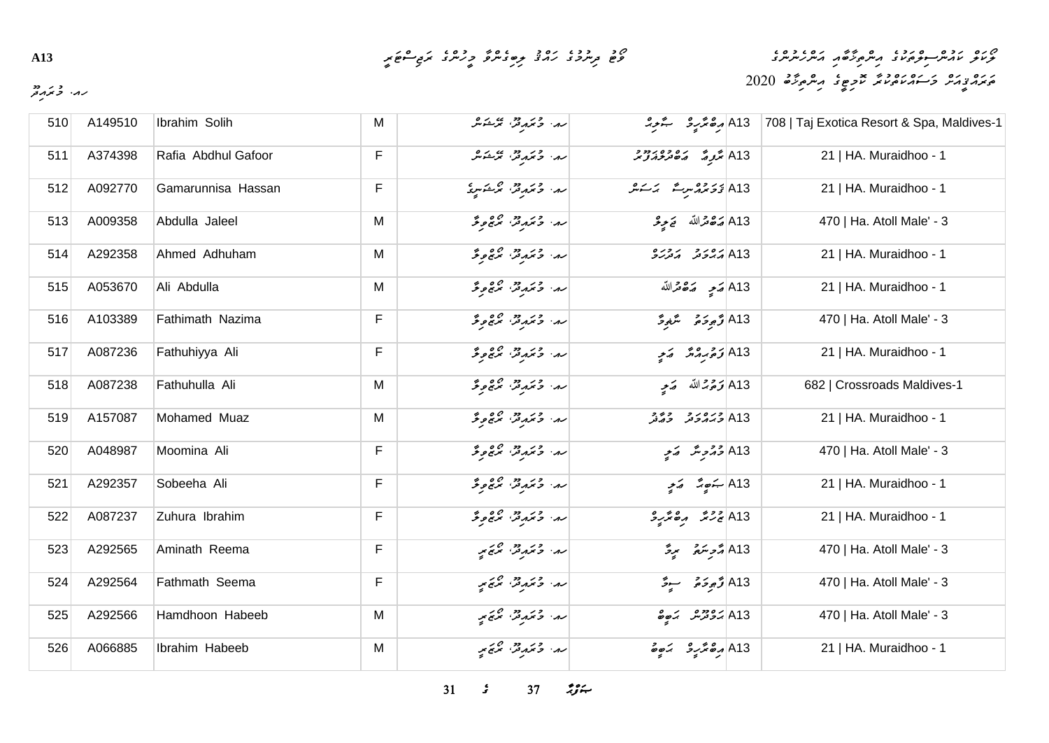*sCw7q7s5w7m< o<n9nOoAw7o< sCq;mAwBoEw7q<m; wBm;vB* م من المرة المرة المرة المرجع المرجع في المركبة 2020<br>مجم*د المريض المربوط المربع المرجع في المراجع المركبة* 

| ,, , ,<br>ر ر د بر ر د |
|------------------------|
|------------------------|

| 510 | A149510 | Ibrahim Solih       | M            | رە ئەتەر ئەس ئەسكەش            | A13  مەھەرىرى سەمەر                | 708   Taj Exotica Resort & Spa, Maldives-1 |
|-----|---------|---------------------|--------------|--------------------------------|------------------------------------|--------------------------------------------|
| 511 | A374398 | Rafia Abdhul Gafoor | $\mathsf{F}$ | رد. ويزدوه عن شكار             | A13 تروژ مەھىر دەرد                | 21   HA. Muraidhoo - 1                     |
| 512 | A092770 | Gamarunnisa Hassan  | F            | رو، وتمروره مرشوس              | A13 تۈكەترە بىرىگە بەسكەنلە        | 21   HA. Muraidhoo - 1                     |
| 513 | A009358 | Abdulla Jaleel      | M            | رە - ئەتمەتر، ترجى ئ           | A13 مَەھْتَراللە     قومِرْ \$     | 470   Ha. Atoll Male' - 3                  |
| 514 | A292358 | Ahmed Adhuham       | M            | رە - ئەتمەتر، ترجى ئ           | A13 كەبروتىر كەت <i>رى</i> رو      | 21   HA. Muraidhoo - 1                     |
| 515 | A053670 | Ali Abdulla         | M            | رە - ئەتمەتر، ترج ئ            | A13 <i>ھَ۔ ج</i> صُرَّاطُلُه       | 21   HA. Muraidhoo - 1                     |
| 516 | A103389 | Fathimath Nazima    | F            | رە - ئەتەرلىر، ئىرج ئەتى       | A13 تَ <i>حْمِوحَمْ سَمْع</i> ُوحً | 470   Ha. Atoll Male' - 3                  |
| 517 | A087236 | Fathuhiyya Ali      | F            | رە - ئەتەر بىر ئەن ئورنى ئورنى | A13 توڅر پرچمهٔ که چه              | 21   HA. Muraidhoo - 1                     |
| 518 | A087238 | Fathuhulla Ali      | M            | رە - ئەتەرىق سى ئوق            | A13 قرح پر الله    قدم ِ           | 682   Crossroads Maldives-1                |
| 519 | A157087 | Mohamed Muaz        | M            | رە - ئەتمەتر، ترجى ئ           | A13 <i>2522 وه. فر</i>             | 21   HA. Muraidhoo - 1                     |
| 520 | A048987 | Moomina Ali         | $\mathsf{F}$ | رە ئەمەمى مىج ئ                | A13 دحجة حكيم بح                   | 470   Ha. Atoll Male' - 3                  |
| 521 | A292357 | Sobeeha Ali         | $\mathsf{F}$ | رە - ئەتەرىق برج ئ             | A13 ب <i>نوبڈ م</i> َعِ            | 21   HA. Muraidhoo - 1                     |
| 522 | A087237 | Zuhura Ibrahim      | $\mathsf{F}$ | رو. وتمدين برج و قم            | A13 يحرجو م <b>چ پ</b> ر پو        | 21   HA. Muraidhoo - 1                     |
| 523 | A292565 | Aminath Reema       | $\mathsf{F}$ | מה כמות בי למות                | A13 مَّ حِسَمَة مَّ سِرَّة الله    | 470   Ha. Atoll Male' - 3                  |
| 524 | A292564 | Fathmath Seema      | $\mathsf{F}$ | הו בתוכן בר                    | A13 <i>وُّجوح</i> ق سوچٌ           | 470   Ha. Atoll Male' - 3                  |
| 525 | A292566 | Hamdhoon Habeeb     | M            | رە - ئەتمەتر، ئىنجىم           | A13 بَرْوَتْرُسْ بَرَصِرْ \$       | 470   Ha. Atoll Male' - 3                  |
| 526 | A066885 | Ibrahim Habeeb      | M            | הו בתנטי תזאת                  | A13 م <i>ەھتىپ</i> ۇ ب <i>ەھ ق</i> | 21   HA. Muraidhoo - 1                     |

**31** *s* **37** *n***<sub>y</sub> <b>***n*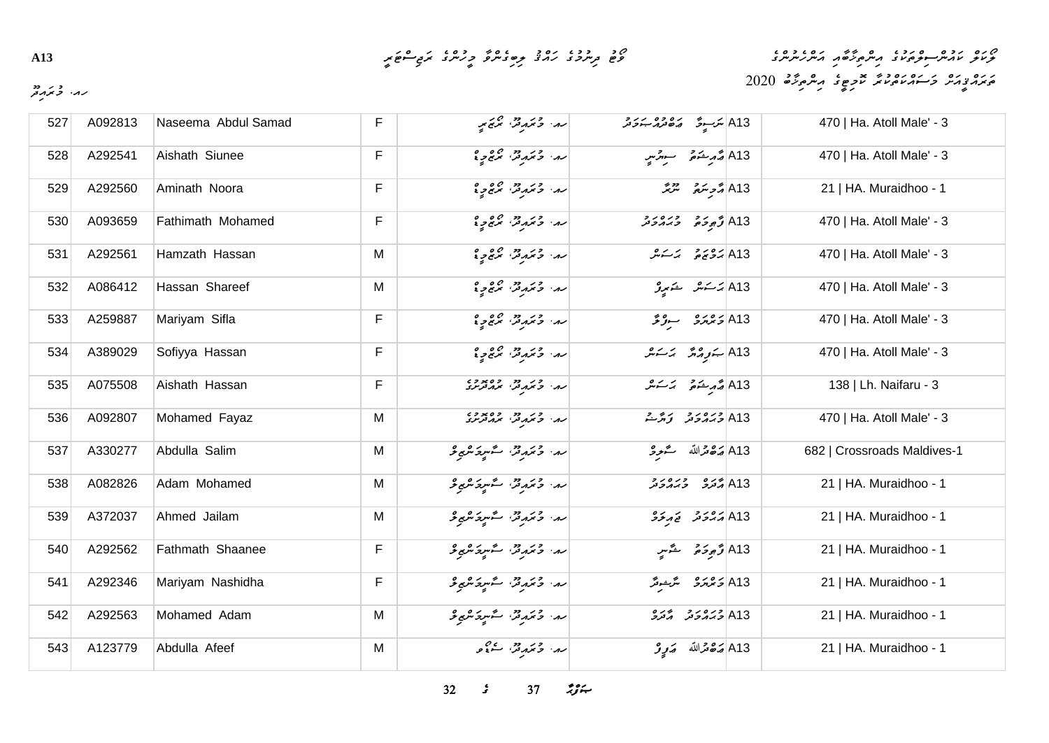*sCw7q7s5w7m< o<n9nOoAw7o< sCq;mAwBoEw7q<m; wBm;vB* م من المرة المرة المرة المرجع المرجع في المركبة 2020<br>مجم*د المريض المربوط المربع المرجع في المراجع المركبة* 

| 527 | A092813 | Naseema Abdul Samad | F            | رە - ئەتمەتى ترىخ بېر                          | A13 <i>مَرْسِرةُ حَاڤَّةَ مُ</i> رَمَّةَ <i>حَ</i> | 470   Ha. Atoll Male' - 3   |
|-----|---------|---------------------|--------------|------------------------------------------------|----------------------------------------------------|-----------------------------|
| 528 | A292541 | Aishath Siunee      | F            | מי כמתני משקי                                  | A13 مَدْمِ مِسْمَعْ مِسْتَمْسِرِ                   | 470   Ha. Atoll Male' - 3   |
| 529 | A292560 | Aminath Noora       | $\mathsf F$  | הגי בימגיעי ימיק בי                            | A13 أُمَّ مِسَمَّدٍ مَشَمَّد                       | 21   HA. Muraidhoo - 1      |
| 530 | A093659 | Fathimath Mohamed   | $\mathsf F$  | رو، وتمدير، ترجم و ه                           | A13 وُجِ حَمَّ حَرَمُ حَرْ                         | 470   Ha. Atoll Male' - 3   |
| 531 | A292561 | Hamzath Hassan      | M            | رو، وتمدير، ترجم و ه                           | A13 بر <i>وبرج برسک</i> ر                          | 470   Ha. Atoll Male' - 3   |
| 532 | A086412 | Hassan Shareef      | M            | مدر و مرموز مرج و ه                            | A13   پرسترش حق <i>مبوث</i> ر                      | 470   Ha. Atoll Male' - 3   |
| 533 | A259887 | Mariyam Sifla       | $\mathsf F$  | رد. وتمدير من وه                               | A13 كەبىر بىر ئىس بىر ئەسىر ئە                     | 470   Ha. Atoll Male' - 3   |
| 534 | A389029 | Sofiyya Hassan      | F            | رر و تررو می د و                               | A13 س <i>ەرەھ بەسەھ</i>                            | 470   Ha. Atoll Male' - 3   |
| 535 | A075508 | Aishath Hassan      | $\mathsf F$  | رد. و بردو و و دو و ع<br>  رو. و بروتر، بروترس | A13 <i>مەم ھەققى</i> ئەسكەنلىر                     | 138   Lh. Naifaru - 3       |
| 536 | A092807 | Mohamed Fayaz       | M            | د در دو وه دود.<br>رو ویمهایی تمهانوس          | A13 <i>ۋېزودنى ۋېژى</i> تە                         | 470   Ha. Atoll Male' - 3   |
| 537 | A330277 | Abdulla Salim       | M            | رە، دىمەن ئىردىر                               | A13 رَحْمَة اللّه مُسَّعِرْة ِ                     | 682   Crossroads Maldives-1 |
| 538 | A082826 | Adam Mohamed        | M            | رە، دىمەتر، سەردىكى ئ                          | A13 دره دره در د                                   | 21   HA. Muraidhoo - 1      |
| 539 | A372037 | Ahmed Jailam        | M            | رە، دىمەن ئىردىر                               | A13 كەبرى قىم ئىقدىم ئىق                           | 21   HA. Muraidhoo - 1      |
| 540 | A292562 | Fathmath Shaanee    | $\mathsf{F}$ | رە، دىمەتر، سەردىكى ئ                          | A13 <i>وَّجودَة</i> شَمَّى                         | 21   HA. Muraidhoo - 1      |
| 541 | A292346 | Mariyam Nashidha    | $\mathsf F$  | رر ويررو الشروعي                               | A13 ك <i>ويمركز سگرشينگ</i> ر                      | 21   HA. Muraidhoo - 1      |
| 542 | A292563 | Mohamed Adam        | M            | رە ئىگەن سەرىكى ئ                              | A13 <i>3225 و مح</i> تر                            | 21   HA. Muraidhoo - 1      |
| 543 | A123779 | Abdulla Afeef       | M            | מגי במקני ישות                                 | A13 كەھەمەللە ك <i>ەرد</i> ۇ                       | 21   HA. Muraidhoo - 1      |

**32** *s* **37** *n***<sub>y</sub> <b>***n*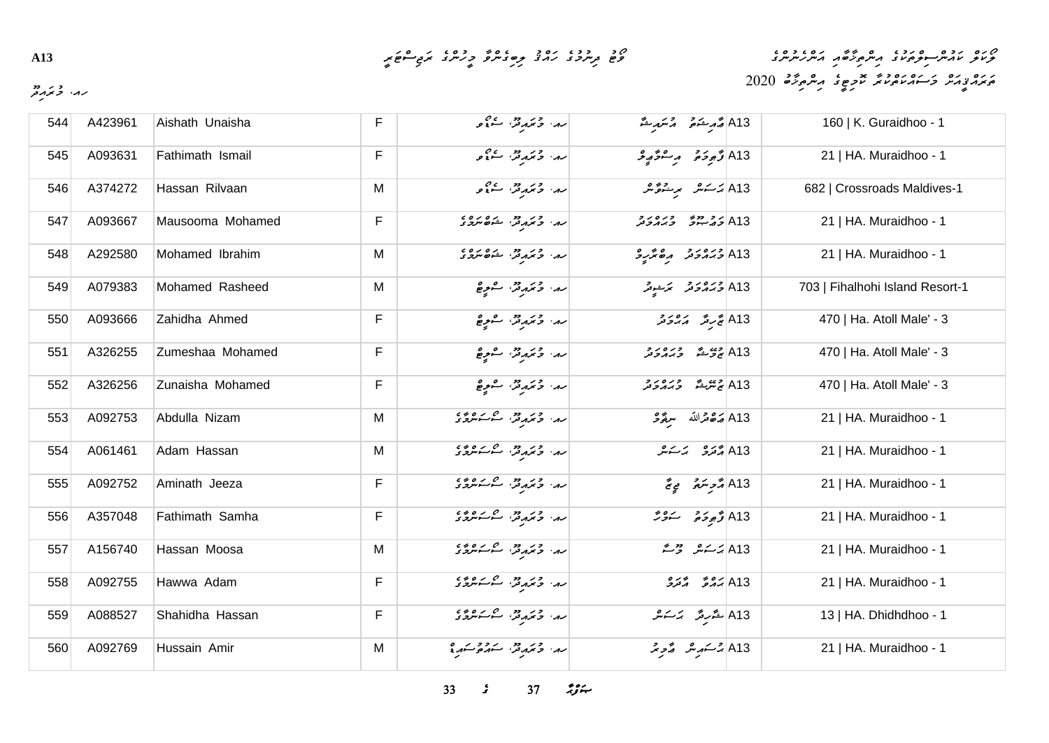*sCw7q7s5w7m< o<n9nOoAw7o< sCq;mAwBoEw7q<m; wBm;vB* م من المرة المرة المرة المرجع المرجع في المركبة 2020<br>مجم*د المريض المربوط المربع المرجع في المراجع المركبة* 

| 544 | A423961 | Aishath Unaisha  | F | رە، دىمەش سىقمى       | A13 مَّ مِسْدَمْ مَرْ مَرْمِيشَّ          | 160   K. Guraidhoo - 1          |
|-----|---------|------------------|---|-----------------------|-------------------------------------------|---------------------------------|
| 545 | A093631 | Fathimath Ismail | F | رو. ويروفر، سوء و     | A13 <i>وَّجوحَمَ بِ مِـدْوَّمٍ وَ</i>     | 21   HA. Muraidhoo - 1          |
| 546 | A374272 | Hassan Rilvaan   | M | رو. ويروفر، سوء و     | A13 ئەسەمىر بېرىش <i>مۇ</i> نىر           | 682   Crossroads Maldives-1     |
| 547 | A093667 | Mausooma Mohamed | F | رد. و بزرده شوه سره و | A13 <i>خەمبى</i> ق <i>مەم</i> رىر         | 21   HA. Muraidhoo - 1          |
| 548 | A292580 | Mohamed Ibrahim  | M | رو در دو ده ده ده و   | A13 <i>وُبَدُودُو م</i> ِهْتَرِدُ         | 21   HA. Muraidhoo - 1          |
| 549 | A079383 | Mohamed Rasheed  | M | رر و ترروز، گوره      | A13 <i>وُبَرُمْ وَمَرْ</i> - بَرَسِوِيْرُ | 703   Fihalhohi Island Resort-1 |
| 550 | A093666 | Zahidha Ahmed    | F | رە ئەتەرلىق سىرىھ     |                                           | 470   Ha. Atoll Male' - 3       |
| 551 | A326255 | Zumeshaa Mohamed | F | رە ئەتەرلىق سىرىھ     | A13 جۇشگە مەرەر د                         | 470   Ha. Atoll Male' - 3       |
| 552 | A326256 | Zunaisha Mohamed | F | رە ئەتەرلىق سىرى      | A13 ىن ئىشقە كەندەر <i>دى</i> ر           | 470   Ha. Atoll Male' - 3       |
| 553 | A092753 | Abdulla Nizam    | M | رو و دو ده شکستروی    | A13 كەھىراللە س <i>ېۋ</i> ۇ               | 21   HA. Muraidhoo - 1          |
| 554 | A061461 | Adam Hassan      | M | رو، ويوروو، کے کارون  | A13 مەترى ئەسەئىر                         | 21   HA. Muraidhoo - 1          |
| 555 | A092752 | Aminath Jeeza    | F | رو. ويماره به عنصورون | A13 مَّ صِنَّعَ مِيَّ                     | 21   HA. Muraidhoo - 1          |
| 556 | A357048 | Fathimath Samha  | F | رو، ويورو، کے مسجد و  | A13 تۇم <sub>ب</sub> وخۇ سىۋ <i>ر</i> گ   | 21   HA. Muraidhoo - 1          |
| 557 | A156740 | Hassan Moosa     | M | رو و دو ده شکستروی    | A13   پرسٹر ترمیض                         | 21   HA. Muraidhoo - 1          |
| 558 | A092755 | Hawwa Adam       | F | رو. ويمروه کے منصوبی  | A13 يَرْدُوَّ مُسَرَّد                    | 21   HA. Muraidhoo - 1          |
| 559 | A088527 | Shahidha Hassan  | F | رو و دو ده کرده و ده  | A13 ڪري <i>گ بزڪيل</i>                    | 13   HA. Dhidhdhoo - 1          |
| 560 | A092769 | Hussain Amir     | M | תו כתובלי החקבות ?    | A13 برڪيريش ڪچي تھ                        | 21   HA. Muraidhoo - 1          |

**33** *s* **37** *n***<sub>y</sub> <b>***n*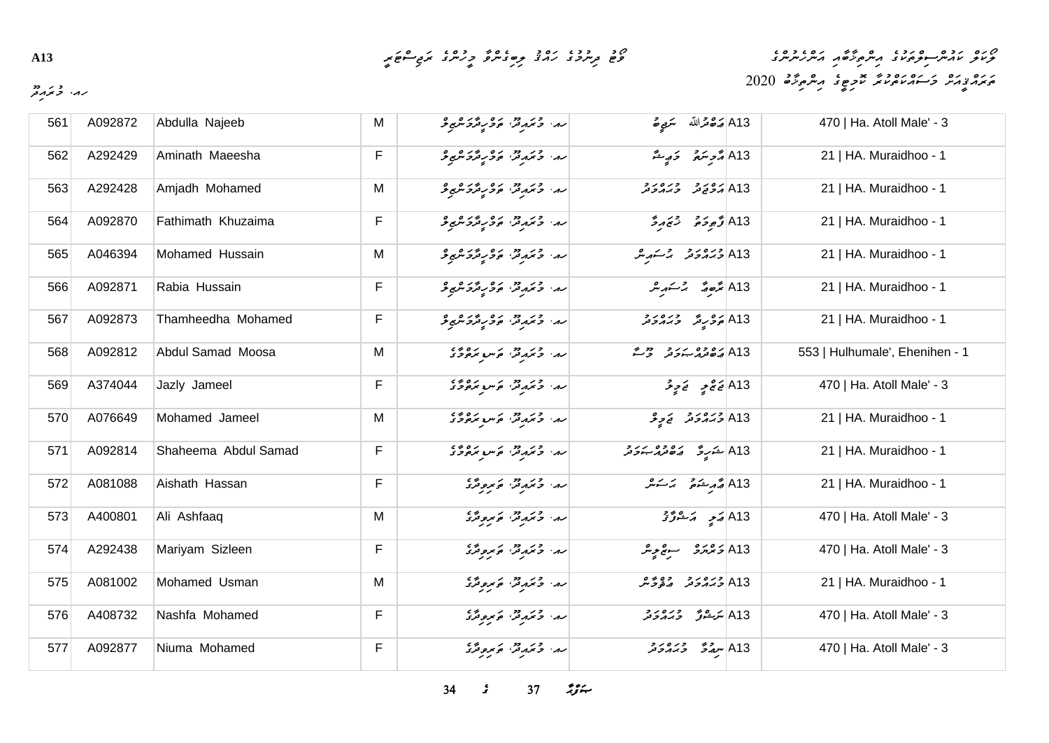*sCw7q7s5w7m< o<n9nOoAw7o< sCq;mAwBoEw7q<m; wBm;vB* م من المرة المرة المرة المرجع المرجع في المركبة 2020<br>مجم*د المريض المربوط المربع المرجع في المراجع المركبة* 

| 561 | A092872 | Abdulla Najeeb       | M            | رە . دىمەتر، ئۆدىرىگرىگى ئ | A13 كَدَّى قَرْاللَّهُ       مَرْبِحٍ ثَّةَ | 470   Ha. Atoll Male' - 3      |
|-----|---------|----------------------|--------------|----------------------------|---------------------------------------------|--------------------------------|
| 562 | A292429 | Aminath Maeesha      | F            | رە، ئەتمەتر، ئەرەپەترەش ئ  | A13 مَّ حِسَمَۃ کَ مِیْشَہ                  | 21   HA. Muraidhoo - 1         |
| 563 | A292428 | Amjadh Mohamed       | M            | رە، ئەتمەتر، ئۆل ئەرەپتى ئ | A13 , جوړې وره دي.                          | 21   HA. Muraidhoo - 1         |
| 564 | A092870 | Fathimath Khuzaima   | F            | رە، ئەتمەتر، ئەرەپەترەش ئ  | A13 تَ <i>جِ جَ</i> حَمَّةَ تَجَمِعَ        | 21   HA. Muraidhoo - 1         |
| 565 | A046394 | Mohamed Hussain      | M            | رە، دىمەتر، مۇرىمۇدىگرى    | A13 <i>وُبَرُووو بِرْسَهِ بِرْ</i>          | 21   HA. Muraidhoo - 1         |
| 566 | A092871 | Rabia Hussain        | $\mathsf F$  | رە، ئەتمەتر، ئەرەپەترەش ئ  | A13 بَرْجِهُ بِهِ بِرْسَهِ بِرْ             | 21   HA. Muraidhoo - 1         |
| 567 | A092873 | Thamheedha Mohamed   | F            | رە، كەنگەش كەرگەنگەنگەنج   | A13 <sub>ح</sub> ۇرپۇ ئەيرى ئەر             | 21   HA. Muraidhoo - 1         |
| 568 | A092812 | Abdul Samad Moosa    | M            | رد. ويمه فرانس و بره و د   | A13 كەھىر مەمرىيە جەمئە                     | 553   Hulhumale', Ehenihen - 1 |
| 569 | A374044 | Jazly Jameel         | F            | رد. ويمه فرا مي سويمبرون   | A13 کے بچ سے <sub>مح</sub> وِثر             | 470   Ha. Atoll Male' - 3      |
| 570 | A076649 | Mohamed Jameel       | M            | رد. ويمه فرا مؤسوم بره وه  | A13  <i>وَبَہُ وَبَقَ</i> ہَے <i>ج</i> و    | 21   HA. Muraidhoo - 1         |
| 571 | A092814 | Shaheema Abdul Samad | F            | رد. ويمه فرا مؤسوم بره وه  | A13 خَرِرَّ دَەقْرەجىدى                     | 21   HA. Muraidhoo - 1         |
| 572 | A081088 | Aishath Hassan       | $\mathsf F$  | رد. وتمرد تر تر مروترد     | A13 <i>مەم ھەققى بىر سەنى</i> ر             | 21   HA. Muraidhoo - 1         |
| 573 | A400801 | Ali Ashfaaq          | M            | ره و تروی تر توفر          | A13  رَمِي    رَحْوُرٌ وَ                   | 470   Ha. Atoll Male' - 3      |
| 574 | A292438 | Mariyam Sizleen      | $\mathsf{F}$ | ره و تر دور الله تر مورد د | A13 ك <i>ۈچرىرى سوچ م</i> وپىر              | 470   Ha. Atoll Male' - 3      |
| 575 | A081002 | Mohamed Usman        | M            | ره و تررود تر تروترد       | A13 <i>وبرەرو دەۋىر</i>                     | 21   HA. Muraidhoo - 1         |
| 576 | A408732 | Nashfa Mohamed       | F            | رد. و بزرده و بروترد       | A13 سَ شوتر - حرم د تر                      | 470   Ha. Atoll Male' - 3      |
| 577 | A092877 | Niuma Mohamed        | F            | ره و تر دو. تر تر و تر د   | A13 سمة محمد المحمد المحمد المحمد الم       | 470   Ha. Atoll Male' - 3      |

*34 sC 37 nNw?mS*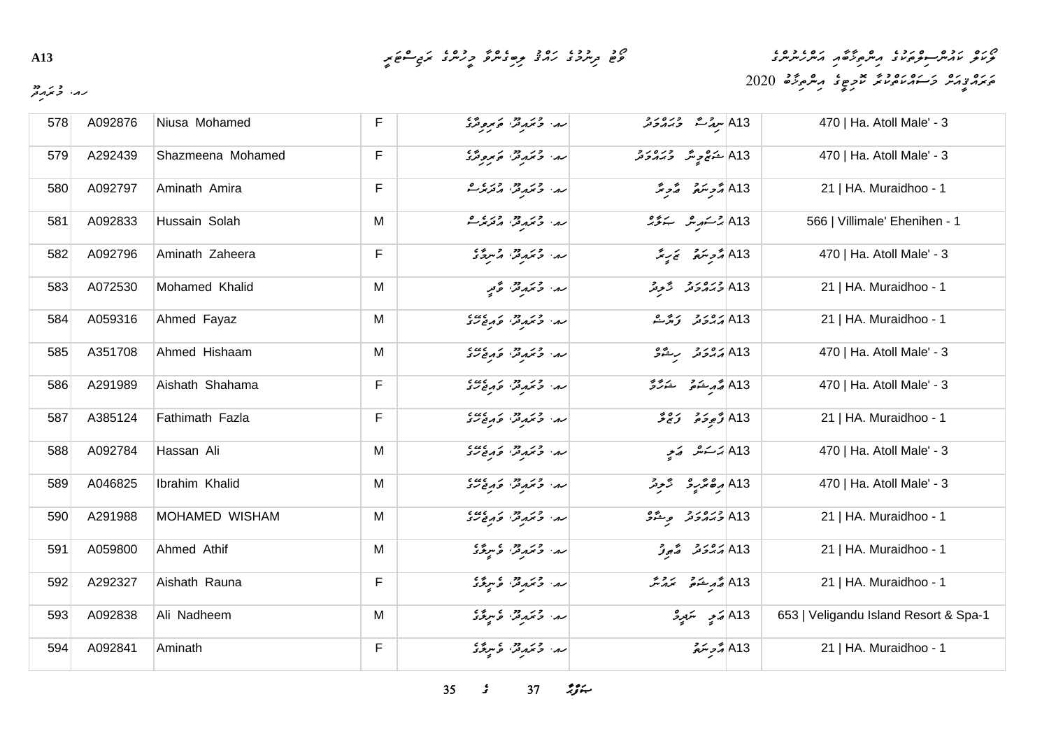*sCw7q7s5w7m< o<n9nOoAw7o< sCq;mAwBoEw7q<m; wBm;vB* م من المرة المرة المرة المرجع المرجع في المركبة 2020<br>مجم*د المريض المربوط المربع المرجع في المراجع المركبة* 

| 578 | A092876 | Niusa Mohamed         | $\mathsf F$ | ره و تر دو. تر تر تر و تر د | A13 سرقم شمستر و بردوند           | 470   Ha. Atoll Male' - 3             |
|-----|---------|-----------------------|-------------|-----------------------------|-----------------------------------|---------------------------------------|
| 579 | A292439 | Shazmeena Mohamed     | F           | رد. وتمدير و ترويره         | A13 خەنج <i>چەنگە ئەتەرەت</i> ر   | 470   Ha. Atoll Male' - 3             |
| 580 | A092797 | Aminath Amira         | $\mathsf F$ | رە - ئەتەرلىقى الاتىرىكى ھ  | A13 مَرْحِسَمَۃ مَرَّحِسَّ        | 21   HA. Muraidhoo - 1                |
| 581 | A092833 | Hussain Solah         | M           | رە ئەتەر ئەر ئەر ئا         | A13 يُرْسَم <i>هِ بْتَغُ</i> يْرُ | 566   Villimale' Ehenihen - 1         |
| 582 | A092796 | Aminath Zaheera       | $\mathsf F$ | מי כתובל ואיינבל            | A13 م <i>گرمرینمی تارینگ</i>      | 470   Ha. Atoll Male' - 3             |
| 583 | A072530 | Mohamed Khalid        | M           | رە ئەترەق ئۇر               | A13 وُبَرُدُونَرُ گُوِنْرُ        | 21   HA. Muraidhoo - 1                |
| 584 | A059316 | Ahmed Fayaz           | M           | رد. وتمديق ودفرت            | A13 كەبرىقىر كەنگەنىيە            | 21   HA. Muraidhoo - 1                |
| 585 | A351708 | Ahmed Hishaam         | M           | رد. وتمديق ودفرت            | A13 كەنزى قىر بەشكى               | 470   Ha. Atoll Male' - 3             |
| 586 | A291989 | Aishath Shahama       | F           | رد. وتردوه و دوره           | A13 مەم شەھ ھەر ئىكەنى            | 470   Ha. Atoll Male' - 3             |
| 587 | A385124 | Fathimath Fazla       | $\mathsf F$ | رد. وتمدير موري ده          | A13 تَ <i>حِودَةَ</i> تَرَجَّدً   | 21   HA. Muraidhoo - 1                |
| 588 | A092784 | Hassan Ali            | M           | رد. وتردي و دوره            | A13 ټريند کم <i>چ</i>             | 470   Ha. Atoll Male' - 3             |
| 589 | A046825 | Ibrahim Khalid        | M           | رد. وتمديق ودفرت            | A13 م <i>وڭ بگرى ئى</i> موقر      | 470   Ha. Atoll Male' - 3             |
| 590 | A291988 | <b>MOHAMED WISHAM</b> | M           | رد. وتمديق ودفرت            | A13  <i>ويزورو وحدَّوْ</i>        | 21   HA. Muraidhoo - 1                |
| 591 | A059800 | Ahmed Athif           | M           | رە ئەتەرلىق ئەسرىمى         | A13 كەش <sup>ى</sup> رىقى ھەمبى ق | 21   HA. Muraidhoo - 1                |
| 592 | A292327 | Aishath Rauna         | F           | رە ئەتەر ئەرگە              | A13 <i>مَدْمِيشَة مَدَمَّدَ</i>   | 21   HA. Muraidhoo - 1                |
| 593 | A092838 | Ali Nadheem           | M           | رە ، ئەتەرلار ، ئاس ئال     | A13 کے سربرو                      | 653   Veligandu Island Resort & Spa-1 |
| 594 | A092841 | Aminath               | F           | رە. دىمەتر، ئەيرىگى         | A13 مَمْحِ سَمَعْ                 | 21   HA. Muraidhoo - 1                |

**35** *s* 37 *n***<sub>y</sub>** *s***<sub>***3***</sub>** *i***<sub>s</sub>** *a***<sub>s</sub>** *i***<sub>s</sub>** *a***<sub>s</sub>** *i***<sub>s</sub>** *a***<sub>s</sub>** *i***<sub>s</sub>** *a***<sub>s</sub>** *i***<sub>s</sub>** *a***<sub>s</sub>** *i**a***<sub>s</sub>** *a***<sub>s</sub>** *i**a***<sub>s</sub>** *a***<sub>s</sub>** *i**a***<sub>s</sub>** *a***<sub>s</sub>** *a***<sub>s</sub>** *a***<sub>s</sub>** *a***<sub>s</sub>** *a***<sub>s</sub>** *a***<sub>s</sub>** *a***<sub>s</sub>** *a***<sub>s</sub>** *a***<sub>s</sub>** *a*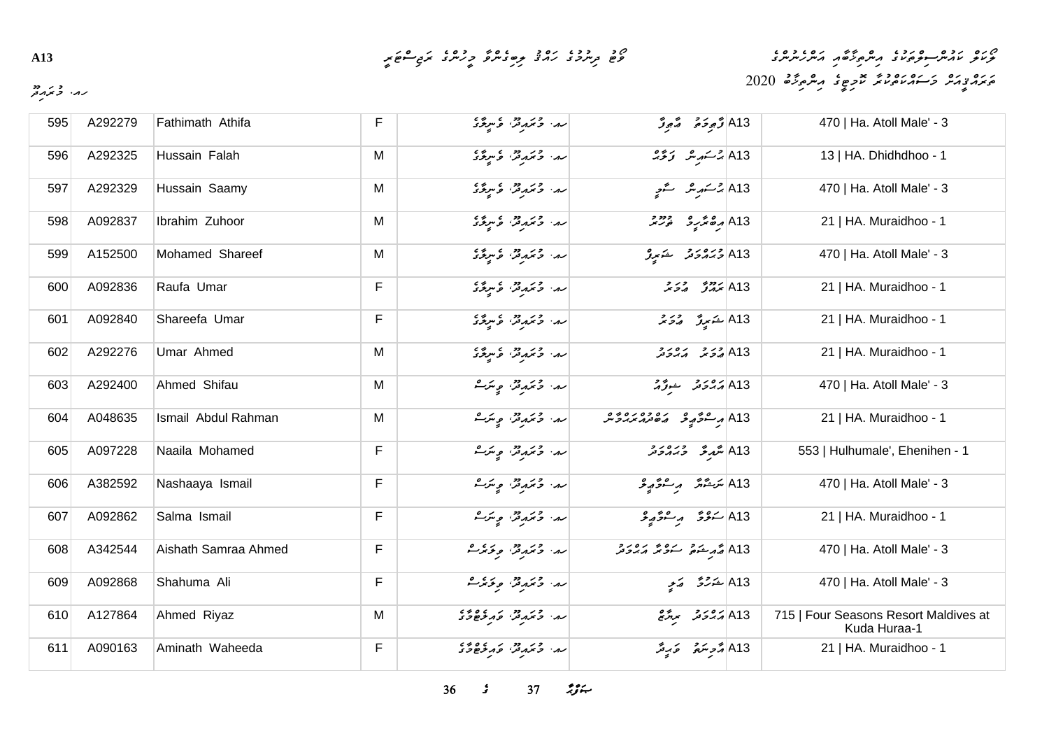*sCw7q7s5w7m< o<n9nOoAw7o< sCq;mAwBoEw7q<m; wBm;vB* م من المرة المرة المرة المرجع المرجع في المركبة 2020<br>مجم*د المريض المربوط المربع المرجع في المراجع المركبة* 

| 595 | A292279 | Fathimath Athifa     | $\mathsf F$  | رە - ئەتەرلىق ئۇسىرلىكى | A13 وَمِوحَمْ    مَّ مِوتَر                                                                                                                                                                                                                                                                                         | 470   Ha. Atoll Male' - 3                             |
|-----|---------|----------------------|--------------|-------------------------|---------------------------------------------------------------------------------------------------------------------------------------------------------------------------------------------------------------------------------------------------------------------------------------------------------------------|-------------------------------------------------------|
| 596 | A292325 | Hussain Falah        | M            | رە ئەتەر ئۇ ئورگە       | A13 پژشهر شرکو تر                                                                                                                                                                                                                                                                                                   | 13   HA. Dhidhdhoo - 1                                |
| 597 | A292329 | Hussain Saamy        | M            | رە - ئەتەرلار - ئاسرىگە | A13 بُرڪوپير گو <sub>چ</sub>                                                                                                                                                                                                                                                                                        | 470   Ha. Atoll Male' - 3                             |
| 598 | A092837 | Ibrahim Zuhoor       | M            | رە ، ئەتەرلار ، ئاس ئال | A13 م <i>وڭ ئۇچى</i> ئو <i>رىتى</i>                                                                                                                                                                                                                                                                                 | 21   HA. Muraidhoo - 1                                |
| 599 | A152500 | Mohamed Shareef      | M            | رە - ئەتەرلار - ئاسرىگە | A13 دېمگرو شمېرو                                                                                                                                                                                                                                                                                                    | 470   Ha. Atoll Male' - 3                             |
| 600 | A092836 | Raufa Umar           | $\mathsf{F}$ | رە ئەتەر ئەرگە          | $\frac{2}{3}$ $\frac{2}{3}$ $\frac{2}{3}$ $\frac{2}{3}$ $\frac{2}{3}$ $\frac{2}{3}$ $\frac{2}{3}$ $\frac{2}{3}$ $\frac{2}{3}$ $\frac{2}{3}$ $\frac{2}{3}$ $\frac{2}{3}$ $\frac{2}{3}$ $\frac{2}{3}$ $\frac{2}{3}$ $\frac{2}{3}$ $\frac{2}{3}$ $\frac{2}{3}$ $\frac{2}{3}$ $\frac{2}{3}$ $\frac{2}{3}$ $\frac{2}{3}$ | 21   HA. Muraidhoo - 1                                |
| 601 | A092840 | Shareefa Umar        | F            | رە - ئەتەرلار - ئاسرىگە | A13 ڪيپو <i>ڙ ه</i> ڪتر                                                                                                                                                                                                                                                                                             | 21   HA. Muraidhoo - 1                                |
| 602 | A292276 | Umar Ahmed           | M            | رە - ئەتەبلا ئەسرگە     | A13 روپر بروژنو                                                                                                                                                                                                                                                                                                     | 21   HA. Muraidhoo - 1                                |
| 603 | A292400 | Ahmed Shifau         | M            | رە . ئەترەتر، ئەسك      |                                                                                                                                                                                                                                                                                                                     | 470   Ha. Atoll Male' - 3                             |
| 604 | A048635 | Ismail Abdul Rahman  | M            | رړ. وتمريز وترگ         | A13 مەش <i>ۇم قەھەممەۋ</i> مى                                                                                                                                                                                                                                                                                       | 21   HA. Muraidhoo - 1                                |
| 605 | A097228 | Naaila Mohamed       | F            | رە . دىمەش ھ سىگ        | A13 سَمَدِ حَدَ الْمُدَوَّمَّر                                                                                                                                                                                                                                                                                      | 553   Hulhumale', Ehenihen - 1                        |
| 606 | A382592 | Nashaaya Ismail      | $\mathsf{F}$ | رە. دىمەتر، مەس         | A13 سَرَخْمَدَ <sub>م</sub> ُ مِـْحَرَّمِيْحَـر                                                                                                                                                                                                                                                                     | 470   Ha. Atoll Male' - 3                             |
| 607 | A092862 | Salma Ismail         | $\mathsf F$  | رە، ئەتمەتى ئەس         | A13 سَنَوْتَرَ مِ سُتَّة مِرْتَر                                                                                                                                                                                                                                                                                    | 21   HA. Muraidhoo - 1                                |
| 608 | A342544 | Aishath Samraa Ahmed | $\mathsf{F}$ | رر وتمدين وترتده        | A13 مەم شىم سىر <i>ەبىر مەدە</i> ر                                                                                                                                                                                                                                                                                  | 470   Ha. Atoll Male' - 3                             |
| 609 | A092868 | Shahuma Ali          | $\mathsf F$  | رە. دىمەتر، جەنگرىش     | A13 خەرچ كەمب <i>ى</i>                                                                                                                                                                                                                                                                                              | 470   Ha. Atoll Male' - 3                             |
| 610 | A127864 | Ahmed Riyaz          | M            | رد. وتمديق تردوه و      | A13 كەبرى قىر ئىر ئىرىدىنى                                                                                                                                                                                                                                                                                          | 715   Four Seasons Resort Maldives at<br>Kuda Huraa-1 |
| 611 | A090163 | Aminath Waheeda      | F            | מגי כמנט פניפסכל        | A13 مَمْحِسَمَةً - حَدِمَّدَ                                                                                                                                                                                                                                                                                        | 21   HA. Muraidhoo - 1                                |

**36** *s* 37 *if***<sub>x</sub>**